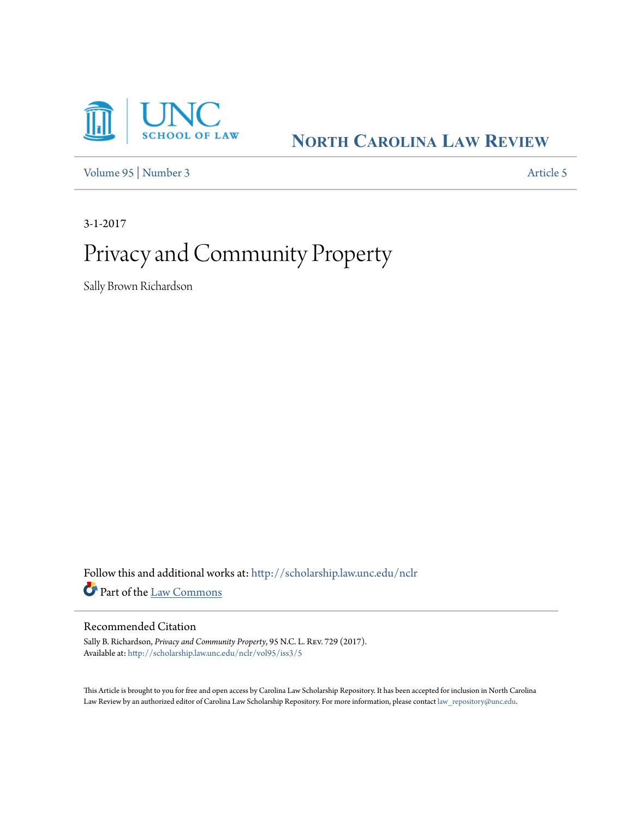

**NORTH C[AROLINA](http://scholarship.law.unc.edu/nclr?utm_source=scholarship.law.unc.edu%2Fnclr%2Fvol95%2Fiss3%2F5&utm_medium=PDF&utm_campaign=PDFCoverPages) LAW REVIEW**

[Volume 95](http://scholarship.law.unc.edu/nclr/vol95?utm_source=scholarship.law.unc.edu%2Fnclr%2Fvol95%2Fiss3%2F5&utm_medium=PDF&utm_campaign=PDFCoverPages) | [Number 3](http://scholarship.law.unc.edu/nclr/vol95/iss3?utm_source=scholarship.law.unc.edu%2Fnclr%2Fvol95%2Fiss3%2F5&utm_medium=PDF&utm_campaign=PDFCoverPages) [Article 5](http://scholarship.law.unc.edu/nclr/vol95/iss3/5?utm_source=scholarship.law.unc.edu%2Fnclr%2Fvol95%2Fiss3%2F5&utm_medium=PDF&utm_campaign=PDFCoverPages)

3-1-2017

# Privacy and Community Property

Sally Brown Richardson

Follow this and additional works at: [http://scholarship.law.unc.edu/nclr](http://scholarship.law.unc.edu/nclr?utm_source=scholarship.law.unc.edu%2Fnclr%2Fvol95%2Fiss3%2F5&utm_medium=PDF&utm_campaign=PDFCoverPages) Part of the [Law Commons](http://network.bepress.com/hgg/discipline/578?utm_source=scholarship.law.unc.edu%2Fnclr%2Fvol95%2Fiss3%2F5&utm_medium=PDF&utm_campaign=PDFCoverPages)

# Recommended Citation

Sally B. Richardson, *Privacy and Community Property*, 95 N.C. L. Rev. 729 (2017). Available at: [http://scholarship.law.unc.edu/nclr/vol95/iss3/5](http://scholarship.law.unc.edu/nclr/vol95/iss3/5?utm_source=scholarship.law.unc.edu%2Fnclr%2Fvol95%2Fiss3%2F5&utm_medium=PDF&utm_campaign=PDFCoverPages)

This Article is brought to you for free and open access by Carolina Law Scholarship Repository. It has been accepted for inclusion in North Carolina Law Review by an authorized editor of Carolina Law Scholarship Repository. For more information, please contact [law\\_repository@unc.edu](mailto:law_repository@unc.edu).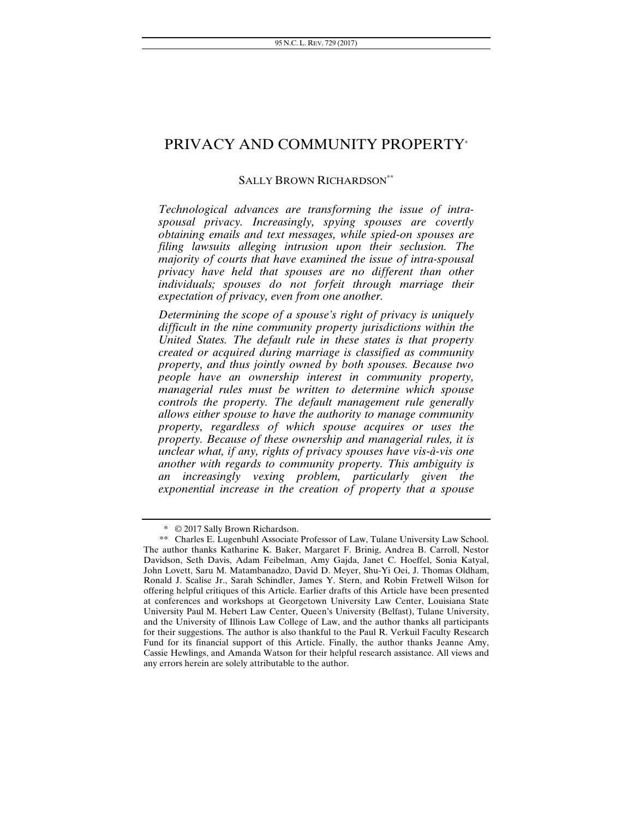# PRIVACY AND COMMUNITY PROPERTY\*

## SALLY BROWN RICHARDSON<sup>\*\*</sup>

*Technological advances are transforming the issue of intraspousal privacy. Increasingly, spying spouses are covertly obtaining emails and text messages, while spied-on spouses are filing lawsuits alleging intrusion upon their seclusion. The majority of courts that have examined the issue of intra-spousal privacy have held that spouses are no different than other individuals; spouses do not forfeit through marriage their expectation of privacy, even from one another.* 

*Determining the scope of a spouse's right of privacy is uniquely difficult in the nine community property jurisdictions within the United States. The default rule in these states is that property created or acquired during marriage is classified as community property, and thus jointly owned by both spouses. Because two people have an ownership interest in community property, managerial rules must be written to determine which spouse controls the property. The default management rule generally allows either spouse to have the authority to manage community property, regardless of which spouse acquires or uses the property. Because of these ownership and managerial rules, it is unclear what, if any, rights of privacy spouses have vis-à-vis one another with regards to community property. This ambiguity is an increasingly vexing problem, particularly given the exponential increase in the creation of property that a spouse* 

<sup>\* © 2017</sup> Sally Brown Richardson.

<sup>\*\*</sup> Charles E. Lugenbuhl Associate Professor of Law, Tulane University Law School. The author thanks Katharine K. Baker, Margaret F. Brinig, Andrea B. Carroll, Nestor Davidson, Seth Davis, Adam Feibelman, Amy Gajda, Janet C. Hoeffel, Sonia Katyal, John Lovett, Saru M. Matambanadzo, David D. Meyer, Shu-Yi Oei, J. Thomas Oldham, Ronald J. Scalise Jr., Sarah Schindler, James Y. Stern, and Robin Fretwell Wilson for offering helpful critiques of this Article. Earlier drafts of this Article have been presented at conferences and workshops at Georgetown University Law Center, Louisiana State University Paul M. Hebert Law Center, Queen's University (Belfast), Tulane University, and the University of Illinois Law College of Law, and the author thanks all participants for their suggestions. The author is also thankful to the Paul R. Verkuil Faculty Research Fund for its financial support of this Article. Finally, the author thanks Jeanne Amy, Cassie Hewlings, and Amanda Watson for their helpful research assistance. All views and any errors herein are solely attributable to the author.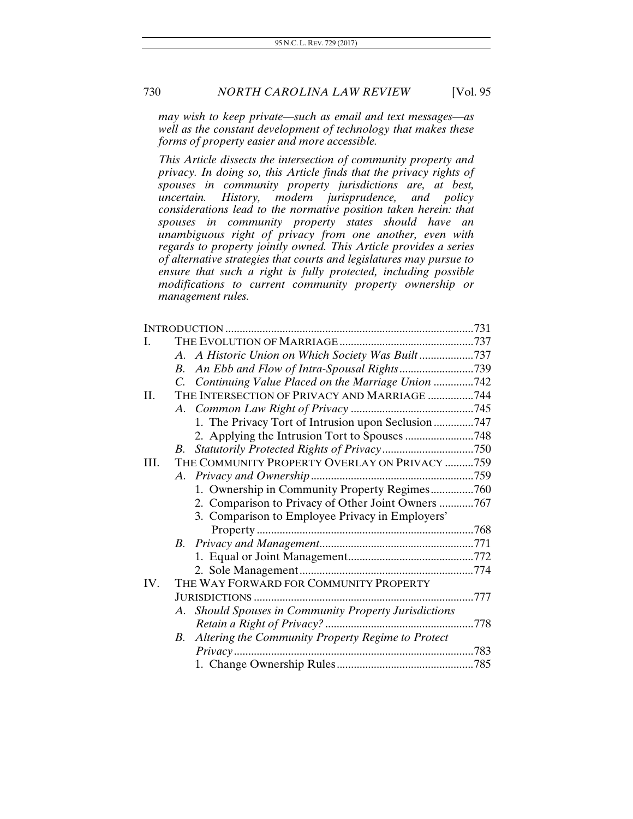*may wish to keep private—such as email and text messages—as well as the constant development of technology that makes these forms of property easier and more accessible.* 

*This Article dissects the intersection of community property and privacy. In doing so, this Article finds that the privacy rights of spouses in community property jurisdictions are, at best, uncertain. History, modern jurisprudence, and policy considerations lead to the normative position taken herein: that spouses in community property states should have an unambiguous right of privacy from one another, even with regards to property jointly owned. This Article provides a series of alternative strategies that courts and legislatures may pursue to ensure that such a right is fully protected, including possible modifications to current community property ownership or management rules.* 

| L.   |                                                       |  |
|------|-------------------------------------------------------|--|
|      | A. A Historic Union on Which Society Was Built737     |  |
|      | B.                                                    |  |
|      | C. Continuing Value Placed on the Marriage Union 742  |  |
| П.   | THE INTERSECTION OF PRIVACY AND MARRIAGE 744          |  |
|      |                                                       |  |
|      | 1. The Privacy Tort of Intrusion upon Seclusion 747   |  |
|      |                                                       |  |
|      | В.                                                    |  |
| III. | THE COMMUNITY PROPERTY OVERLAY ON PRIVACY 759         |  |
|      |                                                       |  |
|      | 1. Ownership in Community Property Regimes760         |  |
|      | 2. Comparison to Privacy of Other Joint Owners 767    |  |
|      | 3. Comparison to Employee Privacy in Employers'       |  |
|      |                                                       |  |
|      | B.                                                    |  |
|      |                                                       |  |
|      |                                                       |  |
| IV.  | THE WAY FORWARD FOR COMMUNITY PROPERTY                |  |
|      |                                                       |  |
|      | A. Should Spouses in Community Property Jurisdictions |  |
|      |                                                       |  |
|      | B. Altering the Community Property Regime to Protect  |  |
|      | Privacy                                               |  |
|      |                                                       |  |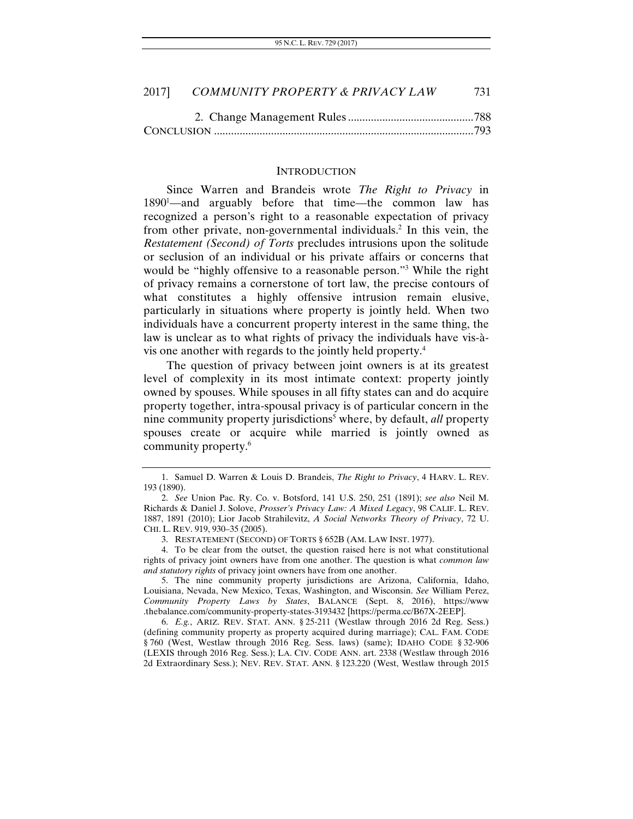| 2017]<br>COMMUNITY PROPERTY & PRIVACY LAW |  |
|-------------------------------------------|--|
|-------------------------------------------|--|

#### **INTRODUCTION**

Since Warren and Brandeis wrote *The Right to Privacy* in 1890<sup>1</sup>—and arguably before that time—the common law has recognized a person's right to a reasonable expectation of privacy from other private, non-governmental individuals.<sup>2</sup> In this vein, the *Restatement (Second) of Torts* precludes intrusions upon the solitude or seclusion of an individual or his private affairs or concerns that would be "highly offensive to a reasonable person."<sup>3</sup> While the right of privacy remains a cornerstone of tort law, the precise contours of what constitutes a highly offensive intrusion remain elusive, particularly in situations where property is jointly held. When two individuals have a concurrent property interest in the same thing, the law is unclear as to what rights of privacy the individuals have vis-àvis one another with regards to the jointly held property.4

The question of privacy between joint owners is at its greatest level of complexity in its most intimate context: property jointly owned by spouses. While spouses in all fifty states can and do acquire property together, intra-spousal privacy is of particular concern in the nine community property jurisdictions<sup>5</sup> where, by default, *all* property spouses create or acquire while married is jointly owned as community property.<sup>6</sup>

 <sup>1.</sup> Samuel D. Warren & Louis D. Brandeis, *The Right to Privacy*, 4 HARV. L. REV. 193 (1890).

<sup>2.</sup> *See* Union Pac. Ry. Co. v. Botsford, 141 U.S. 250, 251 (1891); *see also* Neil M. Richards & Daniel J. Solove, *Prosser's Privacy Law: A Mixed Legacy*, 98 CALIF. L. REV. 1887, 1891 (2010); Lior Jacob Strahilevitz, *A Social Networks Theory of Privacy*, 72 U. CHI. L. REV. 919, 930–35 (2005).

 <sup>3.</sup> RESTATEMENT (SECOND) OF TORTS § 652B (AM. LAW INST. 1977).

 <sup>4.</sup> To be clear from the outset, the question raised here is not what constitutional rights of privacy joint owners have from one another. The question is what *common law and statutory rights* of privacy joint owners have from one another.

 <sup>5.</sup> The nine community property jurisdictions are Arizona, California, Idaho, Louisiana, Nevada, New Mexico, Texas, Washington, and Wisconsin. *See* William Perez, *Community Property Laws by States*, BALANCE (Sept. 8, 2016), https://www .thebalance.com/community-property-states-3193432 [https://perma.cc/B67X-2EEP].

<sup>6.</sup> *E.g.*, ARIZ. REV. STAT. ANN. § 25-211 (Westlaw through 2016 2d Reg. Sess.) (defining community property as property acquired during marriage); CAL. FAM. CODE § 760 (West, Westlaw through 2016 Reg. Sess. laws) (same); IDAHO CODE § 32-906 (LEXIS through 2016 Reg. Sess.); LA. CIV. CODE ANN. art. 2338 (Westlaw through 2016 2d Extraordinary Sess.); NEV. REV. STAT. ANN. § 123.220 (West, Westlaw through 2015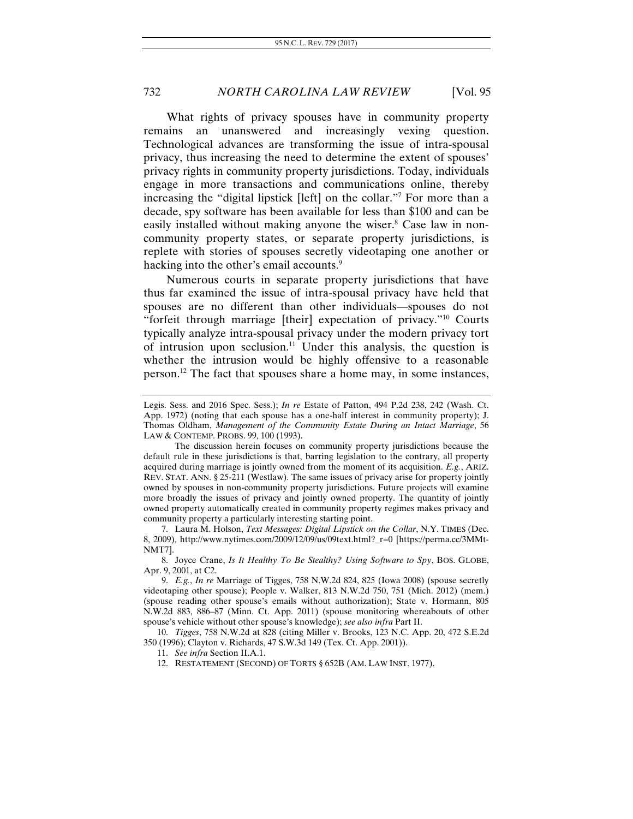What rights of privacy spouses have in community property remains an unanswered and increasingly vexing question. Technological advances are transforming the issue of intra-spousal privacy, thus increasing the need to determine the extent of spouses' privacy rights in community property jurisdictions. Today, individuals engage in more transactions and communications online, thereby increasing the "digital lipstick [left] on the collar."7 For more than a decade, spy software has been available for less than \$100 and can be easily installed without making anyone the wiser.<sup>8</sup> Case law in noncommunity property states, or separate property jurisdictions, is replete with stories of spouses secretly videotaping one another or hacking into the other's email accounts.<sup>9</sup>

Numerous courts in separate property jurisdictions that have thus far examined the issue of intra-spousal privacy have held that spouses are no different than other individuals—spouses do not "forfeit through marriage [their] expectation of privacy."<sup>10</sup> Courts typically analyze intra-spousal privacy under the modern privacy tort of intrusion upon seclusion.<sup>11</sup> Under this analysis, the question is whether the intrusion would be highly offensive to a reasonable person.12 The fact that spouses share a home may, in some instances,

 7. Laura M. Holson, *Text Messages: Digital Lipstick on the Collar*, N.Y. TIMES (Dec. 8, 2009), http://www.nytimes.com/2009/12/09/us/09text.html?\_r=0 [https://perma.cc/3MMt-NMT7].

 8. Joyce Crane, *Is It Healthy To Be Stealthy? Using Software to Spy*, BOS. GLOBE, Apr. 9, 2001, at C2.

10. *Tigges*, 758 N.W.2d at 828 (citing Miller v. Brooks, 123 N.C. App. 20, 472 S.E.2d 350 (1996); Clayton v. Richards, 47 S.W.3d 149 (Tex. Ct. App. 2001)).

11. *See infra* Section II.A.1.

12. RESTATEMENT (SECOND) OF TORTS § 652B (AM. LAW INST. 1977).

Legis. Sess. and 2016 Spec. Sess.); *In re* Estate of Patton, 494 P.2d 238, 242 (Wash. Ct. App. 1972) (noting that each spouse has a one-half interest in community property); J. Thomas Oldham, *Management of the Community Estate During an Intact Marriage*, 56 LAW & CONTEMP. PROBS. 99, 100 (1993).

The discussion herein focuses on community property jurisdictions because the default rule in these jurisdictions is that, barring legislation to the contrary, all property acquired during marriage is jointly owned from the moment of its acquisition. *E.g.*, ARIZ. REV. STAT. ANN. § 25-211 (Westlaw). The same issues of privacy arise for property jointly owned by spouses in non-community property jurisdictions. Future projects will examine more broadly the issues of privacy and jointly owned property. The quantity of jointly owned property automatically created in community property regimes makes privacy and community property a particularly interesting starting point.

<sup>9.</sup> *E.g.*, *In re* Marriage of Tigges, 758 N.W.2d 824, 825 (Iowa 2008) (spouse secretly videotaping other spouse); People v. Walker, 813 N.W.2d 750, 751 (Mich. 2012) (mem.) (spouse reading other spouse's emails without authorization); State v. Hormann, 805 N.W.2d 883, 886–87 (Minn. Ct. App. 2011) (spouse monitoring whereabouts of other spouse's vehicle without other spouse's knowledge); *see also infra* Part II.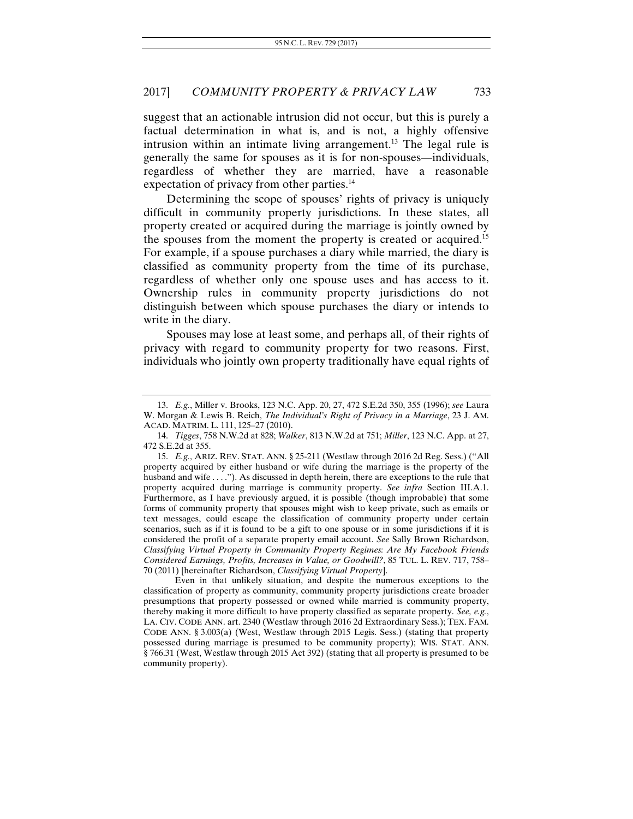suggest that an actionable intrusion did not occur, but this is purely a factual determination in what is, and is not, a highly offensive intrusion within an intimate living arrangement.<sup>13</sup> The legal rule is generally the same for spouses as it is for non-spouses—individuals, regardless of whether they are married, have a reasonable expectation of privacy from other parties.<sup>14</sup>

Determining the scope of spouses' rights of privacy is uniquely difficult in community property jurisdictions. In these states, all property created or acquired during the marriage is jointly owned by the spouses from the moment the property is created or acquired.15 For example, if a spouse purchases a diary while married, the diary is classified as community property from the time of its purchase, regardless of whether only one spouse uses and has access to it. Ownership rules in community property jurisdictions do not distinguish between which spouse purchases the diary or intends to write in the diary.

Spouses may lose at least some, and perhaps all, of their rights of privacy with regard to community property for two reasons. First, individuals who jointly own property traditionally have equal rights of

<sup>13.</sup> *E.g.*, Miller v. Brooks, 123 N.C. App. 20, 27, 472 S.E.2d 350, 355 (1996); *see* Laura W. Morgan & Lewis B. Reich, *The Individual's Right of Privacy in a Marriage*, 23 J. AM. ACAD. MATRIM. L. 111, 125–27 (2010).

<sup>14.</sup> *Tigges*, 758 N.W.2d at 828; *Walker*, 813 N.W.2d at 751; *Miller*, 123 N.C. App. at 27, 472 S.E.2d at 355.

 <sup>15.</sup> *E.g.*, ARIZ. REV. STAT. ANN. § 25-211 (Westlaw through 2016 2d Reg. Sess.) ("All property acquired by either husband or wife during the marriage is the property of the husband and wife . . . ."). As discussed in depth herein, there are exceptions to the rule that property acquired during marriage is community property. *See infra* Section III.A.1. Furthermore, as I have previously argued, it is possible (though improbable) that some forms of community property that spouses might wish to keep private, such as emails or text messages, could escape the classification of community property under certain scenarios, such as if it is found to be a gift to one spouse or in some jurisdictions if it is considered the profit of a separate property email account. *See* Sally Brown Richardson, *Classifying Virtual Property in Community Property Regimes: Are My Facebook Friends Considered Earnings, Profits, Increases in Value, or Goodwill?*, 85 TUL. L. REV. 717, 758– 70 (2011) [hereinafter Richardson, *Classifying Virtual Property*].

Even in that unlikely situation, and despite the numerous exceptions to the classification of property as community, community property jurisdictions create broader presumptions that property possessed or owned while married is community property, thereby making it more difficult to have property classified as separate property. *See, e.g.*, LA. CIV. CODE ANN. art. 2340 (Westlaw through 2016 2d Extraordinary Sess.); TEX. FAM. CODE ANN. § 3.003(a) (West, Westlaw through 2015 Legis. Sess.) (stating that property possessed during marriage is presumed to be community property); WIS. STAT. ANN. § 766.31 (West, Westlaw through 2015 Act 392) (stating that all property is presumed to be community property).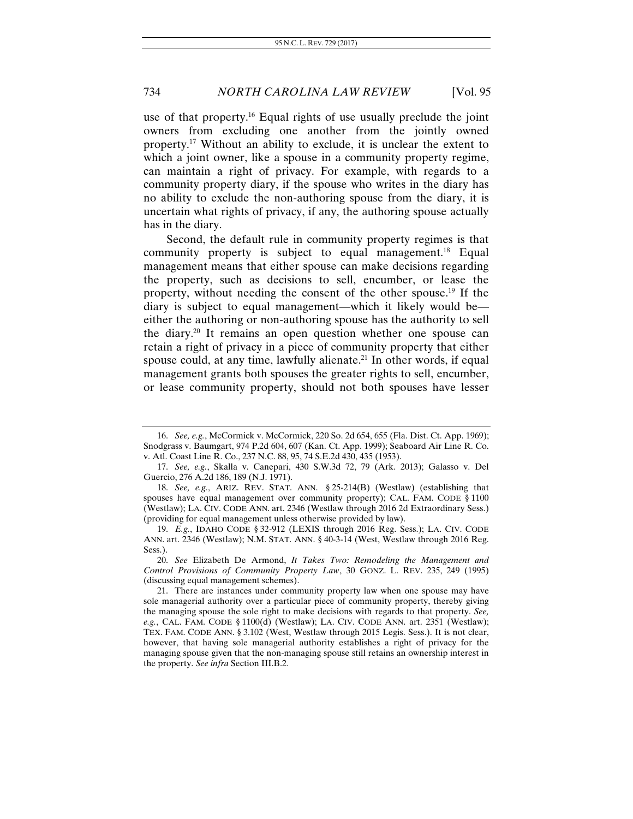use of that property.16 Equal rights of use usually preclude the joint owners from excluding one another from the jointly owned property.17 Without an ability to exclude, it is unclear the extent to which a joint owner, like a spouse in a community property regime, can maintain a right of privacy. For example, with regards to a community property diary, if the spouse who writes in the diary has no ability to exclude the non-authoring spouse from the diary, it is uncertain what rights of privacy, if any, the authoring spouse actually has in the diary.

Second, the default rule in community property regimes is that community property is subject to equal management.<sup>18</sup> Equal management means that either spouse can make decisions regarding the property, such as decisions to sell, encumber, or lease the property, without needing the consent of the other spouse.19 If the diary is subject to equal management—which it likely would be either the authoring or non-authoring spouse has the authority to sell the diary.20 It remains an open question whether one spouse can retain a right of privacy in a piece of community property that either spouse could, at any time, lawfully alienate.<sup>21</sup> In other words, if equal management grants both spouses the greater rights to sell, encumber, or lease community property, should not both spouses have lesser

<sup>16.</sup> *See, e.g.*, McCormick v. McCormick, 220 So. 2d 654, 655 (Fla. Dist. Ct. App. 1969); Snodgrass v. Baumgart, 974 P.2d 604, 607 (Kan. Ct. App. 1999); Seaboard Air Line R. Co. v. Atl. Coast Line R. Co., 237 N.C. 88, 95, 74 S.E.2d 430, 435 (1953).

<sup>17.</sup> *See, e.g.*, Skalla v. Canepari, 430 S.W.3d 72, 79 (Ark. 2013); Galasso v. Del Guercio, 276 A.2d 186, 189 (N.J. 1971).

<sup>18.</sup> *See, e.g.*, ARIZ. REV. STAT. ANN. § 25-214(B) (Westlaw) (establishing that spouses have equal management over community property); CAL. FAM. CODE § 1100 (Westlaw); LA. CIV. CODE ANN. art. 2346 (Westlaw through 2016 2d Extraordinary Sess.) (providing for equal management unless otherwise provided by law).

<sup>19.</sup> *E.g.*, IDAHO CODE § 32-912 (LEXIS through 2016 Reg. Sess.); LA. CIV. CODE ANN. art. 2346 (Westlaw); N.M. STAT. ANN. § 40-3-14 (West, Westlaw through 2016 Reg. Sess.).

<sup>20.</sup> *See* Elizabeth De Armond, *It Takes Two: Remodeling the Management and Control Provisions of Community Property Law*, 30 GONZ. L. REV. 235, 249 (1995) (discussing equal management schemes).

 <sup>21.</sup> There are instances under community property law when one spouse may have sole managerial authority over a particular piece of community property, thereby giving the managing spouse the sole right to make decisions with regards to that property. *See, e.g.*, CAL. FAM. CODE § 1100(d) (Westlaw); LA. CIV. CODE ANN. art. 2351 (Westlaw); TEX. FAM. CODE ANN. § 3.102 (West, Westlaw through 2015 Legis. Sess.). It is not clear, however, that having sole managerial authority establishes a right of privacy for the managing spouse given that the non-managing spouse still retains an ownership interest in the property. *See infra* Section III.B.2.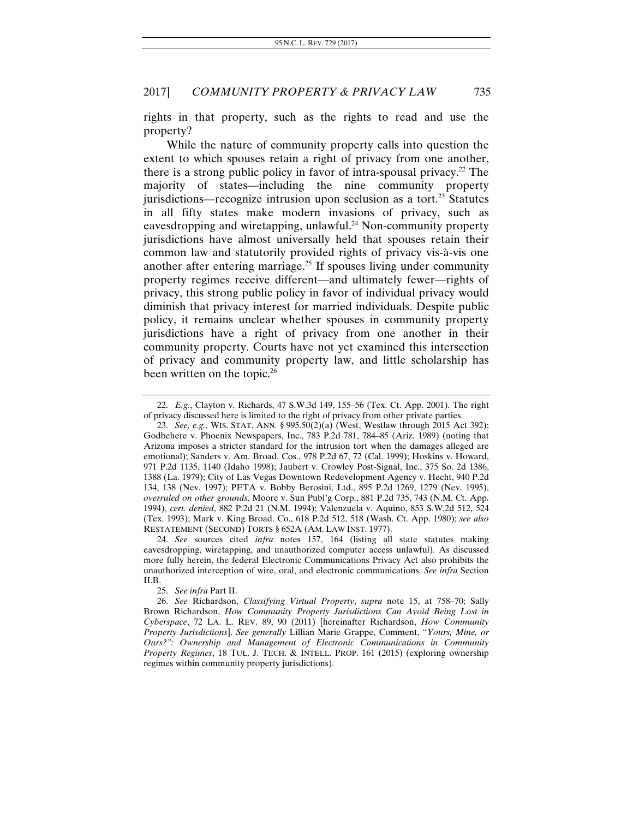rights in that property, such as the rights to read and use the property?

While the nature of community property calls into question the extent to which spouses retain a right of privacy from one another, there is a strong public policy in favor of intra-spousal privacy.<sup>22</sup> The majority of states—including the nine community property jurisdictions—recognize intrusion upon seclusion as a tort.<sup>23</sup> Statutes in all fifty states make modern invasions of privacy, such as eavesdropping and wiretapping, unlawful.<sup>24</sup> Non-community property jurisdictions have almost universally held that spouses retain their common law and statutorily provided rights of privacy vis-à-vis one another after entering marriage.<sup>25</sup> If spouses living under community property regimes receive different—and ultimately fewer—rights of privacy, this strong public policy in favor of individual privacy would diminish that privacy interest for married individuals. Despite public policy, it remains unclear whether spouses in community property jurisdictions have a right of privacy from one another in their community property. Courts have not yet examined this intersection of privacy and community property law, and little scholarship has been written on the topic.<sup>26</sup>

25. *See infra* Part II.

 <sup>22.</sup> *E.g.*, Clayton v. Richards, 47 S.W.3d 149, 155–56 (Tex. Ct. App. 2001). The right of privacy discussed here is limited to the right of privacy from other private parties.

<sup>23.</sup> *See, e.g.*, WIS. STAT. ANN. § 995.50(2)(a) (West, Westlaw through 2015 Act 392); Godbehere v. Phoenix Newspapers, Inc., 783 P.2d 781, 784–85 (Ariz. 1989) (noting that Arizona imposes a stricter standard for the intrusion tort when the damages alleged are emotional); Sanders v. Am. Broad. Cos., 978 P.2d 67, 72 (Cal. 1999); Hoskins v. Howard, 971 P.2d 1135, 1140 (Idaho 1998); Jaubert v. Crowley Post-Signal, Inc., 375 So. 2d 1386, 1388 (La. 1979); City of Las Vegas Downtown Redevelopment Agency v. Hecht, 940 P.2d 134, 138 (Nev. 1997); PETA v. Bobby Berosini, Ltd., 895 P.2d 1269, 1279 (Nev. 1995), *overruled on other grounds*, Moore v. Sun Publ'g Corp., 881 P.2d 735, 743 (N.M. Ct. App. 1994), *cert. denied*, 882 P.2d 21 (N.M. 1994); Valenzuela v. Aquino, 853 S.W.2d 512, 524 (Tex. 1993); Mark v. King Broad. Co., 618 P.2d 512, 518 (Wash. Ct. App. 1980); *see also*  RESTATEMENT (SECOND) TORTS § 652A (AM. LAW INST. 1977).

<sup>24.</sup> *See* sources cited *infra* notes 157, 164 (listing all state statutes making eavesdropping, wiretapping, and unauthorized computer access unlawful). As discussed more fully herein, the federal Electronic Communications Privacy Act also prohibits the unauthorized interception of wire, oral, and electronic communications. *See infra* Section II.B.

<sup>26.</sup> *See* Richardson, *Classifying Virtual Property*, *supra* note 15, at 758–70; Sally Brown Richardson, *How Community Property Jurisdictions Can Avoid Being Lost in Cyberspace*, 72 LA. L. REV. 89, 90 (2011) [hereinafter Richardson, *How Community Property Jurisdictions*]. *See generally* Lillian Marie Grappe, Comment, "*Yours, Mine, or Ours?": Ownership and Management of Electronic Communications in Community Property Regimes*, 18 TUL. J. TECH. & INTELL. PROP. 161 (2015) (exploring ownership regimes within community property jurisdictions).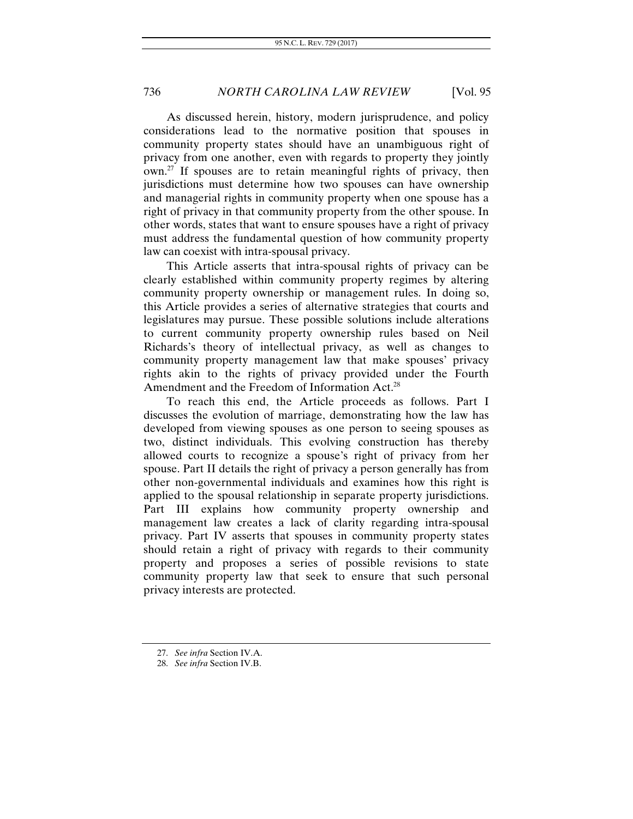As discussed herein, history, modern jurisprudence, and policy considerations lead to the normative position that spouses in community property states should have an unambiguous right of privacy from one another, even with regards to property they jointly  $own<sup>27</sup>$  If spouses are to retain meaningful rights of privacy, then jurisdictions must determine how two spouses can have ownership and managerial rights in community property when one spouse has a right of privacy in that community property from the other spouse. In other words, states that want to ensure spouses have a right of privacy must address the fundamental question of how community property law can coexist with intra-spousal privacy.

This Article asserts that intra-spousal rights of privacy can be clearly established within community property regimes by altering community property ownership or management rules. In doing so, this Article provides a series of alternative strategies that courts and legislatures may pursue. These possible solutions include alterations to current community property ownership rules based on Neil Richards's theory of intellectual privacy, as well as changes to community property management law that make spouses' privacy rights akin to the rights of privacy provided under the Fourth Amendment and the Freedom of Information Act.28

To reach this end, the Article proceeds as follows. Part I discusses the evolution of marriage, demonstrating how the law has developed from viewing spouses as one person to seeing spouses as two, distinct individuals. This evolving construction has thereby allowed courts to recognize a spouse's right of privacy from her spouse. Part II details the right of privacy a person generally has from other non-governmental individuals and examines how this right is applied to the spousal relationship in separate property jurisdictions. Part III explains how community property ownership and management law creates a lack of clarity regarding intra-spousal privacy. Part IV asserts that spouses in community property states should retain a right of privacy with regards to their community property and proposes a series of possible revisions to state community property law that seek to ensure that such personal privacy interests are protected.

<sup>27.</sup> *See infra* Section IV.A.

<sup>28.</sup> *See infra* Section IV.B.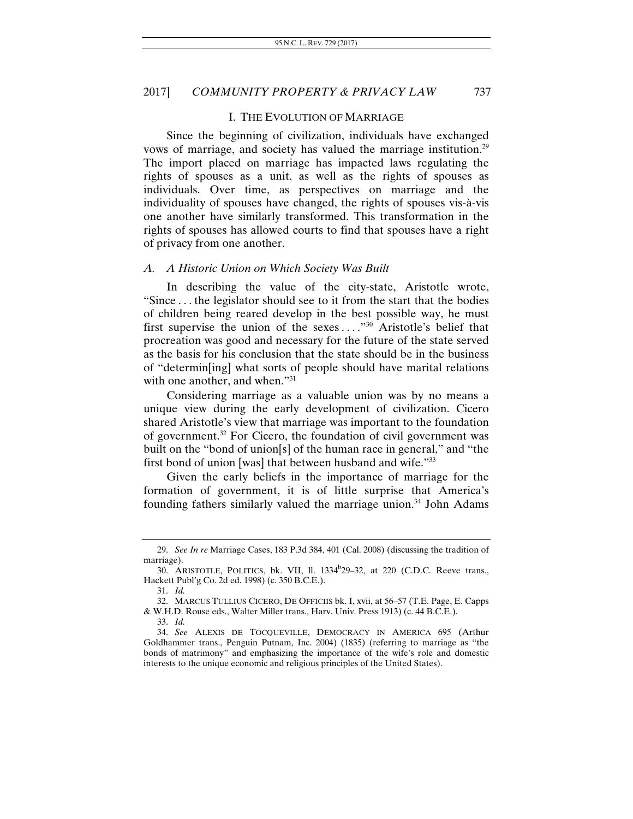#### I. THE EVOLUTION OF MARRIAGE

Since the beginning of civilization, individuals have exchanged vows of marriage, and society has valued the marriage institution.29 The import placed on marriage has impacted laws regulating the rights of spouses as a unit, as well as the rights of spouses as individuals. Over time, as perspectives on marriage and the individuality of spouses have changed, the rights of spouses vis-à-vis one another have similarly transformed. This transformation in the rights of spouses has allowed courts to find that spouses have a right of privacy from one another.

#### *A. A Historic Union on Which Society Was Built*

In describing the value of the city-state, Aristotle wrote, "Since . . . the legislator should see to it from the start that the bodies of children being reared develop in the best possible way, he must first supervise the union of the sexes . . . ."30 Aristotle's belief that procreation was good and necessary for the future of the state served as the basis for his conclusion that the state should be in the business of "determin[ing] what sorts of people should have marital relations with one another, and when."<sup>31</sup>

Considering marriage as a valuable union was by no means a unique view during the early development of civilization. Cicero shared Aristotle's view that marriage was important to the foundation of government.32 For Cicero, the foundation of civil government was built on the "bond of union[s] of the human race in general," and "the first bond of union [was] that between husband and wife."33

Given the early beliefs in the importance of marriage for the formation of government, it is of little surprise that America's founding fathers similarly valued the marriage union.<sup>34</sup> John Adams

<sup>29.</sup> *See In re* Marriage Cases, 183 P.3d 384, 401 (Cal. 2008) (discussing the tradition of marriage).

<sup>30.</sup> ARISTOTLE, POLITICS, bk. VII, ll. 1334<sup>b</sup>29-32, at 220 (C.D.C. Reeve trans., Hackett Publ'g Co. 2d ed. 1998) (c. 350 B.C.E.).

<sup>31.</sup> *Id.* 

 <sup>32.</sup> MARCUS TULLIUS CICERO, DE OFFICIIS bk. I, xvii, at 56–57 (T.E. Page, E. Capps & W.H.D. Rouse eds., Walter Miller trans., Harv. Univ. Press 1913) (c. 44 B.C.E.). 33. *Id.* 

<sup>34.</sup> *See* ALEXIS DE TOCQUEVILLE, DEMOCRACY IN AMERICA 695 (Arthur Goldhammer trans., Penguin Putnam, Inc. 2004) (1835) (referring to marriage as "the bonds of matrimony" and emphasizing the importance of the wife's role and domestic interests to the unique economic and religious principles of the United States).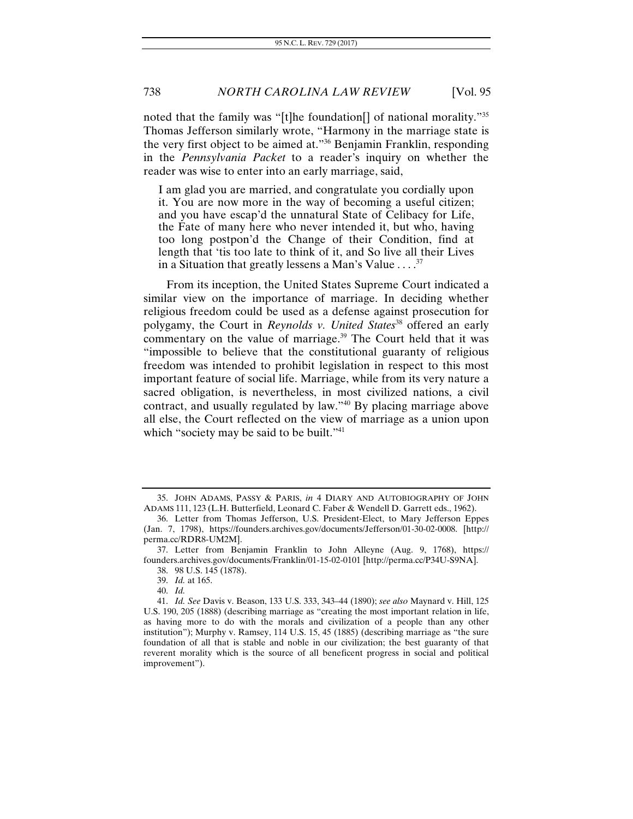noted that the family was "[t]he foundation[] of national morality."35 Thomas Jefferson similarly wrote, "Harmony in the marriage state is the very first object to be aimed at."36 Benjamin Franklin, responding in the *Pennsylvania Packet* to a reader's inquiry on whether the reader was wise to enter into an early marriage, said,

I am glad you are married, and congratulate you cordially upon it. You are now more in the way of becoming a useful citizen; and you have escap'd the unnatural State of Celibacy for Life, the Fate of many here who never intended it, but who, having too long postpon'd the Change of their Condition, find at length that 'tis too late to think of it, and So live all their Lives in a Situation that greatly lessens a Man's Value . . . .<sup>37</sup>

From its inception, the United States Supreme Court indicated a similar view on the importance of marriage. In deciding whether religious freedom could be used as a defense against prosecution for polygamy, the Court in *Reynolds v. United States*<sup>38</sup> offered an early commentary on the value of marriage.<sup>39</sup> The Court held that it was "impossible to believe that the constitutional guaranty of religious freedom was intended to prohibit legislation in respect to this most important feature of social life. Marriage, while from its very nature a sacred obligation, is nevertheless, in most civilized nations, a civil contract, and usually regulated by law."40 By placing marriage above all else, the Court reflected on the view of marriage as a union upon which "society may be said to be built."<sup>41</sup>

 <sup>35.</sup> JOHN ADAMS, PASSY & PARIS, *in* 4 DIARY AND AUTOBIOGRAPHY OF JOHN ADAMS 111, 123 (L.H. Butterfield, Leonard C. Faber & Wendell D. Garrett eds., 1962).

 <sup>36.</sup> Letter from Thomas Jefferson, U.S. President-Elect, to Mary Jefferson Eppes (Jan. 7, 1798), https://founders.archives.gov/documents/Jefferson/01-30-02-0008. [http:// perma.cc/RDR8-UM2M].

 <sup>37.</sup> Letter from Benjamin Franklin to John Alleyne (Aug. 9, 1768), https:// founders.archives.gov/documents/Franklin/01-15-02-0101 [http://perma.cc/P34U-S9NA]. 38. 98 U.S. 145 (1878).

<sup>39.</sup> *Id.* at 165.

<sup>40.</sup> *Id.* 

<sup>41.</sup> *Id. See* Davis v. Beason, 133 U.S. 333, 343–44 (1890); *see also* Maynard v. Hill, 125 U.S. 190, 205 (1888) (describing marriage as "creating the most important relation in life, as having more to do with the morals and civilization of a people than any other institution"); Murphy v. Ramsey, 114 U.S. 15, 45 (1885) (describing marriage as "the sure foundation of all that is stable and noble in our civilization; the best guaranty of that reverent morality which is the source of all beneficent progress in social and political improvement").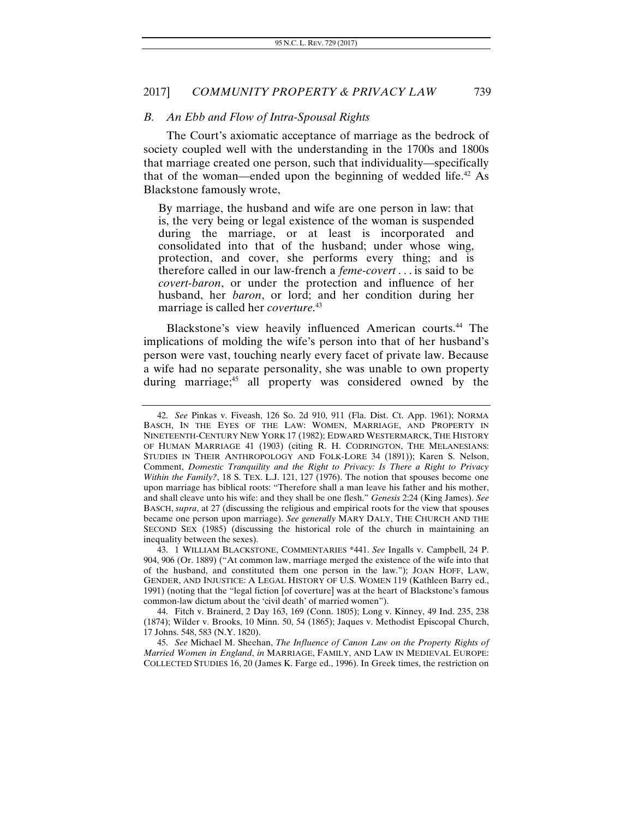#### *B. An Ebb and Flow of Intra-Spousal Rights*

The Court's axiomatic acceptance of marriage as the bedrock of society coupled well with the understanding in the 1700s and 1800s that marriage created one person, such that individuality—specifically that of the woman—ended upon the beginning of wedded life.<sup>42</sup> As Blackstone famously wrote,

By marriage, the husband and wife are one person in law: that is, the very being or legal existence of the woman is suspended during the marriage, or at least is incorporated and consolidated into that of the husband; under whose wing, protection, and cover, she performs every thing; and is therefore called in our law-french a *feme-covert* . . . is said to be *covert-baron*, or under the protection and influence of her husband, her *baron*, or lord; and her condition during her marriage is called her *coverture*. 43

Blackstone's view heavily influenced American courts.<sup>44</sup> The implications of molding the wife's person into that of her husband's person were vast, touching nearly every facet of private law. Because a wife had no separate personality, she was unable to own property during marriage;<sup>45</sup> all property was considered owned by the

 43. 1 WILLIAM BLACKSTONE, COMMENTARIES \*441. *See* Ingalls v. Campbell, 24 P. 904, 906 (Or. 1889) ("At common law, marriage merged the existence of the wife into that of the husband, and constituted them one person in the law."); JOAN HOFF, LAW, GENDER, AND INJUSTICE: A LEGAL HISTORY OF U.S. WOMEN 119 (Kathleen Barry ed., 1991) (noting that the "legal fiction [of coverture] was at the heart of Blackstone's famous common-law dictum about the 'civil death' of married women").

 44. Fitch v. Brainerd, 2 Day 163, 169 (Conn. 1805); Long v. Kinney, 49 Ind. 235, 238 (1874); Wilder v. Brooks, 10 Minn. 50, 54 (1865); Jaques v. Methodist Episcopal Church, 17 Johns. 548, 583 (N.Y. 1820).

45. *See* Michael M. Sheehan, *The Influence of Canon Law on the Property Rights of Married Women in England*, *in* MARRIAGE, FAMILY, AND LAW IN MEDIEVAL EUROPE: COLLECTED STUDIES 16, 20 (James K. Farge ed., 1996). In Greek times, the restriction on

<sup>42.</sup> *See* Pinkas v. Fiveash, 126 So. 2d 910, 911 (Fla. Dist. Ct. App. 1961); NORMA BASCH, IN THE EYES OF THE LAW: WOMEN, MARRIAGE, AND PROPERTY IN NINETEENTH-CENTURY NEW YORK 17 (1982); EDWARD WESTERMARCK, THE HISTORY OF HUMAN MARRIAGE 41 (1903) (citing R. H. CODRINGTON, THE MELANESIANS: STUDIES IN THEIR ANTHROPOLOGY AND FOLK-LORE 34 (1891)); Karen S. Nelson, Comment, *Domestic Tranquility and the Right to Privacy: Is There a Right to Privacy Within the Family?*, 18 S. TEX. L.J. 121, 127 (1976). The notion that spouses become one upon marriage has biblical roots: "Therefore shall a man leave his father and his mother, and shall cleave unto his wife: and they shall be one flesh." *Genesis* 2:24 (King James). *See*  BASCH, *supra*, at 27 (discussing the religious and empirical roots for the view that spouses became one person upon marriage). *See generally* MARY DALY, THE CHURCH AND THE SECOND SEX (1985) (discussing the historical role of the church in maintaining an inequality between the sexes).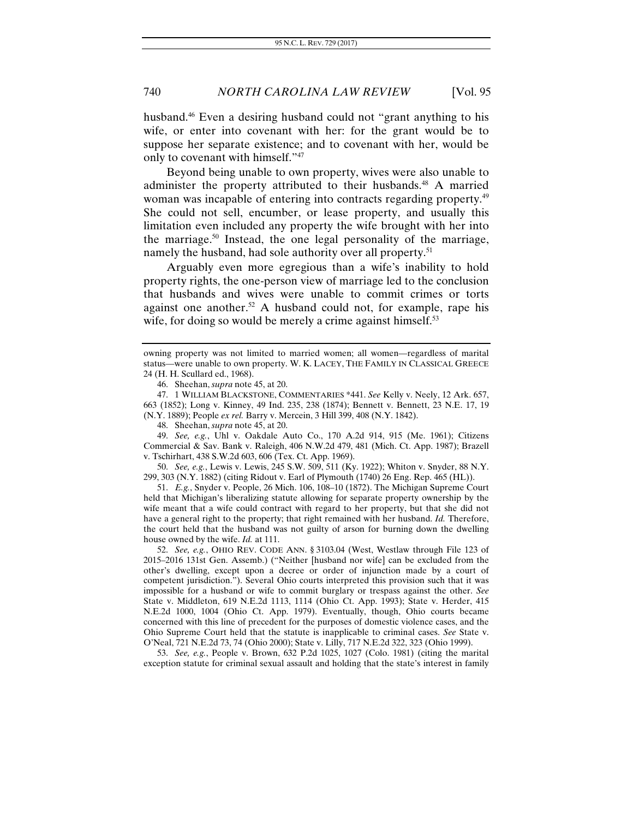husband.<sup>46</sup> Even a desiring husband could not "grant anything to his wife, or enter into covenant with her: for the grant would be to suppose her separate existence; and to covenant with her, would be only to covenant with himself."47

Beyond being unable to own property, wives were also unable to administer the property attributed to their husbands.<sup>48</sup> A married woman was incapable of entering into contracts regarding property.<sup>49</sup> She could not sell, encumber, or lease property, and usually this limitation even included any property the wife brought with her into the marriage.<sup>50</sup> Instead, the one legal personality of the marriage, namely the husband, had sole authority over all property.<sup>51</sup>

Arguably even more egregious than a wife's inability to hold property rights, the one-person view of marriage led to the conclusion that husbands and wives were unable to commit crimes or torts against one another.<sup>52</sup> A husband could not, for example, rape his wife, for doing so would be merely a crime against himself.<sup>53</sup>

49. *See, e.g.*, Uhl v. Oakdale Auto Co., 170 A.2d 914, 915 (Me. 1961); Citizens Commercial & Sav. Bank v. Raleigh, 406 N.W.2d 479, 481 (Mich. Ct. App. 1987); Brazell v. Tschirhart, 438 S.W.2d 603, 606 (Tex. Ct. App. 1969).

50. *See, e.g.*, Lewis v. Lewis, 245 S.W. 509, 511 (Ky. 1922); Whiton v. Snyder, 88 N.Y. 299, 303 (N.Y. 1882) (citing Ridout v. Earl of Plymouth (1740) 26 Eng. Rep. 465 (HL)).

 51. *E.g.*, Snyder v. People, 26 Mich. 106, 108–10 (1872). The Michigan Supreme Court held that Michigan's liberalizing statute allowing for separate property ownership by the wife meant that a wife could contract with regard to her property, but that she did not have a general right to the property; that right remained with her husband. *Id.* Therefore, the court held that the husband was not guilty of arson for burning down the dwelling house owned by the wife. *Id.* at 111.

52. *See, e.g.*, OHIO REV. CODE ANN. § 3103.04 (West, Westlaw through File 123 of 2015–2016 131st Gen. Assemb.) ("Neither [husband nor wife] can be excluded from the other's dwelling, except upon a decree or order of injunction made by a court of competent jurisdiction."). Several Ohio courts interpreted this provision such that it was impossible for a husband or wife to commit burglary or trespass against the other. *See*  State v. Middleton, 619 N.E.2d 1113, 1114 (Ohio Ct. App. 1993); State v. Herder, 415 N.E.2d 1000, 1004 (Ohio Ct. App. 1979). Eventually, though, Ohio courts became concerned with this line of precedent for the purposes of domestic violence cases, and the Ohio Supreme Court held that the statute is inapplicable to criminal cases. *See* State v. O'Neal, 721 N.E.2d 73, 74 (Ohio 2000); State v. Lilly, 717 N.E.2d 322, 323 (Ohio 1999).

53. *See, e.g.*, People v. Brown, 632 P.2d 1025, 1027 (Colo. 1981) (citing the marital exception statute for criminal sexual assault and holding that the state's interest in family

owning property was not limited to married women; all women—regardless of marital status—were unable to own property. W. K. LACEY, THE FAMILY IN CLASSICAL GREECE 24 (H. H. Scullard ed., 1968).

 <sup>46.</sup> Sheehan, *supra* note 45, at 20.

 <sup>47. 1</sup> WILLIAM BLACKSTONE, COMMENTARIES \*441. *See* Kelly v. Neely, 12 Ark. 657, 663 (1852); Long v. Kinney, 49 Ind. 235, 238 (1874); Bennett v. Bennett, 23 N.E. 17, 19 (N.Y. 1889); People *ex rel.* Barry v. Mercein, 3 Hill 399, 408 (N.Y. 1842).

 <sup>48.</sup> Sheehan, *supra* note 45, at 20.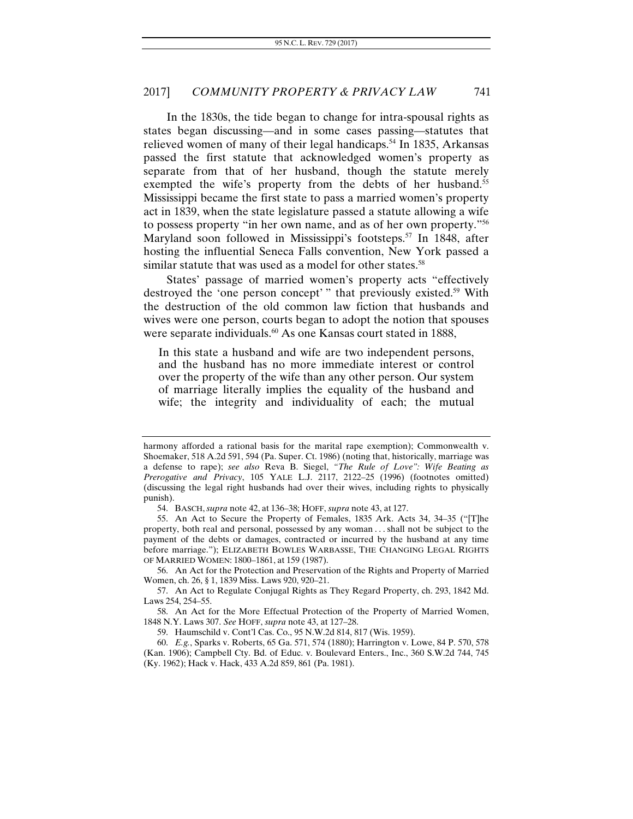In the 1830s, the tide began to change for intra-spousal rights as states began discussing—and in some cases passing—statutes that relieved women of many of their legal handicaps.<sup>54</sup> In 1835, Arkansas passed the first statute that acknowledged women's property as separate from that of her husband, though the statute merely exempted the wife's property from the debts of her husband.<sup>55</sup> Mississippi became the first state to pass a married women's property act in 1839, when the state legislature passed a statute allowing a wife to possess property "in her own name, and as of her own property."56 Maryland soon followed in Mississippi's footsteps.<sup>57</sup> In 1848, after hosting the influential Seneca Falls convention, New York passed a similar statute that was used as a model for other states.<sup>58</sup>

States' passage of married women's property acts "effectively destroyed the 'one person concept' " that previously existed.<sup>59</sup> With the destruction of the old common law fiction that husbands and wives were one person, courts began to adopt the notion that spouses were separate individuals.<sup>60</sup> As one Kansas court stated in 1888,

In this state a husband and wife are two independent persons, and the husband has no more immediate interest or control over the property of the wife than any other person. Our system of marriage literally implies the equality of the husband and wife; the integrity and individuality of each; the mutual

 56. An Act for the Protection and Preservation of the Rights and Property of Married Women, ch. 26, § 1, 1839 Miss. Laws 920, 920–21.

harmony afforded a rational basis for the marital rape exemption); Commonwealth v. Shoemaker, 518 A.2d 591, 594 (Pa. Super. Ct. 1986) (noting that, historically, marriage was a defense to rape); *see also* Reva B. Siegel, *"The Rule of Love": Wife Beating as Prerogative and Privacy*, 105 YALE L.J. 2117, 2122–25 (1996) (footnotes omitted) (discussing the legal right husbands had over their wives, including rights to physically punish).

 <sup>54.</sup> BASCH, *supra* note 42, at 136–38; HOFF, *supra* note 43, at 127.

 <sup>55.</sup> An Act to Secure the Property of Females, 1835 Ark. Acts 34, 34–35 ("[T]he property, both real and personal, possessed by any woman . . . shall not be subject to the payment of the debts or damages, contracted or incurred by the husband at any time before marriage."); ELIZABETH BOWLES WARBASSE, THE CHANGING LEGAL RIGHTS OF MARRIED WOMEN: 1800–1861, at 159 (1987).

 <sup>57.</sup> An Act to Regulate Conjugal Rights as They Regard Property, ch. 293, 1842 Md. Laws 254, 254–55.

 <sup>58.</sup> An Act for the More Effectual Protection of the Property of Married Women, 1848 N.Y. Laws 307. *See* HOFF, *supra* note 43, at 127–28.

 <sup>59.</sup> Haumschild v. Cont'l Cas. Co., 95 N.W.2d 814, 817 (Wis. 1959).

<sup>60.</sup> *E.g.*, Sparks v. Roberts, 65 Ga. 571, 574 (1880); Harrington v. Lowe, 84 P. 570, 578 (Kan. 1906); Campbell Cty. Bd. of Educ. v. Boulevard Enters., Inc., 360 S.W.2d 744, 745 (Ky. 1962); Hack v. Hack, 433 A.2d 859, 861 (Pa. 1981).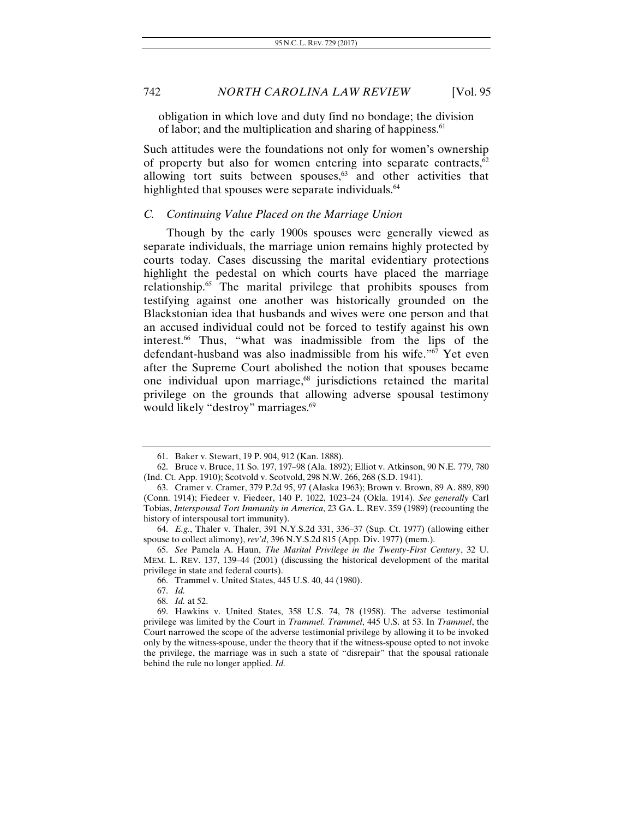obligation in which love and duty find no bondage; the division of labor; and the multiplication and sharing of happiness.<sup>61</sup>

Such attitudes were the foundations not only for women's ownership of property but also for women entering into separate contracts, $62$ allowing tort suits between spouses, $63$  and other activities that highlighted that spouses were separate individuals.<sup>64</sup>

#### *C. Continuing Value Placed on the Marriage Union*

Though by the early 1900s spouses were generally viewed as separate individuals, the marriage union remains highly protected by courts today. Cases discussing the marital evidentiary protections highlight the pedestal on which courts have placed the marriage relationship.65 The marital privilege that prohibits spouses from testifying against one another was historically grounded on the Blackstonian idea that husbands and wives were one person and that an accused individual could not be forced to testify against his own interest.66 Thus, "what was inadmissible from the lips of the defendant-husband was also inadmissible from his wife."67 Yet even after the Supreme Court abolished the notion that spouses became one individual upon marriage,<sup>68</sup> jurisdictions retained the marital privilege on the grounds that allowing adverse spousal testimony would likely "destroy" marriages.<sup>69</sup>

 <sup>61.</sup> Baker v. Stewart, 19 P. 904, 912 (Kan. 1888).

 <sup>62.</sup> Bruce v. Bruce, 11 So. 197, 197–98 (Ala. 1892); Elliot v. Atkinson, 90 N.E. 779, 780 (Ind. Ct. App. 1910); Scotvold v. Scotvold, 298 N.W. 266, 268 (S.D. 1941).

 <sup>63.</sup> Cramer v. Cramer, 379 P.2d 95, 97 (Alaska 1963); Brown v. Brown, 89 A. 889, 890 (Conn. 1914); Fiedeer v. Fiedeer, 140 P. 1022, 1023–24 (Okla. 1914). *See generally* Carl Tobias, *Interspousal Tort Immunity in America*, 23 GA. L. REV. 359 (1989) (recounting the history of interspousal tort immunity).

<sup>64.</sup> *E.g.*, Thaler v. Thaler, 391 N.Y.S.2d 331, 336–37 (Sup. Ct. 1977) (allowing either spouse to collect alimony), *rev'd*, 396 N.Y.S.2d 815 (App. Div. 1977) (mem.).

<sup>65.</sup> *See* Pamela A. Haun, *The Marital Privilege in the Twenty-First Century*, 32 U. MEM. L. REV. 137, 139–44 (2001) (discussing the historical development of the marital privilege in state and federal courts).

 <sup>66.</sup> Trammel v. United States, 445 U.S. 40, 44 (1980).

<sup>67.</sup> *Id.*

<sup>68.</sup> *Id.* at 52.

 <sup>69.</sup> Hawkins v. United States, 358 U.S. 74, 78 (1958). The adverse testimonial privilege was limited by the Court in *Trammel*. *Trammel*, 445 U.S. at 53. In *Trammel*, the Court narrowed the scope of the adverse testimonial privilege by allowing it to be invoked only by the witness-spouse, under the theory that if the witness-spouse opted to not invoke the privilege, the marriage was in such a state of "disrepair" that the spousal rationale behind the rule no longer applied. *Id.*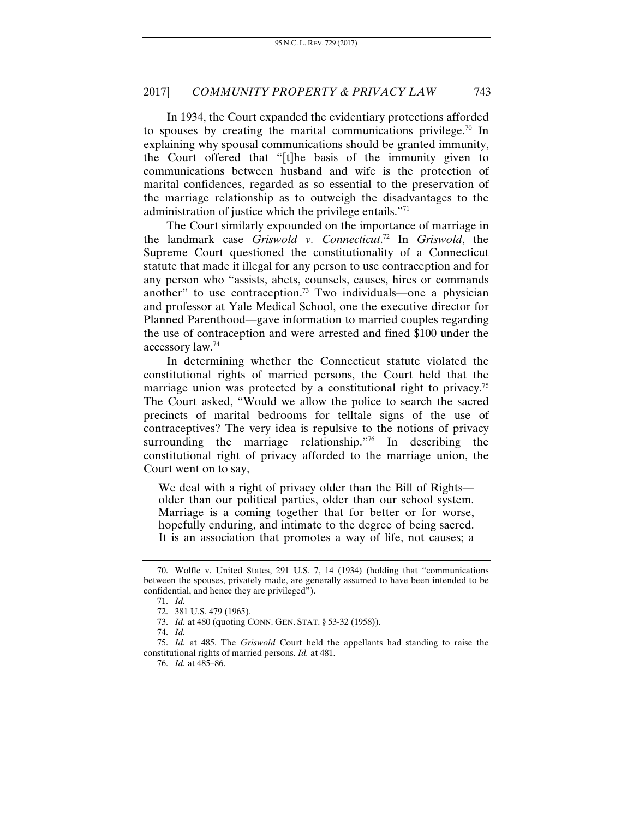In 1934, the Court expanded the evidentiary protections afforded to spouses by creating the marital communications privilege.<sup>70</sup> In explaining why spousal communications should be granted immunity, the Court offered that "[t]he basis of the immunity given to communications between husband and wife is the protection of marital confidences, regarded as so essential to the preservation of the marriage relationship as to outweigh the disadvantages to the administration of justice which the privilege entails."71

The Court similarly expounded on the importance of marriage in the landmark case *Griswold v. Connecticut*. 72 In *Griswold*, the Supreme Court questioned the constitutionality of a Connecticut statute that made it illegal for any person to use contraception and for any person who "assists, abets, counsels, causes, hires or commands another" to use contraception.<sup>73</sup> Two individuals—one a physician and professor at Yale Medical School, one the executive director for Planned Parenthood—gave information to married couples regarding the use of contraception and were arrested and fined \$100 under the accessory law.74

In determining whether the Connecticut statute violated the constitutional rights of married persons, the Court held that the marriage union was protected by a constitutional right to privacy.<sup>75</sup> The Court asked, "Would we allow the police to search the sacred precincts of marital bedrooms for telltale signs of the use of contraceptives? The very idea is repulsive to the notions of privacy surrounding the marriage relationship."<sup>76</sup> In describing the constitutional right of privacy afforded to the marriage union, the Court went on to say,

We deal with a right of privacy older than the Bill of Rights older than our political parties, older than our school system. Marriage is a coming together that for better or for worse, hopefully enduring, and intimate to the degree of being sacred. It is an association that promotes a way of life, not causes; a

 <sup>70.</sup> Wolfle v. United States, 291 U.S. 7, 14 (1934) (holding that "communications between the spouses, privately made, are generally assumed to have been intended to be confidential, and hence they are privileged").

<sup>71.</sup> *Id.*

 <sup>72. 381</sup> U.S. 479 (1965).

<sup>73.</sup> *Id.* at 480 (quoting CONN. GEN. STAT. § 53-32 (1958)).

<sup>74.</sup> *Id.* 

<sup>75.</sup> *Id.* at 485. The *Griswold* Court held the appellants had standing to raise the constitutional rights of married persons. *Id.* at 481.

<sup>76.</sup> *Id.* at 485–86.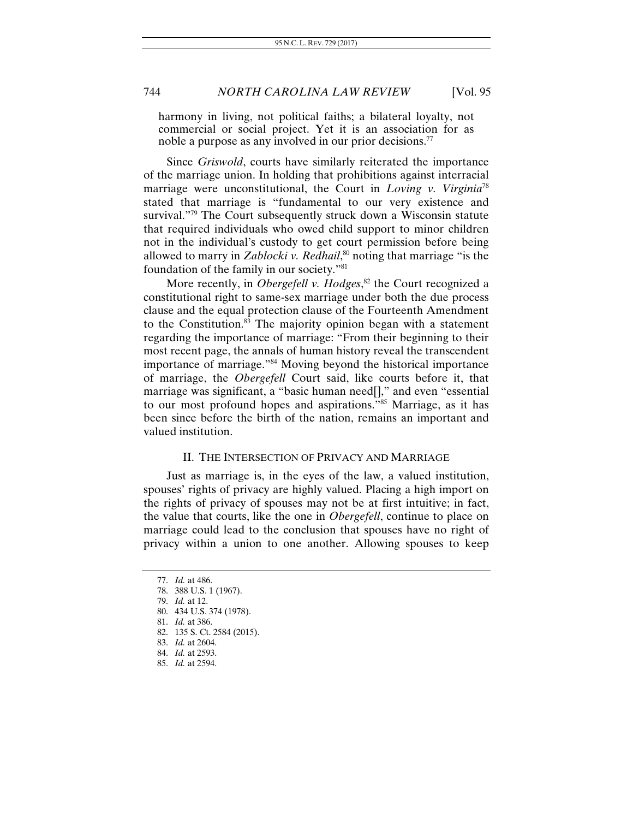harmony in living, not political faiths; a bilateral loyalty, not commercial or social project. Yet it is an association for as noble a purpose as any involved in our prior decisions.77

Since *Griswold*, courts have similarly reiterated the importance of the marriage union. In holding that prohibitions against interracial marriage were unconstitutional, the Court in *Loving v. Virginia*<sup>78</sup> stated that marriage is "fundamental to our very existence and survival."79 The Court subsequently struck down a Wisconsin statute that required individuals who owed child support to minor children not in the individual's custody to get court permission before being allowed to marry in *Zablocki v. Redhail*, 80 noting that marriage "is the foundation of the family in our society."81

More recently, in *Obergefell v. Hodges*, <sup>82</sup> the Court recognized a constitutional right to same-sex marriage under both the due process clause and the equal protection clause of the Fourteenth Amendment to the Constitution.83 The majority opinion began with a statement regarding the importance of marriage: "From their beginning to their most recent page, the annals of human history reveal the transcendent importance of marriage."84 Moving beyond the historical importance of marriage, the *Obergefell* Court said, like courts before it, that marriage was significant, a "basic human need[]," and even "essential to our most profound hopes and aspirations."85 Marriage, as it has been since before the birth of the nation, remains an important and valued institution.

## II. THE INTERSECTION OF PRIVACY AND MARRIAGE

Just as marriage is, in the eyes of the law, a valued institution, spouses' rights of privacy are highly valued. Placing a high import on the rights of privacy of spouses may not be at first intuitive; in fact, the value that courts, like the one in *Obergefell*, continue to place on marriage could lead to the conclusion that spouses have no right of privacy within a union to one another. Allowing spouses to keep

82. 135 S. Ct. 2584 (2015).

<sup>77.</sup> *Id.* at 486. 78. 388 U.S. 1 (1967).

<sup>79.</sup> *Id.* at 12.

 <sup>80. 434</sup> U.S. 374 (1978).

<sup>81.</sup> *Id.* at 386.

<sup>83.</sup> *Id.* at 2604.

<sup>84.</sup> *Id.* at 2593.

<sup>85.</sup> *Id.* at 2594.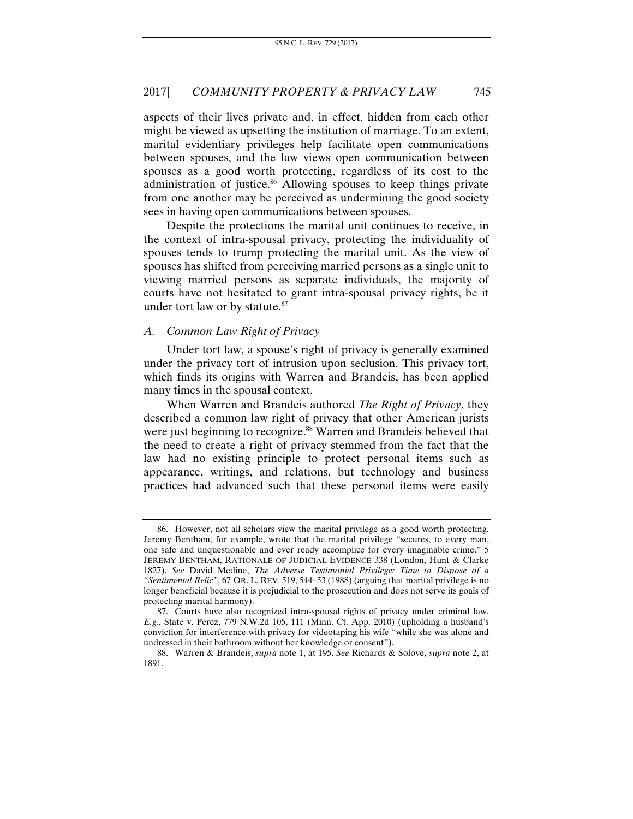aspects of their lives private and, in effect, hidden from each other might be viewed as upsetting the institution of marriage. To an extent, marital evidentiary privileges help facilitate open communications between spouses, and the law views open communication between spouses as a good worth protecting, regardless of its cost to the administration of justice.<sup>86</sup> Allowing spouses to keep things private from one another may be perceived as undermining the good society sees in having open communications between spouses.

Despite the protections the marital unit continues to receive, in the context of intra-spousal privacy, protecting the individuality of spouses tends to trump protecting the marital unit. As the view of spouses has shifted from perceiving married persons as a single unit to viewing married persons as separate individuals, the majority of courts have not hesitated to grant intra-spousal privacy rights, be it under tort law or by statute.<sup>87</sup>

### *A. Common Law Right of Privacy*

Under tort law, a spouse's right of privacy is generally examined under the privacy tort of intrusion upon seclusion. This privacy tort, which finds its origins with Warren and Brandeis, has been applied many times in the spousal context.

When Warren and Brandeis authored *The Right of Privacy*, they described a common law right of privacy that other American jurists were just beginning to recognize.<sup>88</sup> Warren and Brandeis believed that the need to create a right of privacy stemmed from the fact that the law had no existing principle to protect personal items such as appearance, writings, and relations, but technology and business practices had advanced such that these personal items were easily

 <sup>86.</sup> However, not all scholars view the marital privilege as a good worth protecting. Jeremy Bentham, for example, wrote that the marital privilege "secures, to every man, one safe and unquestionable and ever ready accomplice for every imaginable crime." 5 JEREMY BENTHAM, RATIONALE OF JUDICIAL EVIDENCE 338 (London, Hunt & Clarke 1827). *See* David Medine, *The Adverse Testimonial Privilege: Time to Dispose of a "Sentimental Relic"*, 67 OR. L. REV. 519, 544–53 (1988) (arguing that marital privilege is no longer beneficial because it is prejudicial to the prosecution and does not serve its goals of protecting marital harmony).

 <sup>87.</sup> Courts have also recognized intra-spousal rights of privacy under criminal law. *E.g.*, State v. Perez, 779 N.W.2d 105, 111 (Minn. Ct. App. 2010) (upholding a husband's conviction for interference with privacy for videotaping his wife "while she was alone and undressed in their bathroom without her knowledge or consent").

 <sup>88.</sup> Warren & Brandeis, *supra* note 1, at 195. *See* Richards & Solove, *supra* note 2, at 1891.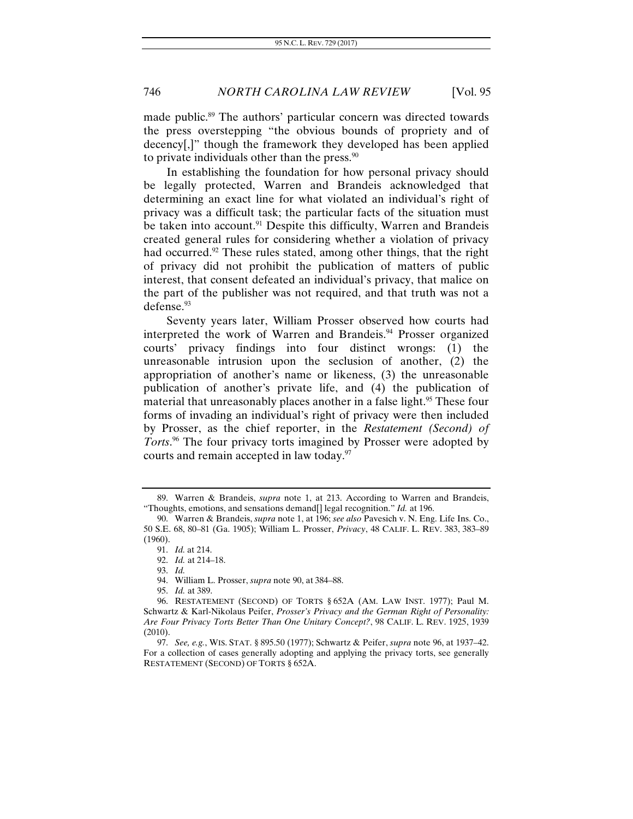made public.89 The authors' particular concern was directed towards the press overstepping "the obvious bounds of propriety and of decency[,]" though the framework they developed has been applied to private individuals other than the press. $90$ 

In establishing the foundation for how personal privacy should be legally protected, Warren and Brandeis acknowledged that determining an exact line for what violated an individual's right of privacy was a difficult task; the particular facts of the situation must be taken into account.<sup>91</sup> Despite this difficulty, Warren and Brandeis created general rules for considering whether a violation of privacy had occurred.<sup>92</sup> These rules stated, among other things, that the right of privacy did not prohibit the publication of matters of public interest, that consent defeated an individual's privacy, that malice on the part of the publisher was not required, and that truth was not a defense.<sup>93</sup>

Seventy years later, William Prosser observed how courts had interpreted the work of Warren and Brandeis.<sup>94</sup> Prosser organized courts' privacy findings into four distinct wrongs: (1) the unreasonable intrusion upon the seclusion of another, (2) the appropriation of another's name or likeness, (3) the unreasonable publication of another's private life, and (4) the publication of material that unreasonably places another in a false light.<sup>95</sup> These four forms of invading an individual's right of privacy were then included by Prosser, as the chief reporter, in the *Restatement (Second) of Torts*. 96 The four privacy torts imagined by Prosser were adopted by courts and remain accepted in law today.<sup>97</sup>

 <sup>89.</sup> Warren & Brandeis, *supra* note 1, at 213. According to Warren and Brandeis, "Thoughts, emotions, and sensations demand[] legal recognition." *Id.* at 196.

<sup>90.</sup> Warren & Brandeis, *supra* note 1, at 196; *see also* Pavesich v. N. Eng. Life Ins. Co., 50 S.E. 68, 80–81 (Ga. 1905); William L. Prosser, *Privacy*, 48 CALIF. L. REV. 383, 383–89 (1960).

<sup>91.</sup> *Id.* at 214.

<sup>92.</sup> *Id.* at 214–18.

<sup>93.</sup> *Id.*

 <sup>94.</sup> William L. Prosser, *supra* note 90, at 384–88.

<sup>95.</sup> *Id.* at 389.

 <sup>96.</sup> RESTATEMENT (SECOND) OF TORTS § 652A (AM. LAW INST. 1977); Paul M. Schwartz & Karl-Nikolaus Peifer, *Prosser's Privacy and the German Right of Personality: Are Four Privacy Torts Better Than One Unitary Concept?*, 98 CALIF. L. REV. 1925, 1939 (2010).

 <sup>97.</sup> *See, e.g.*, WIS. STAT. § 895.50 (1977); Schwartz & Peifer, *supra* note 96, at 1937–42. For a collection of cases generally adopting and applying the privacy torts, see generally RESTATEMENT (SECOND) OF TORTS § 652A.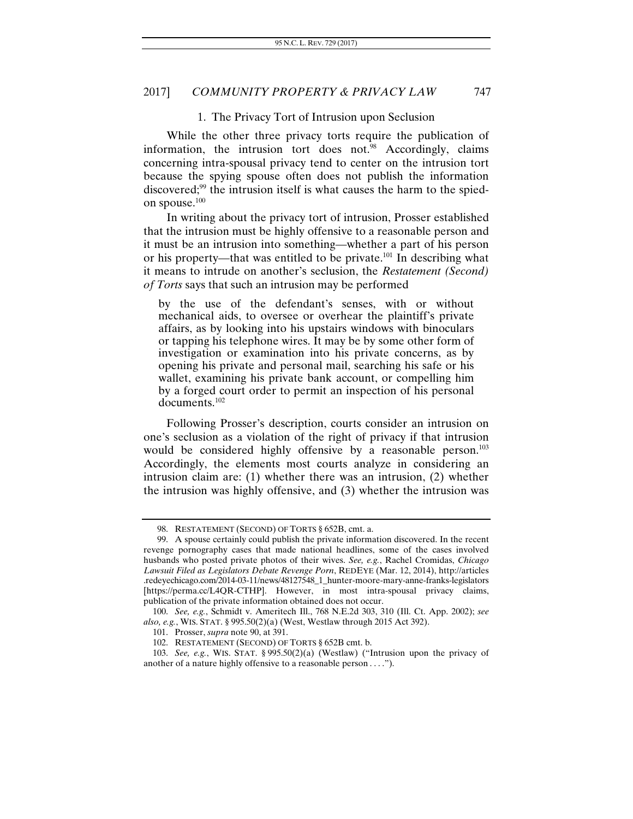#### 1. The Privacy Tort of Intrusion upon Seclusion

While the other three privacy torts require the publication of information, the intrusion tort does not. $98$  Accordingly, claims concerning intra-spousal privacy tend to center on the intrusion tort because the spying spouse often does not publish the information discovered; $99$  the intrusion itself is what causes the harm to the spiedon spouse.<sup>100</sup>

In writing about the privacy tort of intrusion, Prosser established that the intrusion must be highly offensive to a reasonable person and it must be an intrusion into something—whether a part of his person or his property—that was entitled to be private.<sup>101</sup> In describing what it means to intrude on another's seclusion, the *Restatement (Second) of Torts* says that such an intrusion may be performed

by the use of the defendant's senses, with or without mechanical aids, to oversee or overhear the plaintiff's private affairs, as by looking into his upstairs windows with binoculars or tapping his telephone wires. It may be by some other form of investigation or examination into his private concerns, as by opening his private and personal mail, searching his safe or his wallet, examining his private bank account, or compelling him by a forged court order to permit an inspection of his personal documents.102

Following Prosser's description, courts consider an intrusion on one's seclusion as a violation of the right of privacy if that intrusion would be considered highly offensive by a reasonable person.<sup>103</sup> Accordingly, the elements most courts analyze in considering an intrusion claim are: (1) whether there was an intrusion, (2) whether the intrusion was highly offensive, and (3) whether the intrusion was

 <sup>98.</sup> RESTATEMENT (SECOND) OF TORTS § 652B, cmt. a.

 <sup>99.</sup> A spouse certainly could publish the private information discovered. In the recent revenge pornography cases that made national headlines, some of the cases involved husbands who posted private photos of their wives. *See, e.g.*, Rachel Cromidas, *Chicago Lawsuit Filed as Legislators Debate Revenge Porn*, REDEYE (Mar. 12, 2014), http://articles .redeyechicago.com/2014-03-11/news/48127548\_1\_hunter-moore-mary-anne-franks-legislators [https://perma.cc/L4QR-CTHP]. However, in most intra-spousal privacy claims, publication of the private information obtained does not occur.

 <sup>100.</sup> *See, e.g.*, Schmidt v. Ameritech Ill., 768 N.E.2d 303, 310 (Ill. Ct. App. 2002); *see also, e.g.*, WIS. STAT. § 995.50(2)(a) (West, Westlaw through 2015 Act 392).

 <sup>101.</sup> Prosser, *supra* note 90, at 391.

 <sup>102.</sup> RESTATEMENT (SECOND) OF TORTS § 652B cmt. b.

 <sup>103.</sup> *See, e.g.*, WIS. STAT. § 995.50(2)(a) (Westlaw) ("Intrusion upon the privacy of another of a nature highly offensive to a reasonable person . . . .").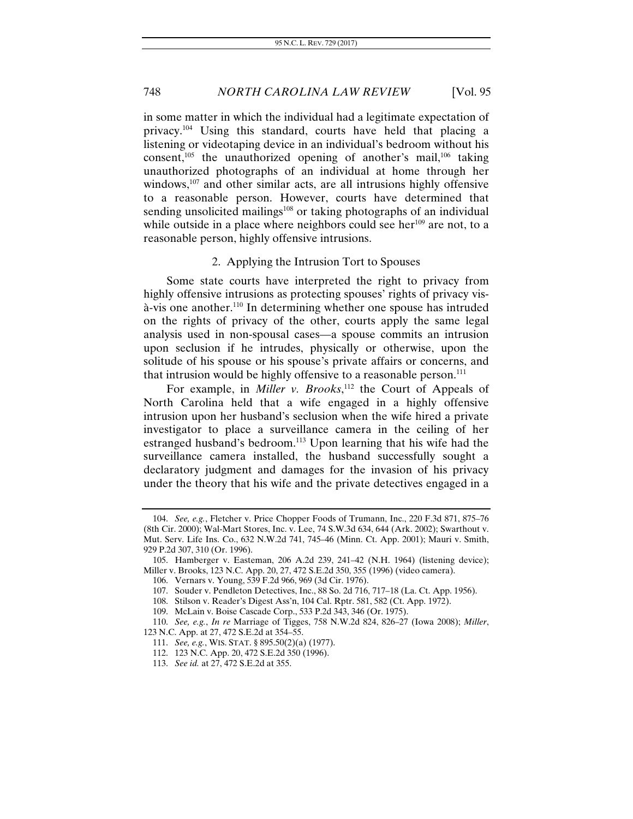in some matter in which the individual had a legitimate expectation of privacy.104 Using this standard, courts have held that placing a listening or videotaping device in an individual's bedroom without his consent, $105$  the unauthorized opening of another's mail, $106$  taking unauthorized photographs of an individual at home through her windows,<sup>107</sup> and other similar acts, are all intrusions highly offensive to a reasonable person. However, courts have determined that sending unsolicited mailings<sup>108</sup> or taking photographs of an individual while outside in a place where neighbors could see her<sup>109</sup> are not, to a reasonable person, highly offensive intrusions.

## 2. Applying the Intrusion Tort to Spouses

Some state courts have interpreted the right to privacy from highly offensive intrusions as protecting spouses' rights of privacy visà-vis one another.110 In determining whether one spouse has intruded on the rights of privacy of the other, courts apply the same legal analysis used in non-spousal cases—a spouse commits an intrusion upon seclusion if he intrudes, physically or otherwise, upon the solitude of his spouse or his spouse's private affairs or concerns, and that intrusion would be highly offensive to a reasonable person. $111$ 

For example, in *Miller v. Brooks*,<sup>112</sup> the Court of Appeals of North Carolina held that a wife engaged in a highly offensive intrusion upon her husband's seclusion when the wife hired a private investigator to place a surveillance camera in the ceiling of her estranged husband's bedroom.<sup>113</sup> Upon learning that his wife had the surveillance camera installed, the husband successfully sought a declaratory judgment and damages for the invasion of his privacy under the theory that his wife and the private detectives engaged in a

<sup>104.</sup> *See, e.g.*, Fletcher v. Price Chopper Foods of Trumann, Inc., 220 F.3d 871, 875–76 (8th Cir. 2000); Wal-Mart Stores, Inc. v. Lee, 74 S.W.3d 634, 644 (Ark. 2002); Swarthout v. Mut. Serv. Life Ins. Co., 632 N.W.2d 741, 745–46 (Minn. Ct. App. 2001); Mauri v. Smith, 929 P.2d 307, 310 (Or. 1996).

 <sup>105.</sup> Hamberger v. Easteman, 206 A.2d 239, 241–42 (N.H. 1964) (listening device); Miller v. Brooks, 123 N.C. App. 20, 27, 472 S.E.2d 350, 355 (1996) (video camera).

 <sup>106.</sup> Vernars v. Young, 539 F.2d 966, 969 (3d Cir. 1976).

 <sup>107.</sup> Souder v. Pendleton Detectives, Inc., 88 So. 2d 716, 717–18 (La. Ct. App. 1956).

 <sup>108.</sup> Stilson v. Reader's Digest Ass'n, 104 Cal. Rptr. 581, 582 (Ct. App. 1972).

 <sup>109.</sup> McLain v. Boise Cascade Corp., 533 P.2d 343, 346 (Or. 1975).

<sup>110.</sup> *See, e.g.*, *In re* Marriage of Tigges, 758 N.W.2d 824, 826–27 (Iowa 2008); *Miller*, 123 N.C. App. at 27, 472 S.E.2d at 354–55.

 <sup>111.</sup> *See, e.g.*, WIS. STAT. § 895.50(2)(a) (1977).

 <sup>112. 123</sup> N.C. App. 20, 472 S.E.2d 350 (1996).

<sup>113.</sup> *See id.* at 27, 472 S.E.2d at 355.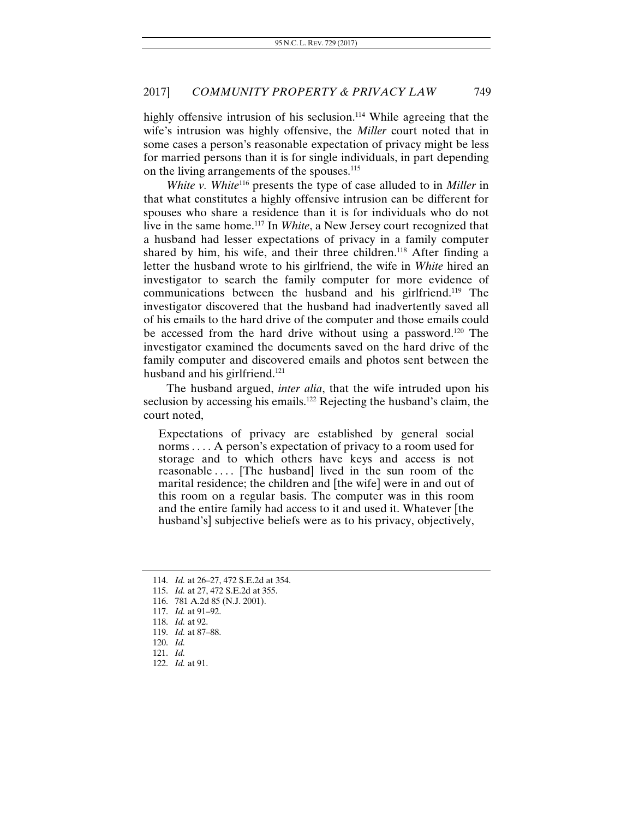highly offensive intrusion of his seclusion.<sup>114</sup> While agreeing that the wife's intrusion was highly offensive, the *Miller* court noted that in some cases a person's reasonable expectation of privacy might be less for married persons than it is for single individuals, in part depending on the living arrangements of the spouses.<sup>115</sup>

*White v. White*116 presents the type of case alluded to in *Miller* in that what constitutes a highly offensive intrusion can be different for spouses who share a residence than it is for individuals who do not live in the same home.117 In *White*, a New Jersey court recognized that a husband had lesser expectations of privacy in a family computer shared by him, his wife, and their three children.<sup>118</sup> After finding a letter the husband wrote to his girlfriend, the wife in *White* hired an investigator to search the family computer for more evidence of communications between the husband and his girlfriend.<sup>119</sup> The investigator discovered that the husband had inadvertently saved all of his emails to the hard drive of the computer and those emails could be accessed from the hard drive without using a password.<sup>120</sup> The investigator examined the documents saved on the hard drive of the family computer and discovered emails and photos sent between the husband and his girlfriend.<sup>121</sup>

The husband argued, *inter alia*, that the wife intruded upon his seclusion by accessing his emails.<sup>122</sup> Rejecting the husband's claim, the court noted,

Expectations of privacy are established by general social norms . . . . A person's expectation of privacy to a room used for storage and to which others have keys and access is not reasonable .... [The husband] lived in the sun room of the marital residence; the children and [the wife] were in and out of this room on a regular basis. The computer was in this room and the entire family had access to it and used it. Whatever [the husband's] subjective beliefs were as to his privacy, objectively,

<sup>114.</sup> *Id.* at 26–27, 472 S.E.2d at 354.

<sup>115.</sup> *Id.* at 27, 472 S.E.2d at 355.

 <sup>116. 781</sup> A.2d 85 (N.J. 2001).

 <sup>117.</sup> *Id.* at 91–92.

<sup>118.</sup> *Id.* at 92.

<sup>119.</sup> *Id.* at 87–88.

<sup>120.</sup> *Id.*

<sup>121.</sup> *Id.*

 <sup>122.</sup> *Id.* at 91.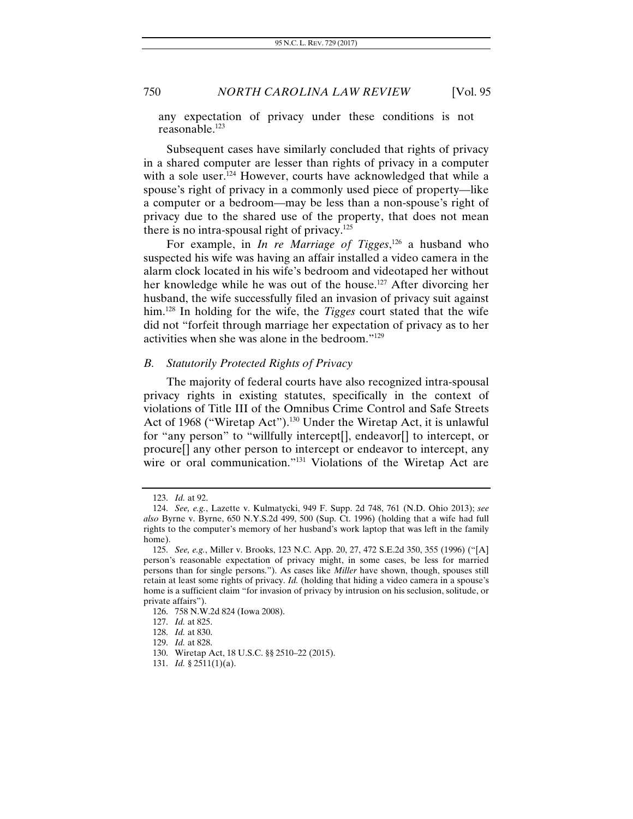any expectation of privacy under these conditions is not reasonable.123

Subsequent cases have similarly concluded that rights of privacy in a shared computer are lesser than rights of privacy in a computer with a sole user.<sup>124</sup> However, courts have acknowledged that while a spouse's right of privacy in a commonly used piece of property—like a computer or a bedroom—may be less than a non-spouse's right of privacy due to the shared use of the property, that does not mean there is no intra-spousal right of privacy.<sup>125</sup>

For example, in *In re Marriage of Tigges*, 126 a husband who suspected his wife was having an affair installed a video camera in the alarm clock located in his wife's bedroom and videotaped her without her knowledge while he was out of the house.<sup>127</sup> After divorcing her husband, the wife successfully filed an invasion of privacy suit against him.128 In holding for the wife, the *Tigges* court stated that the wife did not "forfeit through marriage her expectation of privacy as to her activities when she was alone in the bedroom."129

#### *B. Statutorily Protected Rights of Privacy*

The majority of federal courts have also recognized intra-spousal privacy rights in existing statutes, specifically in the context of violations of Title III of the Omnibus Crime Control and Safe Streets Act of 1968 ("Wiretap Act").<sup>130</sup> Under the Wiretap Act, it is unlawful for "any person" to "willfully intercept[], endeavor[] to intercept, or procure[] any other person to intercept or endeavor to intercept, any wire or oral communication."<sup>131</sup> Violations of the Wiretap Act are

<sup>123.</sup> *Id.* at 92.

<sup>124.</sup> *See, e.g.*, Lazette v. Kulmatycki, 949 F. Supp. 2d 748, 761 (N.D. Ohio 2013); *see also* Byrne v. Byrne, 650 N.Y.S.2d 499, 500 (Sup. Ct. 1996) (holding that a wife had full rights to the computer's memory of her husband's work laptop that was left in the family home).

 <sup>125.</sup> *See, e.g.*, Miller v. Brooks, 123 N.C. App. 20, 27, 472 S.E.2d 350, 355 (1996) ("[A] person's reasonable expectation of privacy might, in some cases, be less for married persons than for single persons."). As cases like *Miller* have shown, though, spouses still retain at least some rights of privacy. *Id.* (holding that hiding a video camera in a spouse's home is a sufficient claim "for invasion of privacy by intrusion on his seclusion, solitude, or private affairs").

 <sup>126. 758</sup> N.W.2d 824 (Iowa 2008).

<sup>127.</sup> *Id.* at 825.

<sup>128.</sup> *Id.* at 830.

<sup>129.</sup> *Id.* at 828.

 <sup>130.</sup> Wiretap Act, 18 U.S.C. §§ 2510–22 (2015).

<sup>131.</sup> *Id.* § 2511(1)(a).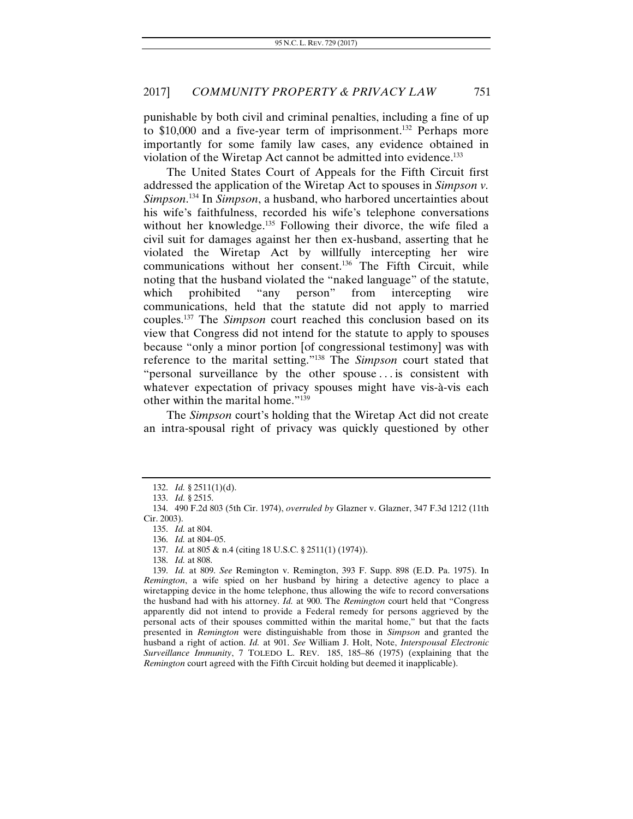punishable by both civil and criminal penalties, including a fine of up to \$10,000 and a five-year term of imprisonment.<sup>132</sup> Perhaps more importantly for some family law cases, any evidence obtained in violation of the Wiretap Act cannot be admitted into evidence.133

The United States Court of Appeals for the Fifth Circuit first addressed the application of the Wiretap Act to spouses in *Simpson v. Simpson*. 134 In *Simpson*, a husband, who harbored uncertainties about his wife's faithfulness, recorded his wife's telephone conversations without her knowledge.<sup>135</sup> Following their divorce, the wife filed a civil suit for damages against her then ex-husband, asserting that he violated the Wiretap Act by willfully intercepting her wire communications without her consent.<sup>136</sup> The Fifth Circuit, while noting that the husband violated the "naked language" of the statute, which prohibited "any person" from intercepting wire communications, held that the statute did not apply to married couples.137 The *Simpson* court reached this conclusion based on its view that Congress did not intend for the statute to apply to spouses because "only a minor portion [of congressional testimony] was with reference to the marital setting."138 The *Simpson* court stated that "personal surveillance by the other spouse . . . is consistent with whatever expectation of privacy spouses might have vis-à-vis each other within the marital home."139

The *Simpson* court's holding that the Wiretap Act did not create an intra-spousal right of privacy was quickly questioned by other

138. *Id.* at 808.

<sup>132.</sup> *Id.* § 2511(1)(d).

<sup>133.</sup> *Id.* § 2515.

 <sup>134. 490</sup> F.2d 803 (5th Cir. 1974), *overruled by* Glazner v. Glazner, 347 F.3d 1212 (11th Cir. 2003).

<sup>135.</sup> *Id.* at 804.

<sup>136.</sup> *Id.* at 804–05.

<sup>137.</sup> *Id.* at 805 & n.4 (citing 18 U.S.C. § 2511(1) (1974)).

<sup>139.</sup> *Id.* at 809. *See* Remington v. Remington, 393 F. Supp. 898 (E.D. Pa. 1975). In *Remington*, a wife spied on her husband by hiring a detective agency to place a wiretapping device in the home telephone, thus allowing the wife to record conversations the husband had with his attorney. *Id.* at 900. The *Remington* court held that "Congress apparently did not intend to provide a Federal remedy for persons aggrieved by the personal acts of their spouses committed within the marital home," but that the facts presented in *Remington* were distinguishable from those in *Simpson* and granted the husband a right of action. *Id.* at 901. *See* William J. Holt, Note, *Interspousal Electronic Surveillance Immunity*, 7 TOLEDO L. REV. 185, 185–86 (1975) (explaining that the *Remington* court agreed with the Fifth Circuit holding but deemed it inapplicable).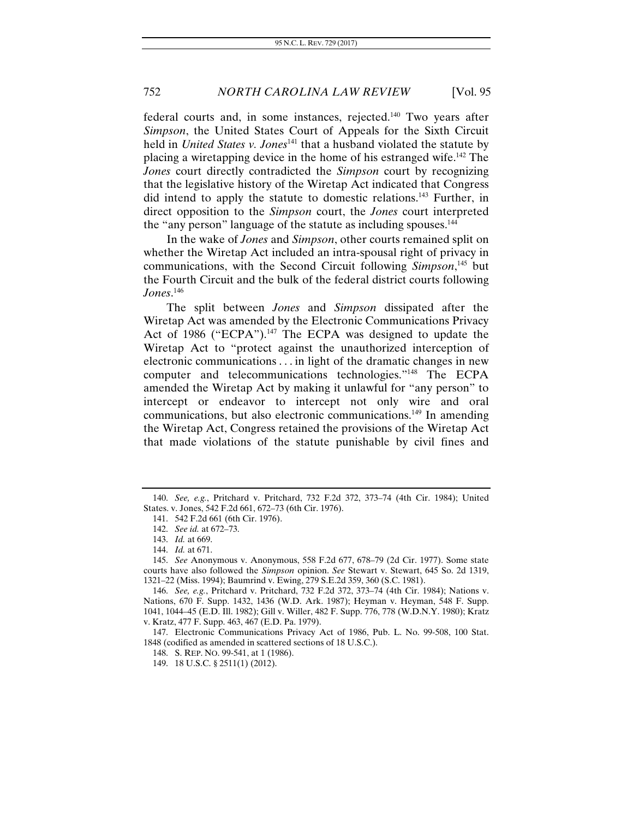federal courts and, in some instances, rejected.140 Two years after *Simpson*, the United States Court of Appeals for the Sixth Circuit held in *United States v. Jones*<sup>141</sup> that a husband violated the statute by placing a wiretapping device in the home of his estranged wife.142 The *Jones* court directly contradicted the *Simpson* court by recognizing that the legislative history of the Wiretap Act indicated that Congress did intend to apply the statute to domestic relations.143 Further, in direct opposition to the *Simpson* court, the *Jones* court interpreted the "any person" language of the statute as including spouses.<sup>144</sup>

In the wake of *Jones* and *Simpson*, other courts remained split on whether the Wiretap Act included an intra-spousal right of privacy in communications, with the Second Circuit following *Simpson*, 145 but the Fourth Circuit and the bulk of the federal district courts following *Jones*. 146

The split between *Jones* and *Simpson* dissipated after the Wiretap Act was amended by the Electronic Communications Privacy Act of 1986 ("ECPA").<sup>147</sup> The ECPA was designed to update the Wiretap Act to "protect against the unauthorized interception of electronic communications . . . in light of the dramatic changes in new computer and telecommunications technologies."148 The ECPA amended the Wiretap Act by making it unlawful for "any person" to intercept or endeavor to intercept not only wire and oral communications, but also electronic communications.149 In amending the Wiretap Act, Congress retained the provisions of the Wiretap Act that made violations of the statute punishable by civil fines and

149. 18 U.S.C. § 2511(1) (2012).

<sup>140.</sup> *See, e.g.*, Pritchard v. Pritchard, 732 F.2d 372, 373–74 (4th Cir. 1984); United States. v. Jones, 542 F.2d 661, 672–73 (6th Cir. 1976).

<sup>141. 542</sup> F.2d 661 (6th Cir. 1976).

<sup>142.</sup> *See id.* at 672–73.

<sup>143.</sup> *Id.* at 669.

<sup>144.</sup> *Id.* at 671.

<sup>145.</sup> *See* Anonymous v. Anonymous, 558 F.2d 677, 678–79 (2d Cir. 1977). Some state courts have also followed the *Simpson* opinion. *See* Stewart v. Stewart, 645 So. 2d 1319, 1321–22 (Miss. 1994); Baumrind v. Ewing, 279 S.E.2d 359, 360 (S.C. 1981).

<sup>146.</sup> *See, e.g.*, Pritchard v. Pritchard, 732 F.2d 372, 373–74 (4th Cir. 1984); Nations v. Nations, 670 F. Supp. 1432, 1436 (W.D. Ark. 1987); Heyman v. Heyman, 548 F. Supp. 1041, 1044–45 (E.D. Ill. 1982); Gill v. Willer, 482 F. Supp. 776, 778 (W.D.N.Y. 1980); Kratz v. Kratz, 477 F. Supp. 463, 467 (E.D. Pa. 1979).

 <sup>147.</sup> Electronic Communications Privacy Act of 1986, Pub. L. No. 99-508, 100 Stat. 1848 (codified as amended in scattered sections of 18 U.S.C.).

 <sup>148.</sup> S. REP. NO. 99-541, at 1 (1986).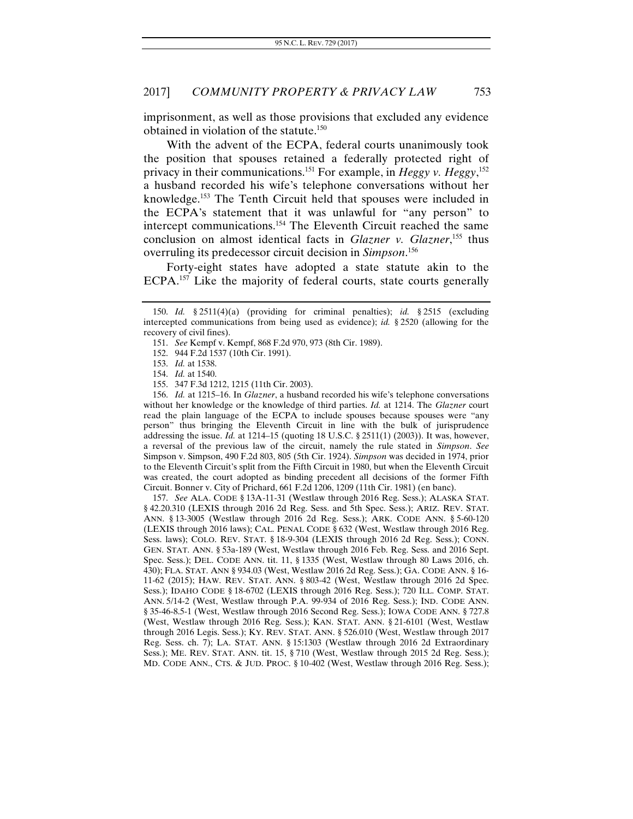imprisonment, as well as those provisions that excluded any evidence obtained in violation of the statute.150

With the advent of the ECPA, federal courts unanimously took the position that spouses retained a federally protected right of privacy in their communications.151 For example, in *Heggy v. Heggy*, 152 a husband recorded his wife's telephone conversations without her knowledge.153 The Tenth Circuit held that spouses were included in the ECPA's statement that it was unlawful for "any person" to intercept communications.154 The Eleventh Circuit reached the same conclusion on almost identical facts in *Glazner v. Glazner*, 155 thus overruling its predecessor circuit decision in *Simpson*. 156

Forty-eight states have adopted a state statute akin to the ECPA.157 Like the majority of federal courts, state courts generally

156. *Id.* at 1215–16. In *Glazner*, a husband recorded his wife's telephone conversations without her knowledge or the knowledge of third parties. *Id.* at 1214. The *Glazner* court read the plain language of the ECPA to include spouses because spouses were "any person" thus bringing the Eleventh Circuit in line with the bulk of jurisprudence addressing the issue. *Id.* at 1214–15 (quoting 18 U.S.C. § 2511(1) (2003)). It was, however, a reversal of the previous law of the circuit, namely the rule stated in *Simpson*. *See*  Simpson v. Simpson, 490 F.2d 803, 805 (5th Cir. 1924). *Simpson* was decided in 1974, prior to the Eleventh Circuit's split from the Fifth Circuit in 1980, but when the Eleventh Circuit was created, the court adopted as binding precedent all decisions of the former Fifth Circuit. Bonner v. City of Prichard, 661 F.2d 1206, 1209 (11th Cir. 1981) (en banc).

157. *See* ALA. CODE § 13A-11-31 (Westlaw through 2016 Reg. Sess.); ALASKA STAT. § 42.20.310 (LEXIS through 2016 2d Reg. Sess. and 5th Spec. Sess.); ARIZ. REV. STAT. ANN. § 13-3005 (Westlaw through 2016 2d Reg. Sess.); ARK. CODE ANN. § 5-60-120 (LEXIS through 2016 laws); CAL. PENAL CODE § 632 (West, Westlaw through 2016 Reg. Sess. laws); COLO. REV. STAT. § 18-9-304 (LEXIS through 2016 2d Reg. Sess.); CONN. GEN. STAT. ANN. § 53a-189 (West, Westlaw through 2016 Feb. Reg. Sess. and 2016 Sept. Spec. Sess.); DEL. CODE ANN. tit. 11, § 1335 (West, Westlaw through 80 Laws 2016, ch. 430); FLA. STAT. ANN § 934.03 (West, Westlaw 2016 2d Reg. Sess.); GA. CODE ANN. § 16- 11-62 (2015); HAW. REV. STAT. ANN. § 803-42 (West, Westlaw through 2016 2d Spec. Sess.); IDAHO CODE § 18-6702 (LEXIS through 2016 Reg. Sess.); 720 ILL. COMP. STAT. ANN. 5/14-2 (West, Westlaw through P.A. 99-934 of 2016 Reg. Sess.); IND. CODE ANN. § 35-46-8.5-1 (West, Westlaw through 2016 Second Reg. Sess.); IOWA CODE ANN. § 727.8 (West, Westlaw through 2016 Reg. Sess.); KAN. STAT. ANN. § 21-6101 (West, Westlaw through 2016 Legis. Sess.); KY. REV. STAT. ANN. § 526.010 (West, Westlaw through 2017 Reg. Sess. ch. 7); LA. STAT. ANN. § 15:1303 (Westlaw through 2016 2d Extraordinary Sess.); ME. REV. STAT. ANN. tit. 15, § 710 (West, Westlaw through 2015 2d Reg. Sess.); MD. CODE ANN., CTS. & JUD. PROC. § 10-402 (West, Westlaw through 2016 Reg. Sess.);

<sup>150.</sup> *Id.* § 2511(4)(a) (providing for criminal penalties); *id.* § 2515 (excluding intercepted communications from being used as evidence); *id.* § 2520 (allowing for the recovery of civil fines).

<sup>151.</sup> *See* Kempf v. Kempf, 868 F.2d 970, 973 (8th Cir. 1989).

<sup>152. 944</sup> F.2d 1537 (10th Cir. 1991).

 <sup>153.</sup> *Id.* at 1538.

<sup>154.</sup> *Id.* at 1540.

 <sup>155. 347</sup> F.3d 1212, 1215 (11th Cir. 2003).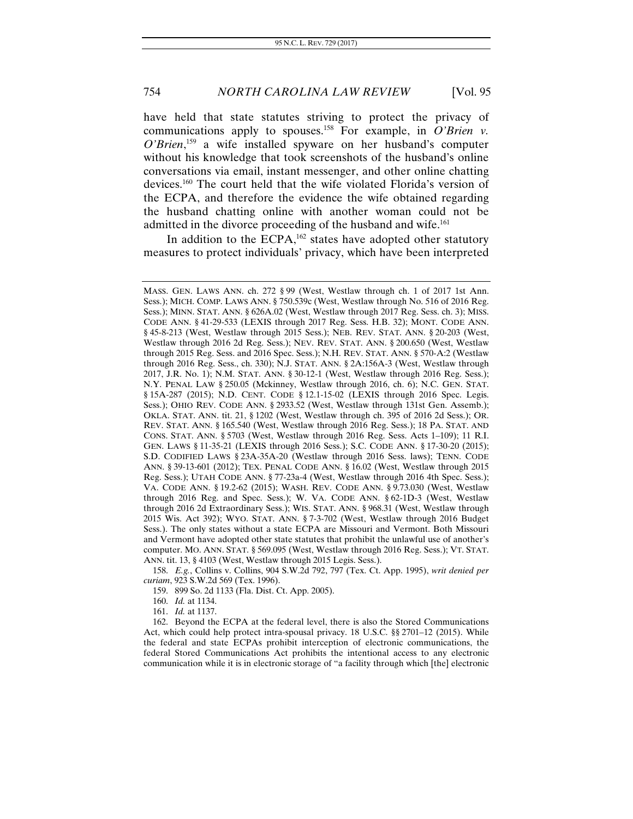have held that state statutes striving to protect the privacy of communications apply to spouses.<sup>158</sup> For example, in *O'Brien v*. *O'Brien*, 159 a wife installed spyware on her husband's computer without his knowledge that took screenshots of the husband's online conversations via email, instant messenger, and other online chatting devices.160 The court held that the wife violated Florida's version of the ECPA, and therefore the evidence the wife obtained regarding the husband chatting online with another woman could not be admitted in the divorce proceeding of the husband and wife.<sup>161</sup>

In addition to the ECPA,<sup>162</sup> states have adopted other statutory measures to protect individuals' privacy, which have been interpreted

158. *E.g.*, Collins v. Collins, 904 S.W.2d 792, 797 (Tex. Ct. App. 1995), *writ denied per curiam*, 923 S.W.2d 569 (Tex. 1996).

159. 899 So. 2d 1133 (Fla. Dist. Ct. App. 2005).

160. *Id.* at 1134.

161. *Id.* at 1137.

 162. Beyond the ECPA at the federal level, there is also the Stored Communications Act, which could help protect intra-spousal privacy. 18 U.S.C. §§ 2701–12 (2015). While the federal and state ECPAs prohibit interception of electronic communications, the federal Stored Communications Act prohibits the intentional access to any electronic communication while it is in electronic storage of "a facility through which [the] electronic

MASS. GEN. LAWS ANN. ch. 272 § 99 (West, Westlaw through ch. 1 of 2017 1st Ann. Sess.); MICH. COMP. LAWS ANN. § 750.539c (West, Westlaw through No. 516 of 2016 Reg. Sess.); MINN. STAT. ANN. § 626A.02 (West, Westlaw through 2017 Reg. Sess. ch. 3); MISS. CODE ANN. § 41-29-533 (LEXIS through 2017 Reg. Sess. H.B. 32); MONT. CODE ANN. § 45-8-213 (West, Westlaw through 2015 Sess.); NEB. REV. STAT. ANN. § 20-203 (West, Westlaw through 2016 2d Reg. Sess.); NEV. REV. STAT. ANN. § 200.650 (West, Westlaw through 2015 Reg. Sess. and 2016 Spec. Sess.); N.H. REV. STAT. ANN. § 570-A:2 (Westlaw through 2016 Reg. Sess., ch. 330); N.J. STAT. ANN. § 2A:156A-3 (West, Westlaw through 2017, J.R. No. 1); N.M. STAT. ANN. § 30-12-1 (West, Westlaw through 2016 Reg. Sess.); N.Y. PENAL LAW § 250.05 (Mckinney, Westlaw through 2016, ch. 6); N.C. GEN. STAT. § 15A-287 (2015); N.D. CENT. CODE § 12.1-15-02 (LEXIS through 2016 Spec. Legis. Sess.); OHIO REV. CODE ANN. § 2933.52 (West, Westlaw through 131st Gen. Assemb.); OKLA. STAT. ANN. tit. 21, § 1202 (West, Westlaw through ch. 395 of 2016 2d Sess.); OR. REV. STAT. ANN. § 165.540 (West, Westlaw through 2016 Reg. Sess.); 18 PA. STAT. AND CONS. STAT. ANN. § 5703 (West, Westlaw through 2016 Reg. Sess. Acts 1–109); 11 R.I. GEN. LAWS § 11-35-21 (LEXIS through 2016 Sess.); S.C. CODE ANN. § 17-30-20 (2015); S.D. CODIFIED LAWS § 23A-35A-20 (Westlaw through 2016 Sess. laws); TENN. CODE ANN. § 39-13-601 (2012); TEX. PENAL CODE ANN. § 16.02 (West, Westlaw through 2015 Reg. Sess.); UTAH CODE ANN. § 77-23a-4 (West, Westlaw through 2016 4th Spec. Sess.); VA. CODE ANN. § 19.2-62 (2015); WASH. REV. CODE ANN. § 9.73.030 (West, Westlaw through 2016 Reg. and Spec. Sess.); W. VA. CODE ANN. § 62-1D-3 (West, Westlaw through 2016 2d Extraordinary Sess.); WIS. STAT. ANN. § 968.31 (West, Westlaw through 2015 Wis. Act 392); WYO. STAT. ANN. § 7-3-702 (West, Westlaw through 2016 Budget Sess.). The only states without a state ECPA are Missouri and Vermont. Both Missouri and Vermont have adopted other state statutes that prohibit the unlawful use of another's computer. MO. ANN. STAT. § 569.095 (West, Westlaw through 2016 Reg. Sess.); VT. STAT. ANN. tit. 13, § 4103 (West, Westlaw through 2015 Legis. Sess.).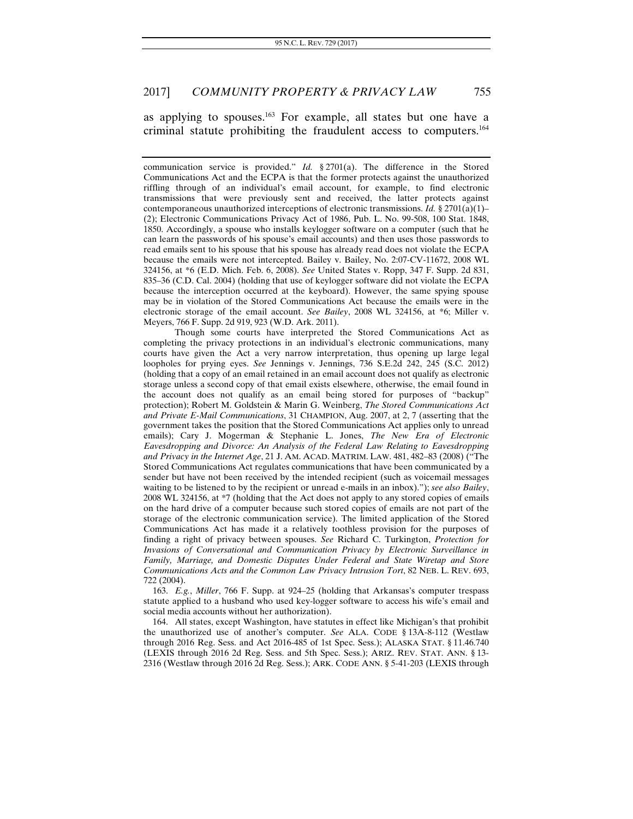as applying to spouses.163 For example, all states but one have a criminal statute prohibiting the fraudulent access to computers.164

communication service is provided." *Id.* § 2701(a). The difference in the Stored Communications Act and the ECPA is that the former protects against the unauthorized riffling through of an individual's email account, for example, to find electronic transmissions that were previously sent and received, the latter protects against contemporaneous unauthorized interceptions of electronic transmissions. *Id.* § 2701(a)(1)– (2); Electronic Communications Privacy Act of 1986, Pub. L. No. 99-508, 100 Stat. 1848, 1850. Accordingly, a spouse who installs keylogger software on a computer (such that he can learn the passwords of his spouse's email accounts) and then uses those passwords to read emails sent to his spouse that his spouse has already read does not violate the ECPA because the emails were not intercepted. Bailey v. Bailey, No. 2:07-CV-11672, 2008 WL 324156, at \*6 (E.D. Mich. Feb. 6, 2008). *See* United States v. Ropp, 347 F. Supp. 2d 831, 835–36 (C.D. Cal. 2004) (holding that use of keylogger software did not violate the ECPA because the interception occurred at the keyboard). However, the same spying spouse may be in violation of the Stored Communications Act because the emails were in the electronic storage of the email account. *See Bailey*, 2008 WL 324156, at \*6; Miller v. Meyers, 766 F. Supp. 2d 919, 923 (W.D. Ark. 2011).

 Though some courts have interpreted the Stored Communications Act as completing the privacy protections in an individual's electronic communications, many courts have given the Act a very narrow interpretation, thus opening up large legal loopholes for prying eyes. *See* Jennings v. Jennings, 736 S.E.2d 242, 245 (S.C. 2012) (holding that a copy of an email retained in an email account does not qualify as electronic storage unless a second copy of that email exists elsewhere, otherwise, the email found in the account does not qualify as an email being stored for purposes of "backup" protection); Robert M. Goldstein & Marin G. Weinberg, *The Stored Communications Act and Private E-Mail Communications*, 31 CHAMPION, Aug. 2007, at 2, 7 (asserting that the government takes the position that the Stored Communications Act applies only to unread emails); Cary J. Mogerman & Stephanie L. Jones, *The New Era of Electronic Eavesdropping and Divorce: An Analysis of the Federal Law Relating to Eavesdropping and Privacy in the Internet Age*, 21 J. AM. ACAD. MATRIM. LAW. 481, 482–83 (2008) ("The Stored Communications Act regulates communications that have been communicated by a sender but have not been received by the intended recipient (such as voicemail messages waiting to be listened to by the recipient or unread e-mails in an inbox)."); *see also Bailey*, 2008 WL 324156, at \*7 (holding that the Act does not apply to any stored copies of emails on the hard drive of a computer because such stored copies of emails are not part of the storage of the electronic communication service). The limited application of the Stored Communications Act has made it a relatively toothless provision for the purposes of finding a right of privacy between spouses. *See* Richard C. Turkington, *Protection for Invasions of Conversational and Communication Privacy by Electronic Surveillance in Family, Marriage, and Domestic Disputes Under Federal and State Wiretap and Store Communications Acts and the Common Law Privacy Intrusion Tort*, 82 NEB. L. REV. 693, 722 (2004).

163. *E.g.*, *Miller*, 766 F. Supp. at 924–25 (holding that Arkansas's computer trespass statute applied to a husband who used key-logger software to access his wife's email and social media accounts without her authorization).

 164. All states, except Washington, have statutes in effect like Michigan's that prohibit the unauthorized use of another's computer. *See* ALA. CODE § 13A-8-112 (Westlaw through 2016 Reg. Sess. and Act 2016-485 of 1st Spec. Sess.); ALASKA STAT. § 11.46.740 (LEXIS through 2016 2d Reg. Sess. and 5th Spec. Sess.); ARIZ. REV. STAT. ANN. § 13- 2316 (Westlaw through 2016 2d Reg. Sess.); ARK. CODE ANN. § 5-41-203 (LEXIS through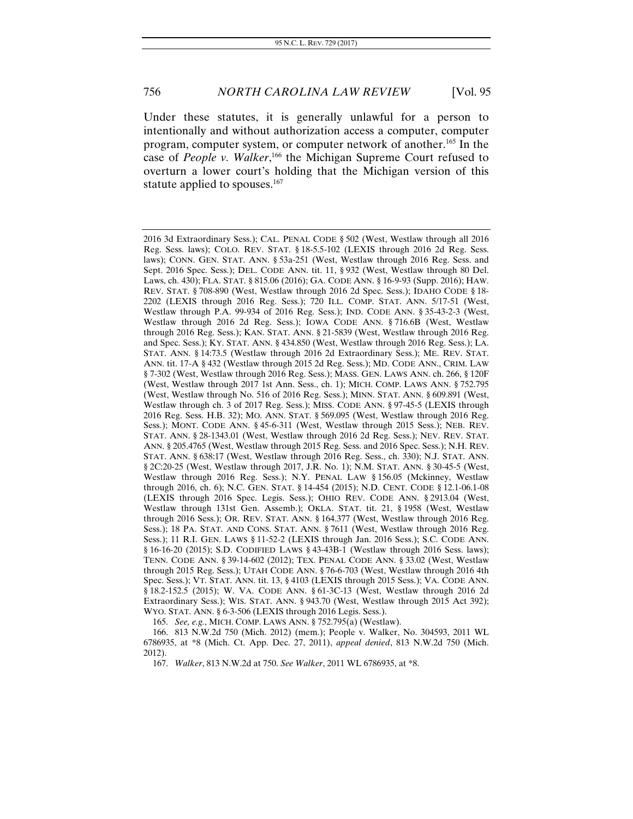Under these statutes, it is generally unlawful for a person to intentionally and without authorization access a computer, computer program, computer system, or computer network of another.165 In the case of *People v. Walker*,<sup>166</sup> the Michigan Supreme Court refused to overturn a lower court's holding that the Michigan version of this statute applied to spouses.<sup>167</sup>

165. *See, e.g.*, MICH. COMP. LAWS ANN. § 752.795(a) (Westlaw).

 166. 813 N.W.2d 750 (Mich. 2012) (mem.); People v. Walker, No. 304593, 2011 WL 6786935, at \*8 (Mich. Ct. App. Dec. 27, 2011), *appeal denied*, 813 N.W.2d 750 (Mich. 2012).

167. *Walker*, 813 N.W.2d at 750. *See Walker*, 2011 WL 6786935, at \*8.

<sup>2016 3</sup>d Extraordinary Sess.); CAL. PENAL CODE § 502 (West, Westlaw through all 2016 Reg. Sess. laws); COLO. REV. STAT. § 18-5.5-102 (LEXIS through 2016 2d Reg. Sess. laws); CONN. GEN. STAT. ANN. § 53a-251 (West, Westlaw through 2016 Reg. Sess. and Sept. 2016 Spec. Sess.); DEL. CODE ANN. tit. 11, § 932 (West, Westlaw through 80 Del. Laws, ch. 430); FLA. STAT. § 815.06 (2016); GA. CODE ANN. § 16-9-93 (Supp. 2016); HAW. REV. STAT. § 708-890 (West, Westlaw through 2016 2d Spec. Sess.); IDAHO CODE § 18- 2202 (LEXIS through 2016 Reg. Sess.); 720 ILL. COMP. STAT. ANN. 5/17-51 (West, Westlaw through P.A. 99-934 of 2016 Reg. Sess.); IND. CODE ANN. § 35-43-2-3 (West, Westlaw through 2016 2d Reg. Sess.); IOWA CODE ANN. § 716.6B (West, Westlaw through 2016 Reg. Sess.); KAN. STAT. ANN. § 21-5839 (West, Westlaw through 2016 Reg. and Spec. Sess.); KY. STAT. ANN. § 434.850 (West, Westlaw through 2016 Reg. Sess.); LA. STAT. ANN. § 14:73.5 (Westlaw through 2016 2d Extraordinary Sess.); ME. REV. STAT. ANN. tit. 17-A § 432 (Westlaw through 2015 2d Reg. Sess.); MD. CODE ANN., CRIM. LAW § 7-302 (West, Westlaw through 2016 Reg. Sess.); MASS. GEN. LAWS ANN. ch. 266, § 120F (West, Westlaw through 2017 1st Ann. Sess., ch. 1); MICH. COMP. LAWS ANN. § 752.795 (West, Westlaw through No. 516 of 2016 Reg. Sess.); MINN. STAT. ANN. § 609.891 (West, Westlaw through ch. 3 of 2017 Reg. Sess.); MISS. CODE ANN. § 97-45-5 (LEXIS through 2016 Reg. Sess. H.B. 32); MO. ANN. STAT. § 569.095 (West, Westlaw through 2016 Reg. Sess.); MONT. CODE ANN. § 45-6-311 (West, Westlaw through 2015 Sess.); NEB. REV. STAT. ANN. § 28-1343.01 (West, Westlaw through 2016 2d Reg. Sess.); NEV. REV. STAT. ANN. § 205.4765 (West, Westlaw through 2015 Reg. Sess. and 2016 Spec. Sess.); N.H. REV. STAT. ANN. § 638:17 (West, Westlaw through 2016 Reg. Sess., ch. 330); N.J. STAT. ANN. § 2C:20-25 (West, Westlaw through 2017, J.R. No. 1); N.M. STAT. ANN. § 30-45-5 (West, Westlaw through 2016 Reg. Sess.); N.Y. PENAL LAW § 156.05 (Mckinney, Westlaw through 2016, ch. 6); N.C. GEN. STAT. § 14-454 (2015); N.D. CENT. CODE § 12.1-06.1-08 (LEXIS through 2016 Spec. Legis. Sess.); OHIO REV. CODE ANN. § 2913.04 (West, Westlaw through 131st Gen. Assemb.); OKLA. STAT. tit. 21, § 1958 (West, Westlaw through 2016 Sess.); OR. REV. STAT. ANN. § 164.377 (West, Westlaw through 2016 Reg. Sess.); 18 PA. STAT. AND CONS. STAT. ANN. § 7611 (West, Westlaw through 2016 Reg. Sess.); 11 R.I. GEN. LAWS § 11-52-2 (LEXIS through Jan. 2016 Sess.); S.C. CODE ANN. § 16-16-20 (2015); S.D. CODIFIED LAWS § 43-43B-1 (Westlaw through 2016 Sess. laws); TENN. CODE ANN. § 39-14-602 (2012); TEX. PENAL CODE ANN. § 33.02 (West, Westlaw through 2015 Reg. Sess.); UTAH CODE ANN. § 76-6-703 (West, Westlaw through 2016 4th Spec. Sess.); VT. STAT. ANN. tit. 13, § 4103 (LEXIS through 2015 Sess.); VA. CODE ANN. § 18.2-152.5 (2015); W. VA. CODE ANN. § 61-3C-13 (West, Westlaw through 2016 2d Extraordinary Sess.); WIS. STAT. ANN. § 943.70 (West, Westlaw through 2015 Act 392); WYO. STAT. ANN. § 6-3-506 (LEXIS through 2016 Legis. Sess.).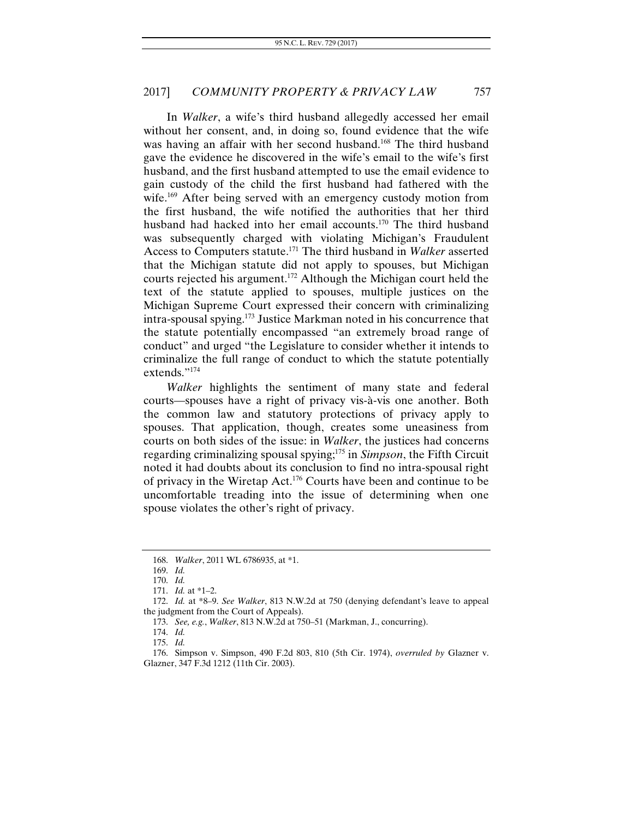In *Walker*, a wife's third husband allegedly accessed her email without her consent, and, in doing so, found evidence that the wife was having an affair with her second husband.<sup>168</sup> The third husband gave the evidence he discovered in the wife's email to the wife's first husband, and the first husband attempted to use the email evidence to gain custody of the child the first husband had fathered with the wife.<sup>169</sup> After being served with an emergency custody motion from the first husband, the wife notified the authorities that her third husband had hacked into her email accounts.<sup>170</sup> The third husband was subsequently charged with violating Michigan's Fraudulent Access to Computers statute.171 The third husband in *Walker* asserted that the Michigan statute did not apply to spouses, but Michigan courts rejected his argument.172 Although the Michigan court held the text of the statute applied to spouses, multiple justices on the Michigan Supreme Court expressed their concern with criminalizing intra-spousal spying.173 Justice Markman noted in his concurrence that the statute potentially encompassed "an extremely broad range of conduct" and urged "the Legislature to consider whether it intends to criminalize the full range of conduct to which the statute potentially extends."174

*Walker* highlights the sentiment of many state and federal courts—spouses have a right of privacy vis-à-vis one another. Both the common law and statutory protections of privacy apply to spouses. That application, though, creates some uneasiness from courts on both sides of the issue: in *Walker*, the justices had concerns regarding criminalizing spousal spying;175 in *Simpson*, the Fifth Circuit noted it had doubts about its conclusion to find no intra-spousal right of privacy in the Wiretap Act.176 Courts have been and continue to be uncomfortable treading into the issue of determining when one spouse violates the other's right of privacy.

<sup>168.</sup> *Walker*, 2011 WL 6786935, at \*1.

<sup>169.</sup> *Id.*

<sup>170.</sup> *Id.* 

<sup>171.</sup> *Id.* at \*1–2.

<sup>172.</sup> *Id.* at \*8–9. *See Walker*, 813 N.W.2d at 750 (denying defendant's leave to appeal the judgment from the Court of Appeals).

<sup>173.</sup> *See, e.g.*, *Walker*, 813 N.W.2d at 750–51 (Markman, J., concurring).

<sup>174.</sup> *Id.*

<sup>175.</sup> *Id.*

 <sup>176.</sup> Simpson v. Simpson, 490 F.2d 803, 810 (5th Cir. 1974), *overruled by* Glazner v. Glazner, 347 F.3d 1212 (11th Cir. 2003).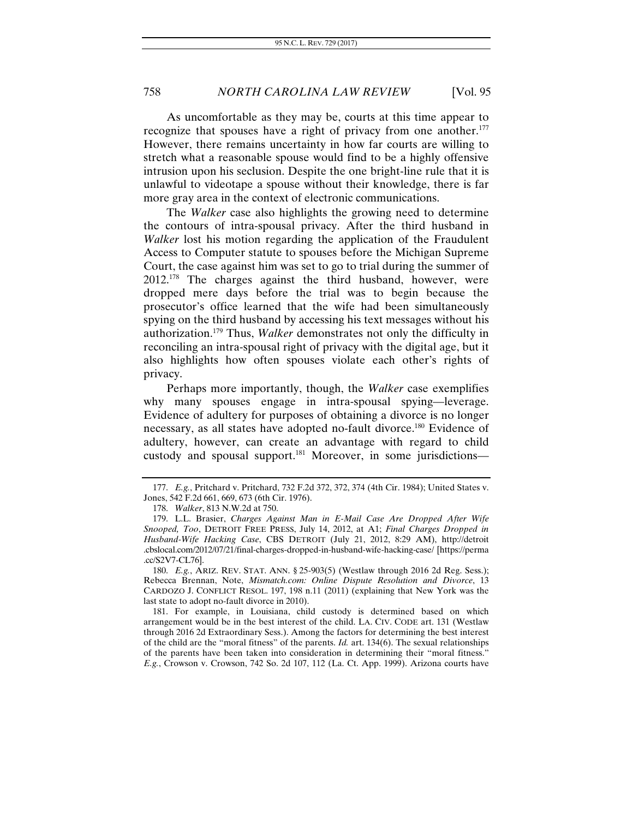As uncomfortable as they may be, courts at this time appear to recognize that spouses have a right of privacy from one another.<sup>177</sup> However, there remains uncertainty in how far courts are willing to stretch what a reasonable spouse would find to be a highly offensive intrusion upon his seclusion. Despite the one bright-line rule that it is unlawful to videotape a spouse without their knowledge, there is far more gray area in the context of electronic communications.

The *Walker* case also highlights the growing need to determine the contours of intra-spousal privacy. After the third husband in *Walker* lost his motion regarding the application of the Fraudulent Access to Computer statute to spouses before the Michigan Supreme Court, the case against him was set to go to trial during the summer of  $2012^{178}$  The charges against the third husband, however, were dropped mere days before the trial was to begin because the prosecutor's office learned that the wife had been simultaneously spying on the third husband by accessing his text messages without his authorization.179 Thus, *Walker* demonstrates not only the difficulty in reconciling an intra-spousal right of privacy with the digital age, but it also highlights how often spouses violate each other's rights of privacy.

Perhaps more importantly, though, the *Walker* case exemplifies why many spouses engage in intra-spousal spying—leverage. Evidence of adultery for purposes of obtaining a divorce is no longer necessary, as all states have adopted no-fault divorce.<sup>180</sup> Evidence of adultery, however, can create an advantage with regard to child custody and spousal support.181 Moreover, in some jurisdictions—

 181. For example, in Louisiana, child custody is determined based on which arrangement would be in the best interest of the child. LA. CIV. CODE art. 131 (Westlaw through 2016 2d Extraordinary Sess.). Among the factors for determining the best interest of the child are the "moral fitness" of the parents. *Id.* art. 134(6). The sexual relationships of the parents have been taken into consideration in determining their "moral fitness." *E.g.*, Crowson v. Crowson, 742 So. 2d 107, 112 (La. Ct. App. 1999). Arizona courts have

<sup>177.</sup> *E.g.*, Pritchard v. Pritchard, 732 F.2d 372, 372, 374 (4th Cir. 1984); United States v. Jones, 542 F.2d 661, 669, 673 (6th Cir. 1976).

 <sup>178.</sup> *Walker*, 813 N.W.2d at 750.

 <sup>179.</sup> L.L. Brasier, *Charges Against Man in E-Mail Case Are Dropped After Wife Snooped, Too*, DETROIT FREE PRESS, July 14, 2012, at A1; *Final Charges Dropped in Husband-Wife Hacking Case*, CBS DETROIT (July 21, 2012, 8:29 AM), http://detroit .cbslocal.com/2012/07/21/final-charges-dropped-in-husband-wife-hacking-case/ [https://perma .cc/S2V7-CL76].

 <sup>180.</sup> *E.g.*, ARIZ. REV. STAT. ANN. § 25-903(5) (Westlaw through 2016 2d Reg. Sess.); Rebecca Brennan, Note, *Mismatch.com: Online Dispute Resolution and Divorce*, 13 CARDOZO J. CONFLICT RESOL. 197, 198 n.11 (2011) (explaining that New York was the last state to adopt no-fault divorce in 2010).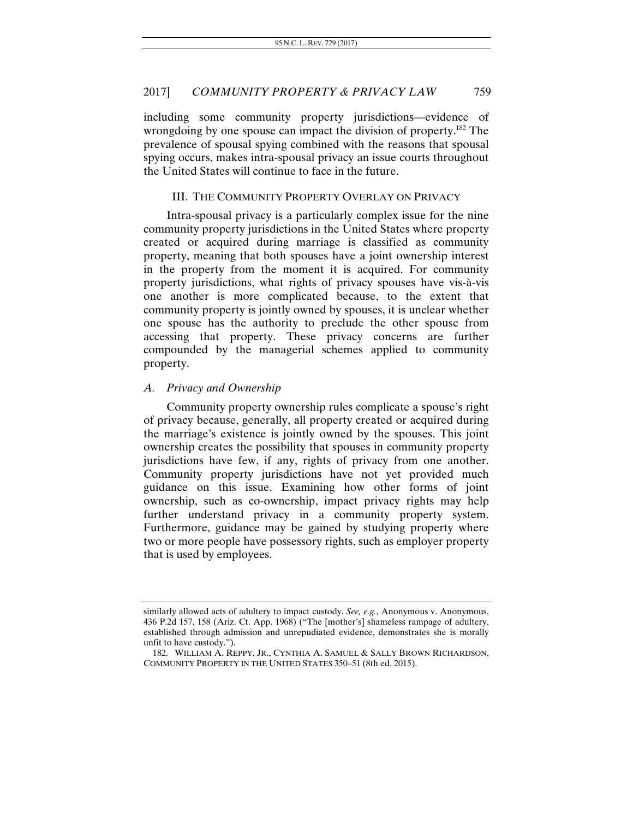including some community property jurisdictions—evidence of wrongdoing by one spouse can impact the division of property.<sup>182</sup> The prevalence of spousal spying combined with the reasons that spousal spying occurs, makes intra-spousal privacy an issue courts throughout the United States will continue to face in the future.

#### III. THE COMMUNITY PROPERTY OVERLAY ON PRIVACY

Intra-spousal privacy is a particularly complex issue for the nine community property jurisdictions in the United States where property created or acquired during marriage is classified as community property, meaning that both spouses have a joint ownership interest in the property from the moment it is acquired. For community property jurisdictions, what rights of privacy spouses have vis-à-vis one another is more complicated because, to the extent that community property is jointly owned by spouses, it is unclear whether one spouse has the authority to preclude the other spouse from accessing that property. These privacy concerns are further compounded by the managerial schemes applied to community property.

#### *A. Privacy and Ownership*

Community property ownership rules complicate a spouse's right of privacy because, generally, all property created or acquired during the marriage's existence is jointly owned by the spouses. This joint ownership creates the possibility that spouses in community property jurisdictions have few, if any, rights of privacy from one another. Community property jurisdictions have not yet provided much guidance on this issue. Examining how other forms of joint ownership, such as co-ownership, impact privacy rights may help further understand privacy in a community property system. Furthermore, guidance may be gained by studying property where two or more people have possessory rights, such as employer property that is used by employees.

similarly allowed acts of adultery to impact custody. *See, e.g.*, Anonymous v. Anonymous, 436 P.2d 157, 158 (Ariz. Ct. App. 1968) ("The [mother's] shameless rampage of adultery, established through admission and unrepudiated evidence, demonstrates she is morally unfit to have custody.").

 <sup>182.</sup> WILLIAM A. REPPY, JR., CYNTHIA A. SAMUEL & SALLY BROWN RICHARDSON, COMMUNITY PROPERTY IN THE UNITED STATES 350–51 (8th ed. 2015).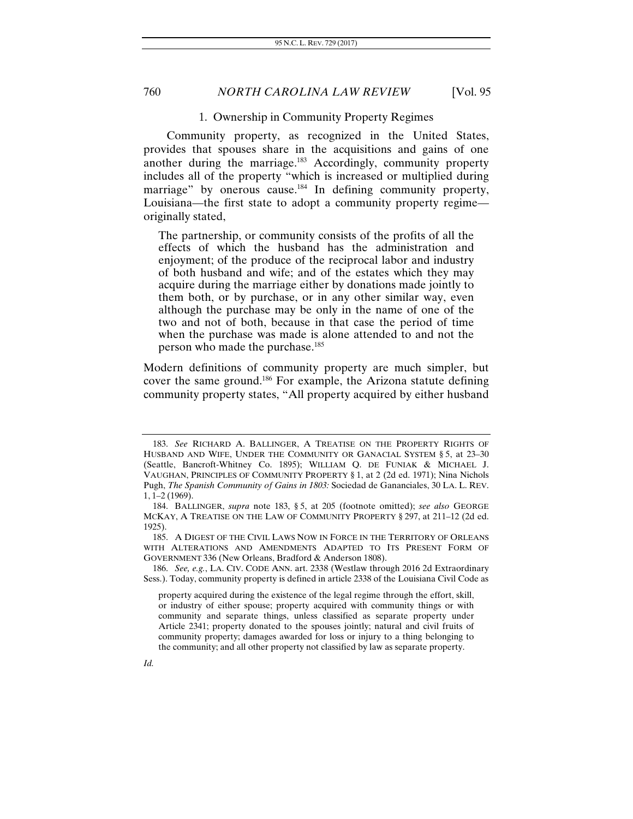#### 1. Ownership in Community Property Regimes

Community property, as recognized in the United States, provides that spouses share in the acquisitions and gains of one another during the marriage.<sup>183</sup> Accordingly, community property includes all of the property "which is increased or multiplied during marriage" by onerous cause.<sup>184</sup> In defining community property, Louisiana—the first state to adopt a community property regime originally stated,

The partnership, or community consists of the profits of all the effects of which the husband has the administration and enjoyment; of the produce of the reciprocal labor and industry of both husband and wife; and of the estates which they may acquire during the marriage either by donations made jointly to them both, or by purchase, or in any other similar way, even although the purchase may be only in the name of one of the two and not of both, because in that case the period of time when the purchase was made is alone attended to and not the person who made the purchase.<sup>185</sup>

Modern definitions of community property are much simpler, but cover the same ground.186 For example, the Arizona statute defining community property states, "All property acquired by either husband

 186. *See, e.g.*, LA. CIV. CODE ANN. art. 2338 (Westlaw through 2016 2d Extraordinary Sess.). Today, community property is defined in article 2338 of the Louisiana Civil Code as

<sup>183.</sup> *See* RICHARD A. BALLINGER, A TREATISE ON THE PROPERTY RIGHTS OF HUSBAND AND WIFE, UNDER THE COMMUNITY OR GANACIAL SYSTEM § 5, at 23–30 (Seattle, Bancroft-Whitney Co. 1895); WILLIAM Q. DE FUNIAK & MICHAEL J. VAUGHAN, PRINCIPLES OF COMMUNITY PROPERTY § 1, at 2 (2d ed. 1971); Nina Nichols Pugh, *The Spanish Community of Gains in 1803:* Sociedad de Gananciales, 30 LA. L. REV. 1, 1–2 (1969).

 <sup>184.</sup> BALLINGER, *supra* note 183, § 5, at 205 (footnote omitted); *see also* GEORGE MCKAY, A TREATISE ON THE LAW OF COMMUNITY PROPERTY § 297, at 211–12 (2d ed. 1925).

 <sup>185.</sup> A DIGEST OF THE CIVIL LAWS NOW IN FORCE IN THE TERRITORY OF ORLEANS WITH ALTERATIONS AND AMENDMENTS ADAPTED TO ITS PRESENT FORM OF GOVERNMENT 336 (New Orleans, Bradford & Anderson 1808).

property acquired during the existence of the legal regime through the effort, skill, or industry of either spouse; property acquired with community things or with community and separate things, unless classified as separate property under Article 2341; property donated to the spouses jointly; natural and civil fruits of community property; damages awarded for loss or injury to a thing belonging to the community; and all other property not classified by law as separate property.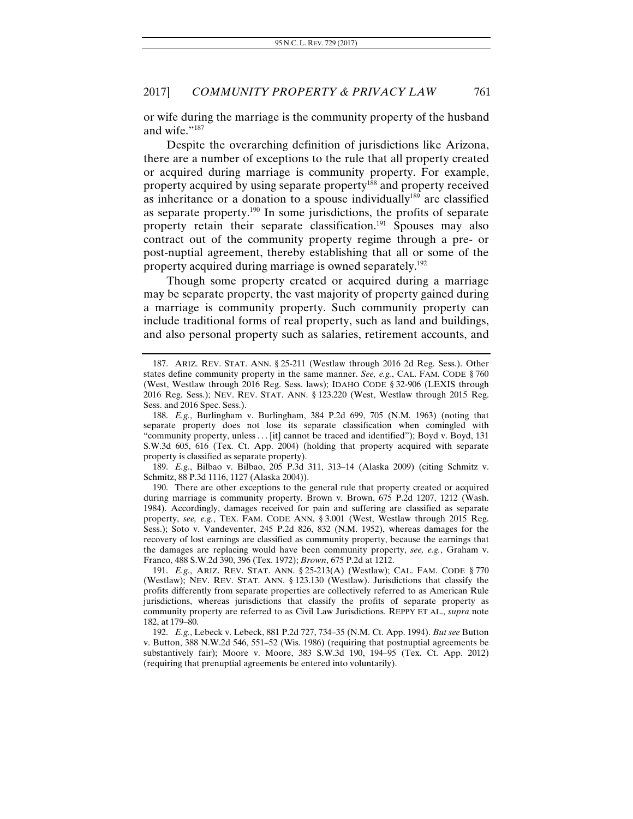or wife during the marriage is the community property of the husband and wife."187

Despite the overarching definition of jurisdictions like Arizona, there are a number of exceptions to the rule that all property created or acquired during marriage is community property. For example, property acquired by using separate property<sup>188</sup> and property received as inheritance or a donation to a spouse individually $189$  are classified as separate property. $190$  In some jurisdictions, the profits of separate property retain their separate classification.<sup>191</sup> Spouses may also contract out of the community property regime through a pre- or post-nuptial agreement, thereby establishing that all or some of the property acquired during marriage is owned separately.192

Though some property created or acquired during a marriage may be separate property, the vast majority of property gained during a marriage is community property. Such community property can include traditional forms of real property, such as land and buildings, and also personal property such as salaries, retirement accounts, and

189. *E.g.*, Bilbao v. Bilbao, 205 P.3d 311, 313–14 (Alaska 2009) (citing Schmitz v. Schmitz, 88 P.3d 1116, 1127 (Alaska 2004)).

 190. There are other exceptions to the general rule that property created or acquired during marriage is community property. Brown v. Brown, 675 P.2d 1207, 1212 (Wash. 1984). Accordingly, damages received for pain and suffering are classified as separate property, *see, e.g.*, TEX. FAM. CODE ANN. § 3.001 (West, Westlaw through 2015 Reg. Sess.); Soto v. Vandeventer, 245 P.2d 826, 832 (N.M. 1952), whereas damages for the recovery of lost earnings are classified as community property, because the earnings that the damages are replacing would have been community property, *see, e.g.*, Graham v. Franco, 488 S.W.2d 390, 396 (Tex. 1972); *Brown*, 675 P.2d at 1212.

191. *E.g.*, ARIZ. REV. STAT. ANN. § 25-213(A) (Westlaw); CAL. FAM. CODE § 770 (Westlaw); NEV. REV. STAT. ANN. § 123.130 (Westlaw). Jurisdictions that classify the profits differently from separate properties are collectively referred to as American Rule jurisdictions, whereas jurisdictions that classify the profits of separate property as community property are referred to as Civil Law Jurisdictions. REPPY ET AL., *supra* note 182, at 179–80.

192. *E.g.*, Lebeck v. Lebeck, 881 P.2d 727, 734–35 (N.M. Ct. App. 1994). *But see* Button v. Button, 388 N.W.2d 546, 551–52 (Wis. 1986) (requiring that postnuptial agreements be substantively fair); Moore v. Moore, 383 S.W.3d 190, 194–95 (Tex. Ct. App. 2012) (requiring that prenuptial agreements be entered into voluntarily).

 <sup>187.</sup> ARIZ. REV. STAT. ANN. § 25-211 (Westlaw through 2016 2d Reg. Sess.). Other states define community property in the same manner. *See, e.g.*, CAL. FAM. CODE § 760 (West, Westlaw through 2016 Reg. Sess. laws); IDAHO CODE § 32-906 (LEXIS through 2016 Reg. Sess.); NEV. REV. STAT. ANN. § 123.220 (West, Westlaw through 2015 Reg. Sess. and 2016 Spec. Sess.).

<sup>188.</sup> *E.g.*, Burlingham v. Burlingham, 384 P.2d 699, 705 (N.M. 1963) (noting that separate property does not lose its separate classification when comingled with "community property, unless . . . [it] cannot be traced and identified"); Boyd v. Boyd, 131 S.W.3d 605, 616 (Tex. Ct. App. 2004) (holding that property acquired with separate property is classified as separate property).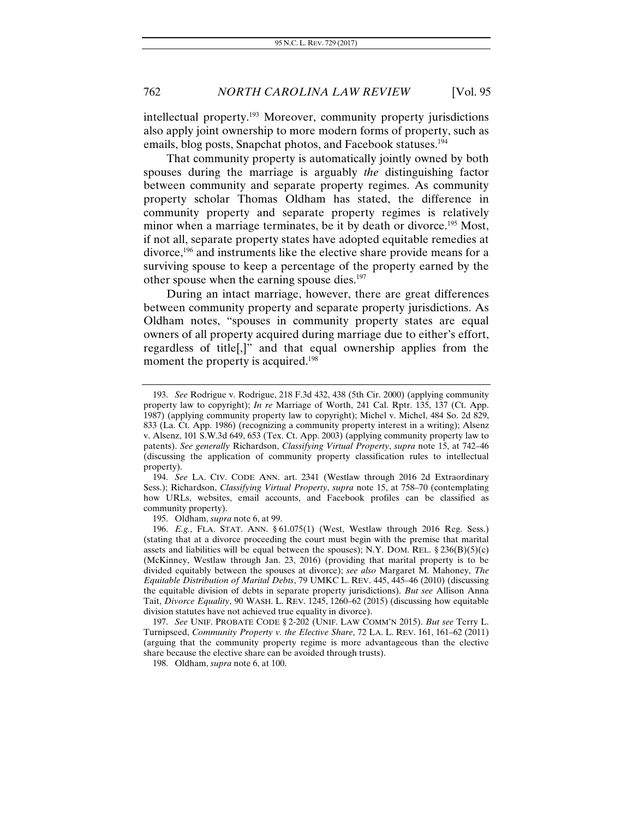intellectual property.193 Moreover, community property jurisdictions also apply joint ownership to more modern forms of property, such as emails, blog posts, Snapchat photos, and Facebook statuses.<sup>194</sup>

That community property is automatically jointly owned by both spouses during the marriage is arguably *the* distinguishing factor between community and separate property regimes. As community property scholar Thomas Oldham has stated, the difference in community property and separate property regimes is relatively minor when a marriage terminates, be it by death or divorce.<sup>195</sup> Most, if not all, separate property states have adopted equitable remedies at divorce,196 and instruments like the elective share provide means for a surviving spouse to keep a percentage of the property earned by the other spouse when the earning spouse dies.<sup>197</sup>

During an intact marriage, however, there are great differences between community property and separate property jurisdictions. As Oldham notes, "spouses in community property states are equal owners of all property acquired during marriage due to either's effort, regardless of title[,]" and that equal ownership applies from the moment the property is acquired.<sup>198</sup>

195. Oldham, *supra* note 6, at 99.

<sup>193.</sup> *See* Rodrigue v. Rodrigue, 218 F.3d 432, 438 (5th Cir. 2000) (applying community property law to copyright); *In re* Marriage of Worth, 241 Cal. Rptr. 135, 137 (Ct. App. 1987) (applying community property law to copyright); Michel v. Michel, 484 So. 2d 829, 833 (La. Ct. App. 1986) (recognizing a community property interest in a writing); Alsenz v. Alsenz, 101 S.W.3d 649, 653 (Tex. Ct. App. 2003) (applying community property law to patents). *See generally* Richardson, *Classifying Virtual Property*, *supra* note 15, at 742–46 (discussing the application of community property classification rules to intellectual property).

<sup>194.</sup> *See* LA. CIV. CODE ANN. art. 2341 (Westlaw through 2016 2d Extraordinary Sess.); Richardson, *Classifying Virtual Property*, *supra* note 15, at 758–70 (contemplating how URLs, websites, email accounts, and Facebook profiles can be classified as community property).

<sup>196.</sup> *E.g.*, FLA. STAT. ANN. § 61.075(1) (West, Westlaw through 2016 Reg. Sess.) (stating that at a divorce proceeding the court must begin with the premise that marital assets and liabilities will be equal between the spouses); N.Y. DOM. REL.  $\S 236(B)(5)(c)$ (McKinney, Westlaw through Jan. 23, 2016) (providing that marital property is to be divided equitably between the spouses at divorce); *see also* Margaret M. Mahoney, *The Equitable Distribution of Marital Debts*, 79 UMKC L. REV. 445, 445–46 (2010) (discussing the equitable division of debts in separate property jurisdictions). *But see* Allison Anna Tait, *Divorce Equality*, 90 WASH. L. REV. 1245, 1260–62 (2015) (discussing how equitable division statutes have not achieved true equality in divorce).

<sup>197.</sup> *See* UNIF. PROBATE CODE § 2-202 (UNIF. LAW COMM'N 2015). *But see* Terry L. Turnipseed, *Community Property v. the Elective Share*, 72 LA. L. REV. 161, 161–62 (2011) (arguing that the community property regime is more advantageous than the elective share because the elective share can be avoided through trusts).

 <sup>198.</sup> Oldham, *supra* note 6, at 100.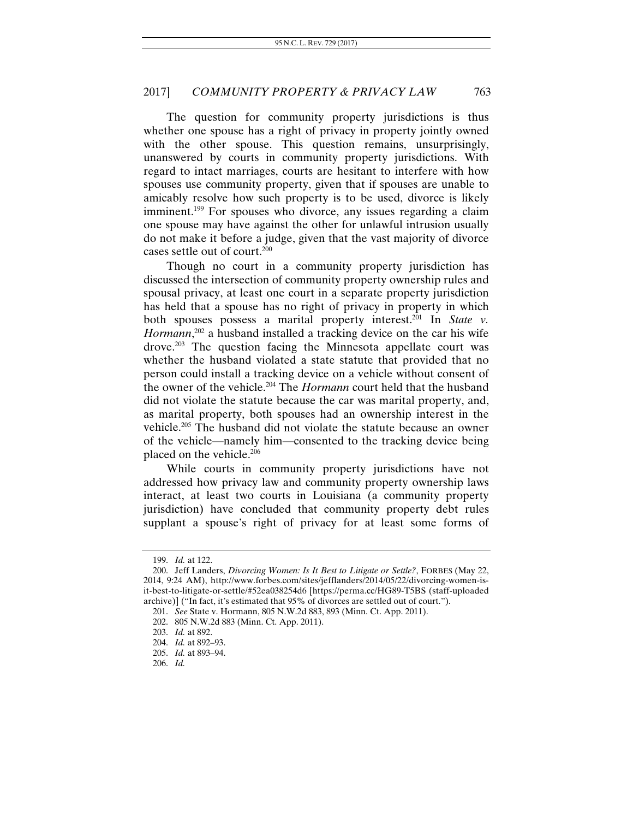The question for community property jurisdictions is thus whether one spouse has a right of privacy in property jointly owned with the other spouse. This question remains, unsurprisingly, unanswered by courts in community property jurisdictions. With regard to intact marriages, courts are hesitant to interfere with how spouses use community property, given that if spouses are unable to amicably resolve how such property is to be used, divorce is likely imminent.<sup>199</sup> For spouses who divorce, any issues regarding a claim one spouse may have against the other for unlawful intrusion usually do not make it before a judge, given that the vast majority of divorce cases settle out of court.200

Though no court in a community property jurisdiction has discussed the intersection of community property ownership rules and spousal privacy, at least one court in a separate property jurisdiction has held that a spouse has no right of privacy in property in which both spouses possess a marital property interest.<sup>201</sup> In *State v*. *Hormann*, 202 a husband installed a tracking device on the car his wife drove.<sup>203</sup> The question facing the Minnesota appellate court was whether the husband violated a state statute that provided that no person could install a tracking device on a vehicle without consent of the owner of the vehicle.204 The *Hormann* court held that the husband did not violate the statute because the car was marital property, and, as marital property, both spouses had an ownership interest in the vehicle.205 The husband did not violate the statute because an owner of the vehicle—namely him—consented to the tracking device being placed on the vehicle.<sup>206</sup>

While courts in community property jurisdictions have not addressed how privacy law and community property ownership laws interact, at least two courts in Louisiana (a community property jurisdiction) have concluded that community property debt rules supplant a spouse's right of privacy for at least some forms of

<sup>199.</sup> *Id.* at 122.

 <sup>200.</sup> Jeff Landers, *Divorcing Women: Is It Best to Litigate or Settle?*, FORBES (May 22, 2014, 9:24 AM), http://www.forbes.com/sites/jefflanders/2014/05/22/divorcing-women-isit-best-to-litigate-or-settle/#52ea038254d6 [https://perma.cc/HG89-T5BS (staff-uploaded archive)] ("In fact, it's estimated that 95% of divorces are settled out of court.").

<sup>201.</sup> *See* State v. Hormann, 805 N.W.2d 883, 893 (Minn. Ct. App. 2011).

<sup>202. 805</sup> N.W.2d 883 (Minn. Ct. App. 2011).

<sup>203.</sup> *Id.* at 892.

<sup>204.</sup> *Id.* at 892–93.

<sup>205.</sup> *Id.* at 893–94.

<sup>206.</sup> *Id.*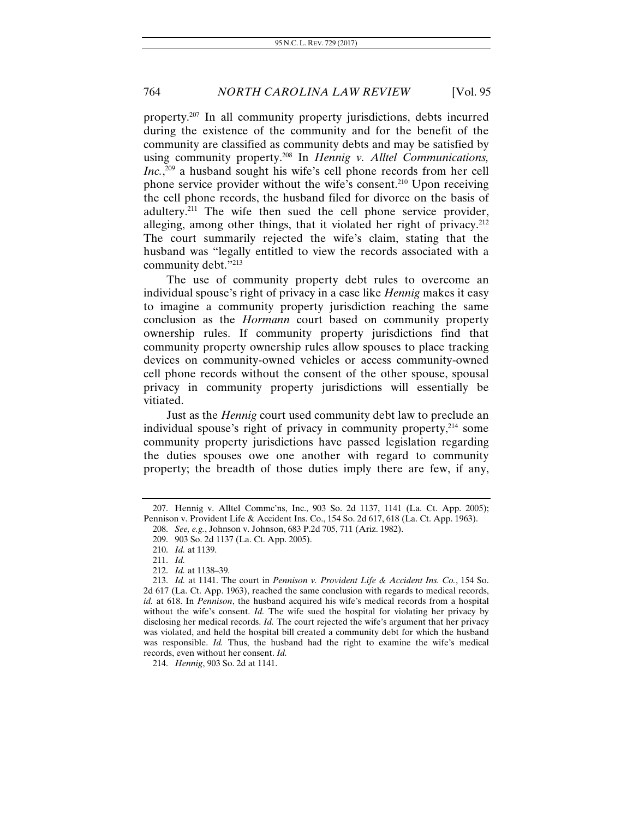property.207 In all community property jurisdictions, debts incurred during the existence of the community and for the benefit of the community are classified as community debts and may be satisfied by using community property.208 In *Hennig v. Alltel Communications, Inc.*, 209 a husband sought his wife's cell phone records from her cell phone service provider without the wife's consent.<sup>210</sup> Upon receiving the cell phone records, the husband filed for divorce on the basis of adultery.211 The wife then sued the cell phone service provider, alleging, among other things, that it violated her right of privacy. $^{212}$ The court summarily rejected the wife's claim, stating that the husband was "legally entitled to view the records associated with a community debt."213

The use of community property debt rules to overcome an individual spouse's right of privacy in a case like *Hennig* makes it easy to imagine a community property jurisdiction reaching the same conclusion as the *Hormann* court based on community property ownership rules. If community property jurisdictions find that community property ownership rules allow spouses to place tracking devices on community-owned vehicles or access community-owned cell phone records without the consent of the other spouse, spousal privacy in community property jurisdictions will essentially be vitiated.

Just as the *Hennig* court used community debt law to preclude an individual spouse's right of privacy in community property,<sup>214</sup> some community property jurisdictions have passed legislation regarding the duties spouses owe one another with regard to community property; the breadth of those duties imply there are few, if any,

214. *Hennig*, 903 So. 2d at 1141.

 <sup>207.</sup> Hennig v. Alltel Commc'ns, Inc., 903 So. 2d 1137, 1141 (La. Ct. App. 2005); Pennison v. Provident Life & Accident Ins. Co., 154 So. 2d 617, 618 (La. Ct. App. 1963).

<sup>208.</sup> *See, e.g.*, Johnson v. Johnson, 683 P.2d 705, 711 (Ariz. 1982).

 <sup>209. 903</sup> So. 2d 1137 (La. Ct. App. 2005).

<sup>210.</sup> *Id.* at 1139.

<sup>211.</sup> *Id.* 

<sup>212.</sup> *Id.* at 1138–39.

<sup>213.</sup> *Id.* at 1141. The court in *Pennison v. Provident Life & Accident Ins. Co.*, 154 So. 2d 617 (La. Ct. App. 1963), reached the same conclusion with regards to medical records, *id.* at 618. In *Pennison*, the husband acquired his wife's medical records from a hospital without the wife's consent. *Id*. The wife sued the hospital for violating her privacy by disclosing her medical records. *Id.* The court rejected the wife's argument that her privacy was violated, and held the hospital bill created a community debt for which the husband was responsible. *Id.* Thus, the husband had the right to examine the wife's medical records, even without her consent. *Id.*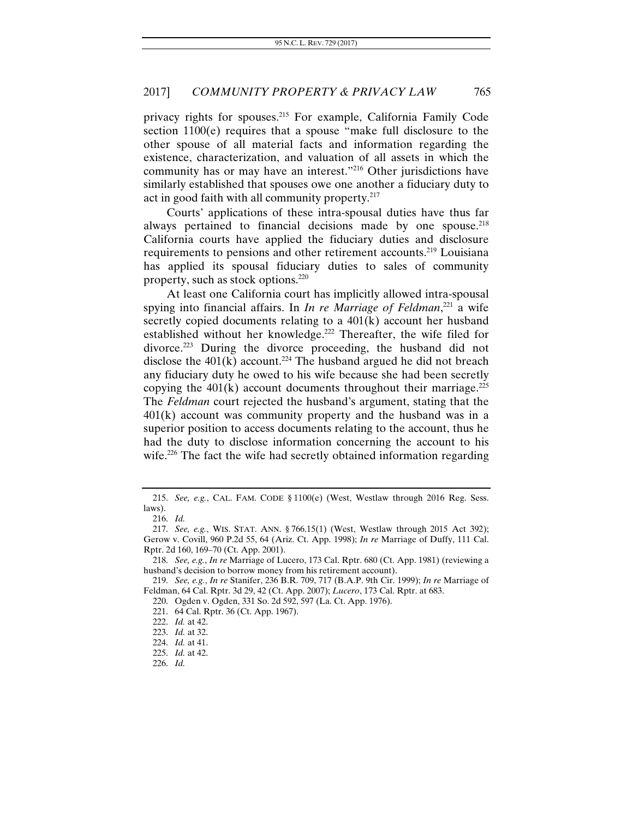privacy rights for spouses.215 For example, California Family Code section 1100(e) requires that a spouse "make full disclosure to the other spouse of all material facts and information regarding the existence, characterization, and valuation of all assets in which the community has or may have an interest."216 Other jurisdictions have similarly established that spouses owe one another a fiduciary duty to act in good faith with all community property.<sup>217</sup>

Courts' applications of these intra-spousal duties have thus far always pertained to financial decisions made by one spouse.<sup>218</sup> California courts have applied the fiduciary duties and disclosure requirements to pensions and other retirement accounts.219 Louisiana has applied its spousal fiduciary duties to sales of community property, such as stock options.220

At least one California court has implicitly allowed intra-spousal spying into financial affairs. In *In re Marriage of Feldman*, 221 a wife secretly copied documents relating to a 401(k) account her husband established without her knowledge.<sup>222</sup> Thereafter, the wife filed for divorce.<sup>223</sup> During the divorce proceeding, the husband did not disclose the  $401(\vec{k})$  account.<sup>224</sup> The husband argued he did not breach any fiduciary duty he owed to his wife because she had been secretly copying the  $401(k)$  account documents throughout their marriage.<sup>225</sup> The *Feldman* court rejected the husband's argument, stating that the  $401(k)$  account was community property and the husband was in a superior position to access documents relating to the account, thus he had the duty to disclose information concerning the account to his wife.<sup>226</sup> The fact the wife had secretly obtained information regarding

220. Ogden v. Ogden, 331 So. 2d 592, 597 (La. Ct. App. 1976).

<sup>215.</sup> *See, e.g.*, CAL. FAM. CODE § 1100(e) (West, Westlaw through 2016 Reg. Sess. laws).

<sup>216.</sup> *Id.*

<sup>217.</sup> *See, e.g.*, WIS. STAT. ANN. § 766.15(1) (West, Westlaw through 2015 Act 392); Gerow v. Covill, 960 P.2d 55, 64 (Ariz. Ct. App. 1998); *In re* Marriage of Duffy, 111 Cal. Rptr. 2d 160, 169–70 (Ct. App. 2001).

<sup>218.</sup> *See, e.g.*, *In re* Marriage of Lucero, 173 Cal. Rptr. 680 (Ct. App. 1981) (reviewing a husband's decision to borrow money from his retirement account).

<sup>219.</sup> *See, e.g.*, *In re* Stanifer, 236 B.R. 709, 717 (B.A.P. 9th Cir. 1999); *In re* Marriage of Feldman, 64 Cal. Rptr. 3d 29, 42 (Ct. App. 2007); *Lucero*, 173 Cal. Rptr. at 683.

 <sup>221. 64</sup> Cal. Rptr. 36 (Ct. App. 1967).

<sup>222.</sup> *Id.* at 42.

<sup>223.</sup> *Id.* at 32.

<sup>224.</sup> *Id.* at 41.

<sup>225.</sup> *Id.* at 42.

<sup>226.</sup> *Id.*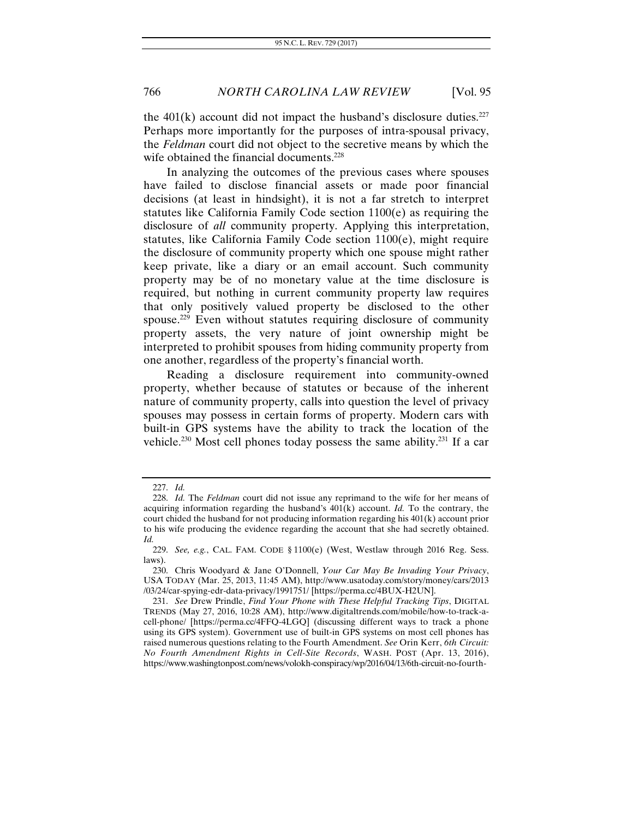the  $401(k)$  account did not impact the husband's disclosure duties.<sup>227</sup> Perhaps more importantly for the purposes of intra-spousal privacy, the *Feldman* court did not object to the secretive means by which the wife obtained the financial documents.<sup>228</sup>

In analyzing the outcomes of the previous cases where spouses have failed to disclose financial assets or made poor financial decisions (at least in hindsight), it is not a far stretch to interpret statutes like California Family Code section 1100(e) as requiring the disclosure of *all* community property. Applying this interpretation, statutes, like California Family Code section 1100(e), might require the disclosure of community property which one spouse might rather keep private, like a diary or an email account. Such community property may be of no monetary value at the time disclosure is required, but nothing in current community property law requires that only positively valued property be disclosed to the other spouse.<sup>229</sup> Even without statutes requiring disclosure of community property assets, the very nature of joint ownership might be interpreted to prohibit spouses from hiding community property from one another, regardless of the property's financial worth.

Reading a disclosure requirement into community-owned property, whether because of statutes or because of the inherent nature of community property, calls into question the level of privacy spouses may possess in certain forms of property. Modern cars with built-in GPS systems have the ability to track the location of the vehicle.<sup>230</sup> Most cell phones today possess the same ability.<sup>231</sup> If a car

<sup>227.</sup> *Id.*

 <sup>228.</sup> *Id.* The *Feldman* court did not issue any reprimand to the wife for her means of acquiring information regarding the husband's 401(k) account. *Id.* To the contrary, the court chided the husband for not producing information regarding his 401(k) account prior to his wife producing the evidence regarding the account that she had secretly obtained. *Id.*

<sup>229.</sup> *See, e.g.*, CAL. FAM. CODE § 1100(e) (West, Westlaw through 2016 Reg. Sess. laws).

 <sup>230.</sup> Chris Woodyard & Jane O'Donnell, *Your Car May Be Invading Your Privacy*, USA TODAY (Mar. 25, 2013, 11:45 AM), http://www.usatoday.com/story/money/cars/2013 /03/24/car-spying-edr-data-privacy/1991751/ [https://perma.cc/4BUX-H2UN].

<sup>231.</sup> *See* Drew Prindle, *Find Your Phone with These Helpful Tracking Tips*, DIGITAL TRENDS (May 27, 2016, 10:28 AM), http://www.digitaltrends.com/mobile/how-to-track-acell-phone/ [https://perma.cc/4FFQ-4LGQ] (discussing different ways to track a phone using its GPS system). Government use of built-in GPS systems on most cell phones has raised numerous questions relating to the Fourth Amendment. *See* Orin Kerr, *6th Circuit: No Fourth Amendment Rights in Cell-Site Records*, WASH. POST (Apr. 13, 2016), https://www.washingtonpost.com/news/volokh-conspiracy/wp/2016/04/13/6th-circuit-no-fourth-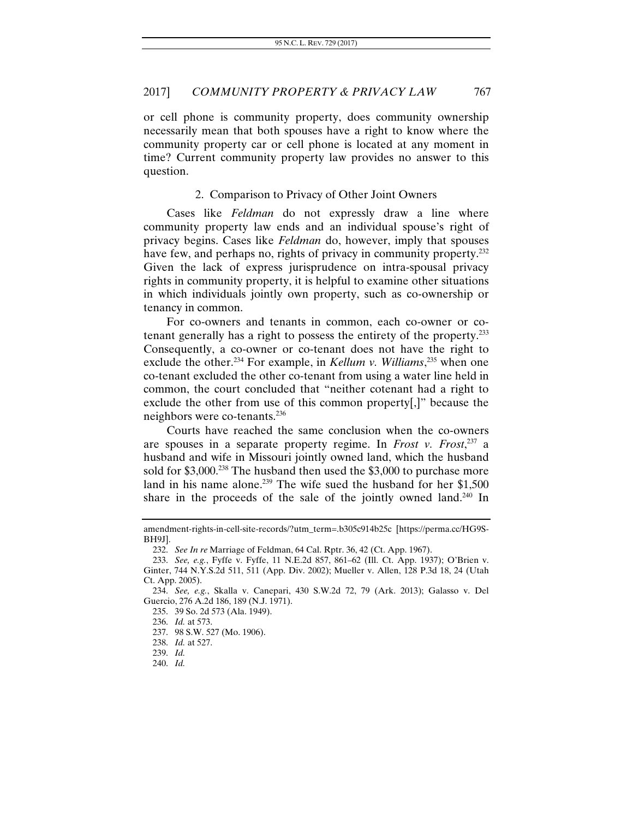or cell phone is community property, does community ownership necessarily mean that both spouses have a right to know where the community property car or cell phone is located at any moment in time? Current community property law provides no answer to this question.

## 2. Comparison to Privacy of Other Joint Owners

Cases like *Feldman* do not expressly draw a line where community property law ends and an individual spouse's right of privacy begins. Cases like *Feldman* do, however, imply that spouses have few, and perhaps no, rights of privacy in community property.<sup>232</sup> Given the lack of express jurisprudence on intra-spousal privacy rights in community property, it is helpful to examine other situations in which individuals jointly own property, such as co-ownership or tenancy in common.

For co-owners and tenants in common, each co-owner or cotenant generally has a right to possess the entirety of the property.233 Consequently, a co-owner or co-tenant does not have the right to exclude the other.234 For example, in *Kellum v. Williams*, 235 when one co-tenant excluded the other co-tenant from using a water line held in common, the court concluded that "neither cotenant had a right to exclude the other from use of this common property[,]" because the neighbors were co-tenants.<sup>236</sup>

Courts have reached the same conclusion when the co-owners are spouses in a separate property regime. In *Frost v. Frost*, 237 a husband and wife in Missouri jointly owned land, which the husband sold for \$3,000.<sup>238</sup> The husband then used the \$3,000 to purchase more land in his name alone.<sup>239</sup> The wife sued the husband for her  $$1,500$ share in the proceeds of the sale of the jointly owned land.<sup>240</sup> In

amendment-rights-in-cell-site-records/?utm\_term=.b305c914b25c [https://perma.cc/HG9S-BH9J].

<sup>232.</sup> *See In re* Marriage of Feldman, 64 Cal. Rptr. 36, 42 (Ct. App. 1967).

<sup>233.</sup> *See, e.g.*, Fyffe v. Fyffe, 11 N.E.2d 857, 861–62 (Ill. Ct. App. 1937); O'Brien v. Ginter, 744 N.Y.S.2d 511, 511 (App. Div. 2002); Mueller v. Allen, 128 P.3d 18, 24 (Utah Ct. App. 2005).

<sup>234.</sup> *See, e.g.*, Skalla v. Canepari, 430 S.W.2d 72, 79 (Ark. 2013); Galasso v. Del Guercio, 276 A.2d 186, 189 (N.J. 1971).

 <sup>235. 39</sup> So. 2d 573 (Ala. 1949).

<sup>236.</sup> *Id.* at 573.

 <sup>237. 98</sup> S.W. 527 (Mo. 1906).

<sup>238.</sup> *Id.* at 527. 239. *Id.*

<sup>240.</sup> *Id.*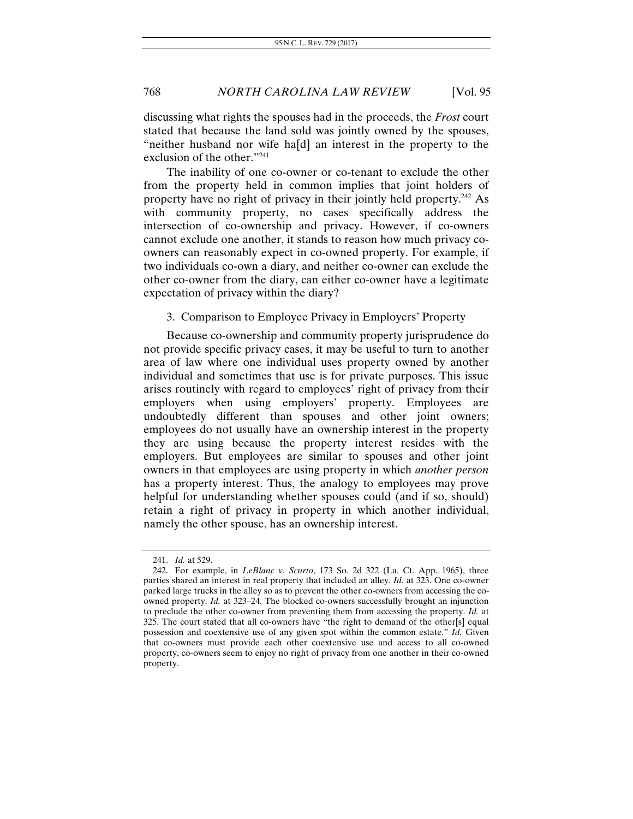discussing what rights the spouses had in the proceeds, the *Frost* court stated that because the land sold was jointly owned by the spouses, "neither husband nor wife ha[d] an interest in the property to the exclusion of the other."241

The inability of one co-owner or co-tenant to exclude the other from the property held in common implies that joint holders of property have no right of privacy in their jointly held property.<sup>242</sup> As with community property, no cases specifically address the intersection of co-ownership and privacy. However, if co-owners cannot exclude one another, it stands to reason how much privacy coowners can reasonably expect in co-owned property. For example, if two individuals co-own a diary, and neither co-owner can exclude the other co-owner from the diary, can either co-owner have a legitimate expectation of privacy within the diary?

## 3. Comparison to Employee Privacy in Employers' Property

Because co-ownership and community property jurisprudence do not provide specific privacy cases, it may be useful to turn to another area of law where one individual uses property owned by another individual and sometimes that use is for private purposes. This issue arises routinely with regard to employees' right of privacy from their employers when using employers' property. Employees are undoubtedly different than spouses and other joint owners; employees do not usually have an ownership interest in the property they are using because the property interest resides with the employers. But employees are similar to spouses and other joint owners in that employees are using property in which *another person* has a property interest. Thus, the analogy to employees may prove helpful for understanding whether spouses could (and if so, should) retain a right of privacy in property in which another individual, namely the other spouse, has an ownership interest.

<sup>241.</sup> *Id.* at 529.

 <sup>242.</sup> For example, in *LeBlanc v. Scurto*, 173 So. 2d 322 (La. Ct. App. 1965), three parties shared an interest in real property that included an alley. *Id.* at 323. One co-owner parked large trucks in the alley so as to prevent the other co-owners from accessing the coowned property. *Id.* at 323–24. The blocked co-owners successfully brought an injunction to preclude the other co-owner from preventing them from accessing the property. *Id.* at 325. The court stated that all co-owners have "the right to demand of the other[s] equal possession and coextensive use of any given spot within the common estate." *Id.* Given that co-owners must provide each other coextensive use and access to all co-owned property, co-owners seem to enjoy no right of privacy from one another in their co-owned property.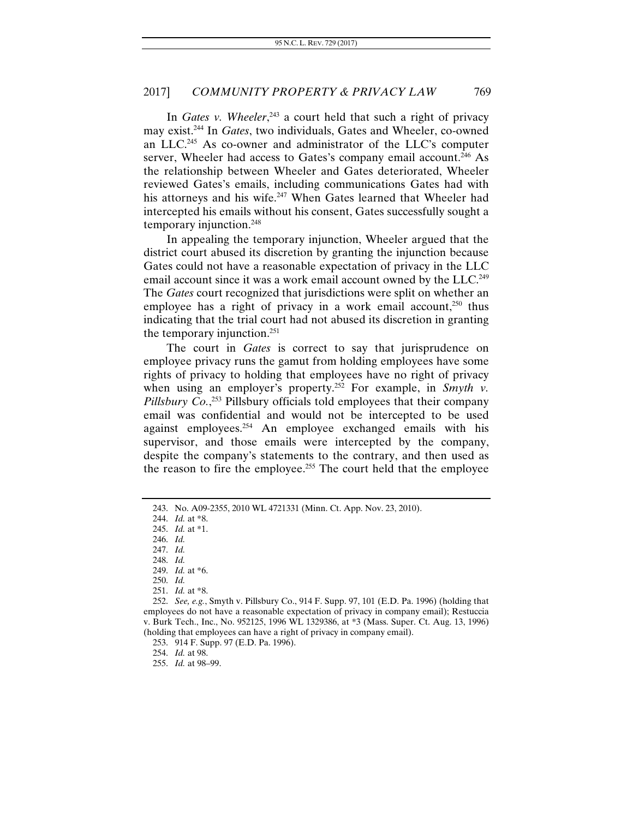In *Gates v. Wheeler*, 243 a court held that such a right of privacy may exist.244 In *Gates*, two individuals, Gates and Wheeler, co-owned an LLC.245 As co-owner and administrator of the LLC's computer server, Wheeler had access to Gates's company email account.<sup>246</sup> As the relationship between Wheeler and Gates deteriorated, Wheeler reviewed Gates's emails, including communications Gates had with his attorneys and his wife.<sup>247</sup> When Gates learned that Wheeler had intercepted his emails without his consent, Gates successfully sought a temporary injunction.248

In appealing the temporary injunction, Wheeler argued that the district court abused its discretion by granting the injunction because Gates could not have a reasonable expectation of privacy in the LLC email account since it was a work email account owned by the LLC.<sup>249</sup> The *Gates* court recognized that jurisdictions were split on whether an employee has a right of privacy in a work email account, $250$  thus indicating that the trial court had not abused its discretion in granting the temporary injunction.<sup>251</sup>

The court in *Gates* is correct to say that jurisprudence on employee privacy runs the gamut from holding employees have some rights of privacy to holding that employees have no right of privacy when using an employer's property.<sup>252</sup> For example, in *Smyth v*. Pillsbury Co.<sup>353</sup> Pillsbury officials told employees that their company email was confidential and would not be intercepted to be used against employees.<sup>254</sup> An employee exchanged emails with his supervisor, and those emails were intercepted by the company, despite the company's statements to the contrary, and then used as the reason to fire the employee.<sup>255</sup> The court held that the employee

 <sup>243.</sup> No. A09-2355, 2010 WL 4721331 (Minn. Ct. App. Nov. 23, 2010).

 <sup>244.</sup> *Id.* at \*8.

<sup>245.</sup> *Id.* at \*1.

<sup>246.</sup> *Id.*

<sup>247.</sup> *Id.*

<sup>248.</sup> *Id.*

<sup>249.</sup> *Id.* at \*6.

<sup>250.</sup> *Id.*

<sup>251.</sup> *Id.* at \*8.

<sup>252.</sup> *See, e.g.*, Smyth v. Pillsbury Co., 914 F. Supp. 97, 101 (E.D. Pa. 1996) (holding that employees do not have a reasonable expectation of privacy in company email); Restuccia v. Burk Tech., Inc., No. 952125, 1996 WL 1329386, at \*3 (Mass. Super. Ct. Aug. 13, 1996) (holding that employees can have a right of privacy in company email).

<sup>253. 914</sup> F. Supp. 97 (E.D. Pa. 1996).

<sup>254.</sup> *Id.* at 98.

<sup>255.</sup> *Id.* at 98–99.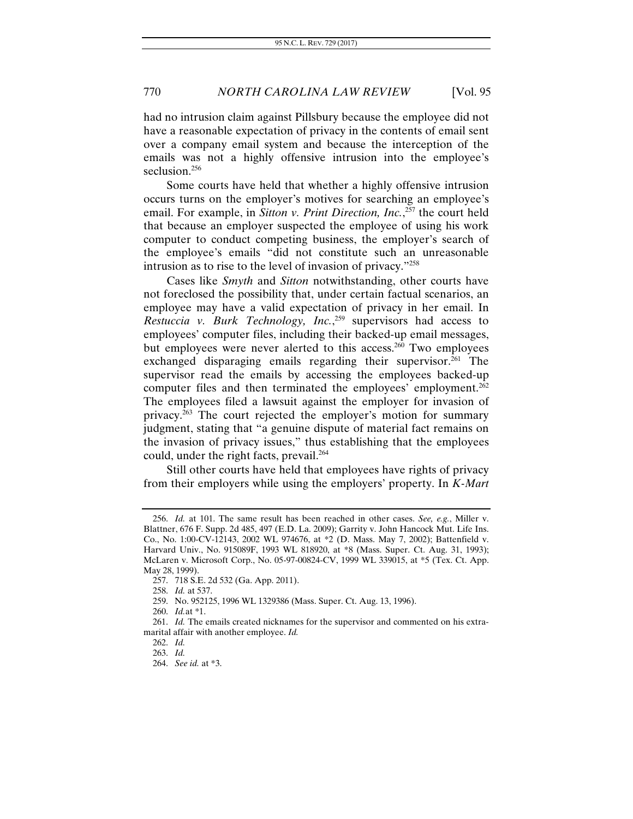had no intrusion claim against Pillsbury because the employee did not have a reasonable expectation of privacy in the contents of email sent over a company email system and because the interception of the emails was not a highly offensive intrusion into the employee's seclusion.<sup>256</sup>

Some courts have held that whether a highly offensive intrusion occurs turns on the employer's motives for searching an employee's email. For example, in *Sitton v. Print Direction, Inc.*, 257 the court held that because an employer suspected the employee of using his work computer to conduct competing business, the employer's search of the employee's emails "did not constitute such an unreasonable intrusion as to rise to the level of invasion of privacy."258

Cases like *Smyth* and *Sitton* notwithstanding, other courts have not foreclosed the possibility that, under certain factual scenarios, an employee may have a valid expectation of privacy in her email. In *Restuccia v. Burk Technology, Inc.*, 259 supervisors had access to employees' computer files, including their backed-up email messages, but employees were never alerted to this access.<sup>260</sup> Two employees exchanged disparaging emails regarding their supervisor.<sup>261</sup> The supervisor read the emails by accessing the employees backed-up computer files and then terminated the employees' employment.<sup>262</sup> The employees filed a lawsuit against the employer for invasion of privacy.263 The court rejected the employer's motion for summary judgment, stating that "a genuine dispute of material fact remains on the invasion of privacy issues," thus establishing that the employees could, under the right facts, prevail.<sup>264</sup>

Still other courts have held that employees have rights of privacy from their employers while using the employers' property. In *K-Mart* 

<sup>256.</sup> *Id.* at 101. The same result has been reached in other cases. *See, e.g.*, Miller v. Blattner, 676 F. Supp. 2d 485, 497 (E.D. La. 2009); Garrity v. John Hancock Mut. Life Ins. Co., No. 1:00-CV-12143, 2002 WL 974676, at \*2 (D. Mass. May 7, 2002); Battenfield v. Harvard Univ., No. 915089F, 1993 WL 818920, at \*8 (Mass. Super. Ct. Aug. 31, 1993); McLaren v. Microsoft Corp., No. 05-97-00824-CV, 1999 WL 339015, at \*5 (Tex. Ct. App. May 28, 1999).

 <sup>257. 718</sup> S.E. 2d 532 (Ga. App. 2011).

<sup>258.</sup> *Id.* at 537.

 <sup>259.</sup> No. 952125, 1996 WL 1329386 (Mass. Super. Ct. Aug. 13, 1996).

<sup>260.</sup> *Id.*at \*1.

<sup>261.</sup> *Id.* The emails created nicknames for the supervisor and commented on his extramarital affair with another employee. *Id.*

<sup>262.</sup> *Id.* 

<sup>263.</sup> *Id.*

<sup>264.</sup> *See id.* at \*3.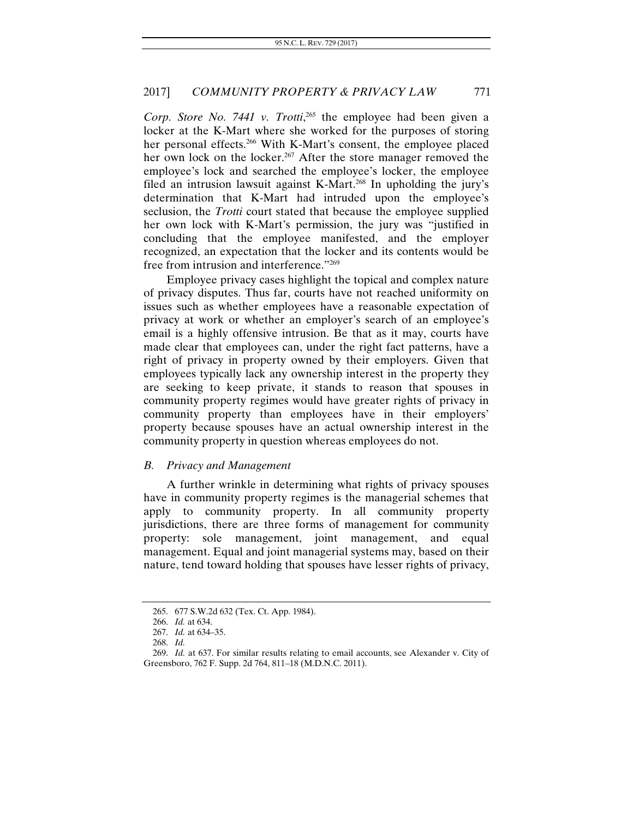Corp. Store No. 7441 v. Trotti,<sup>265</sup> the employee had been given a locker at the K-Mart where she worked for the purposes of storing her personal effects.<sup>266</sup> With K-Mart's consent, the employee placed her own lock on the locker.<sup>267</sup> After the store manager removed the employee's lock and searched the employee's locker, the employee filed an intrusion lawsuit against K-Mart.<sup>268</sup> In upholding the jury's determination that K-Mart had intruded upon the employee's seclusion, the *Trotti* court stated that because the employee supplied her own lock with K-Mart's permission, the jury was "justified in concluding that the employee manifested, and the employer recognized, an expectation that the locker and its contents would be free from intrusion and interference."<sup>269</sup>

Employee privacy cases highlight the topical and complex nature of privacy disputes. Thus far, courts have not reached uniformity on issues such as whether employees have a reasonable expectation of privacy at work or whether an employer's search of an employee's email is a highly offensive intrusion. Be that as it may, courts have made clear that employees can, under the right fact patterns, have a right of privacy in property owned by their employers. Given that employees typically lack any ownership interest in the property they are seeking to keep private, it stands to reason that spouses in community property regimes would have greater rights of privacy in community property than employees have in their employers' property because spouses have an actual ownership interest in the community property in question whereas employees do not.

#### *B. Privacy and Management*

A further wrinkle in determining what rights of privacy spouses have in community property regimes is the managerial schemes that apply to community property. In all community property jurisdictions, there are three forms of management for community property: sole management, joint management, and equal management. Equal and joint managerial systems may, based on their nature, tend toward holding that spouses have lesser rights of privacy,

 <sup>265. 677</sup> S.W.2d 632 (Tex. Ct. App. 1984).

<sup>266.</sup> *Id.* at 634.

<sup>267.</sup> *Id.* at 634–35.

<sup>268.</sup> *Id.*

<sup>269.</sup> *Id.* at 637. For similar results relating to email accounts, see Alexander v. City of Greensboro, 762 F. Supp. 2d 764, 811–18 (M.D.N.C. 2011).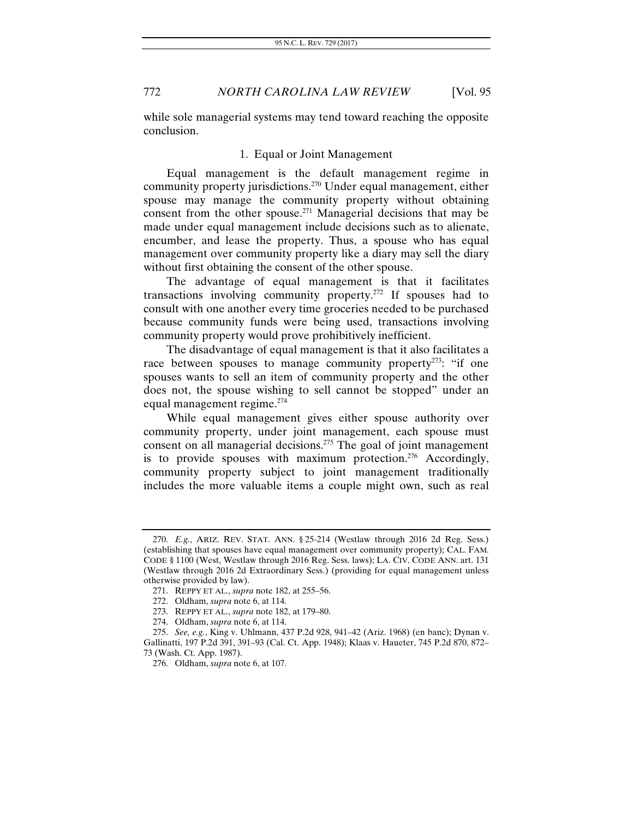while sole managerial systems may tend toward reaching the opposite conclusion.

## 1. Equal or Joint Management

Equal management is the default management regime in community property jurisdictions.270 Under equal management, either spouse may manage the community property without obtaining consent from the other spouse.271 Managerial decisions that may be made under equal management include decisions such as to alienate, encumber, and lease the property. Thus, a spouse who has equal management over community property like a diary may sell the diary without first obtaining the consent of the other spouse.

The advantage of equal management is that it facilitates transactions involving community property.272 If spouses had to consult with one another every time groceries needed to be purchased because community funds were being used, transactions involving community property would prove prohibitively inefficient.

The disadvantage of equal management is that it also facilitates a race between spouses to manage community property<sup>273</sup>: "if one spouses wants to sell an item of community property and the other does not, the spouse wishing to sell cannot be stopped" under an equal management regime.274

While equal management gives either spouse authority over community property, under joint management, each spouse must consent on all managerial decisions.<sup>275</sup> The goal of joint management is to provide spouses with maximum protection.<sup>276</sup> Accordingly, community property subject to joint management traditionally includes the more valuable items a couple might own, such as real

 <sup>270.</sup> *E.g.*, ARIZ. REV. STAT. ANN. § 25-214 (Westlaw through 2016 2d Reg. Sess.) (establishing that spouses have equal management over community property); CAL. FAM. CODE § 1100 (West, Westlaw through 2016 Reg. Sess. laws); LA. CIV. CODE ANN. art. 131 (Westlaw through 2016 2d Extraordinary Sess.) (providing for equal management unless otherwise provided by law).

 <sup>271.</sup> REPPY ET AL., *supra* note 182, at 255–56.

 <sup>272.</sup> Oldham, *supra* note 6, at 114.

 <sup>273.</sup> REPPY ET AL., *supra* note 182, at 179–80.

 <sup>274.</sup> Oldham, *supra* note 6, at 114.

<sup>275.</sup> *See, e.g.*, King v. Uhlmann, 437 P.2d 928, 941–42 (Ariz. 1968) (en banc); Dynan v. Gallinatti, 197 P.2d 391, 391–93 (Cal. Ct. App. 1948); Klaas v. Haueter, 745 P.2d 870, 872– 73 (Wash. Ct. App. 1987).

 <sup>276.</sup> Oldham, *supra* note 6, at 107.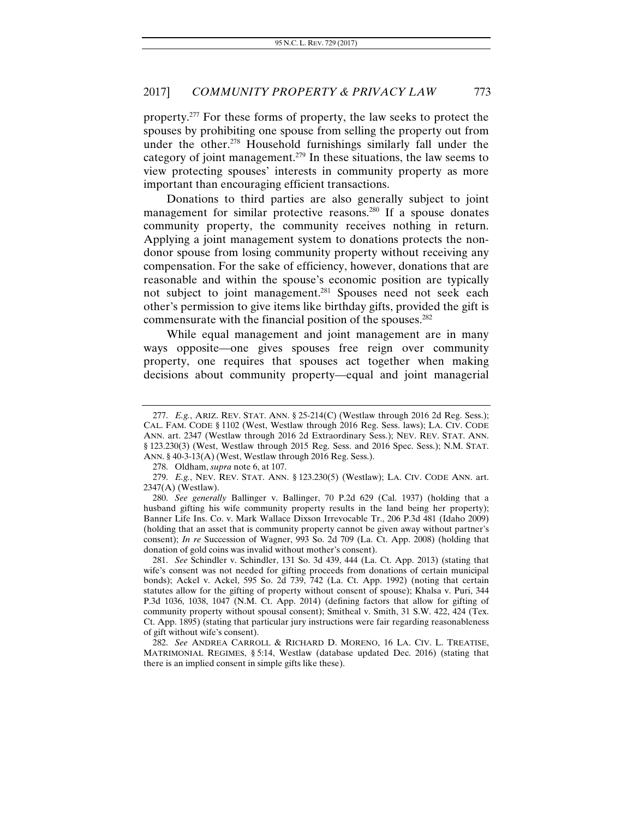property.277 For these forms of property, the law seeks to protect the spouses by prohibiting one spouse from selling the property out from under the other.<sup>278</sup> Household furnishings similarly fall under the category of joint management.<sup>279</sup> In these situations, the law seems to view protecting spouses' interests in community property as more important than encouraging efficient transactions.

Donations to third parties are also generally subject to joint management for similar protective reasons.<sup>280</sup> If a spouse donates community property, the community receives nothing in return. Applying a joint management system to donations protects the nondonor spouse from losing community property without receiving any compensation. For the sake of efficiency, however, donations that are reasonable and within the spouse's economic position are typically not subject to joint management.<sup>281</sup> Spouses need not seek each other's permission to give items like birthday gifts, provided the gift is commensurate with the financial position of the spouses.<sup>282</sup>

While equal management and joint management are in many ways opposite—one gives spouses free reign over community property, one requires that spouses act together when making decisions about community property—equal and joint managerial

282. *See* ANDREA CARROLL & RICHARD D. MORENO, 16 LA. CIV. L. TREATISE, MATRIMONIAL REGIMES, § 5:14, Westlaw (database updated Dec. 2016) (stating that there is an implied consent in simple gifts like these).

<sup>277.</sup> *E.g.*, ARIZ. REV. STAT. ANN. § 25-214(C) (Westlaw through 2016 2d Reg. Sess.); CAL. FAM. CODE § 1102 (West, Westlaw through 2016 Reg. Sess. laws); LA. CIV. CODE ANN. art. 2347 (Westlaw through 2016 2d Extraordinary Sess.); NEV. REV. STAT. ANN. § 123.230(3) (West, Westlaw through 2015 Reg. Sess. and 2016 Spec. Sess.); N.M. STAT. ANN. § 40-3-13(A) (West, Westlaw through 2016 Reg. Sess.).

 <sup>278.</sup> Oldham, *supra* note 6, at 107.

<sup>279.</sup> *E.g.*, NEV. REV. STAT. ANN. § 123.230(5) (Westlaw); LA. CIV. CODE ANN. art. 2347(A) (Westlaw).

<sup>280.</sup> *See generally* Ballinger v. Ballinger, 70 P.2d 629 (Cal. 1937) (holding that a husband gifting his wife community property results in the land being her property); Banner Life Ins. Co. v. Mark Wallace Dixson Irrevocable Tr., 206 P.3d 481 (Idaho 2009) (holding that an asset that is community property cannot be given away without partner's consent); *In re* Succession of Wagner, 993 So. 2d 709 (La. Ct. App. 2008) (holding that donation of gold coins was invalid without mother's consent).

<sup>281.</sup> *See* Schindler v. Schindler, 131 So. 3d 439, 444 (La. Ct. App. 2013) (stating that wife's consent was not needed for gifting proceeds from donations of certain municipal bonds); Ackel v. Ackel, 595 So. 2d 739, 742 (La. Ct. App. 1992) (noting that certain statutes allow for the gifting of property without consent of spouse); Khalsa v. Puri, 344 P.3d 1036, 1038, 1047 (N.M. Ct. App. 2014) (defining factors that allow for gifting of community property without spousal consent); Smitheal v. Smith, 31 S.W. 422, 424 (Tex. Ct. App. 1895) (stating that particular jury instructions were fair regarding reasonableness of gift without wife's consent).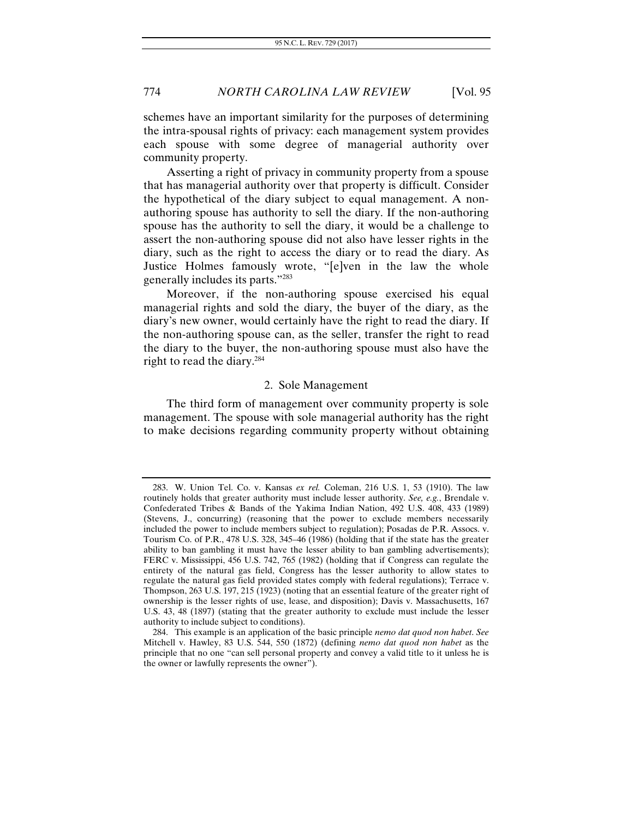schemes have an important similarity for the purposes of determining the intra-spousal rights of privacy: each management system provides each spouse with some degree of managerial authority over community property.

Asserting a right of privacy in community property from a spouse that has managerial authority over that property is difficult. Consider the hypothetical of the diary subject to equal management. A nonauthoring spouse has authority to sell the diary. If the non-authoring spouse has the authority to sell the diary, it would be a challenge to assert the non-authoring spouse did not also have lesser rights in the diary, such as the right to access the diary or to read the diary. As Justice Holmes famously wrote, "[e]ven in the law the whole generally includes its parts."283

Moreover, if the non-authoring spouse exercised his equal managerial rights and sold the diary, the buyer of the diary, as the diary's new owner, would certainly have the right to read the diary. If the non-authoring spouse can, as the seller, transfer the right to read the diary to the buyer, the non-authoring spouse must also have the right to read the diary.284

## 2. Sole Management

The third form of management over community property is sole management. The spouse with sole managerial authority has the right to make decisions regarding community property without obtaining

 <sup>283.</sup> W. Union Tel. Co. v. Kansas *ex rel.* Coleman, 216 U.S. 1, 53 (1910). The law routinely holds that greater authority must include lesser authority. *See, e.g.*, Brendale v. Confederated Tribes & Bands of the Yakima Indian Nation, 492 U.S. 408, 433 (1989) (Stevens, J., concurring) (reasoning that the power to exclude members necessarily included the power to include members subject to regulation); Posadas de P.R. Assocs. v. Tourism Co. of P.R., 478 U.S. 328, 345–46 (1986) (holding that if the state has the greater ability to ban gambling it must have the lesser ability to ban gambling advertisements); FERC v. Mississippi, 456 U.S. 742, 765 (1982) (holding that if Congress can regulate the entirety of the natural gas field, Congress has the lesser authority to allow states to regulate the natural gas field provided states comply with federal regulations); Terrace v. Thompson, 263 U.S. 197, 215 (1923) (noting that an essential feature of the greater right of ownership is the lesser rights of use, lease, and disposition); Davis v. Massachusetts, 167 U.S. 43, 48 (1897) (stating that the greater authority to exclude must include the lesser authority to include subject to conditions).

 <sup>284.</sup> This example is an application of the basic principle *nemo dat quod non habet*. *See* Mitchell v. Hawley, 83 U.S. 544, 550 (1872) (defining *nemo dat quod non habet* as the principle that no one "can sell personal property and convey a valid title to it unless he is the owner or lawfully represents the owner").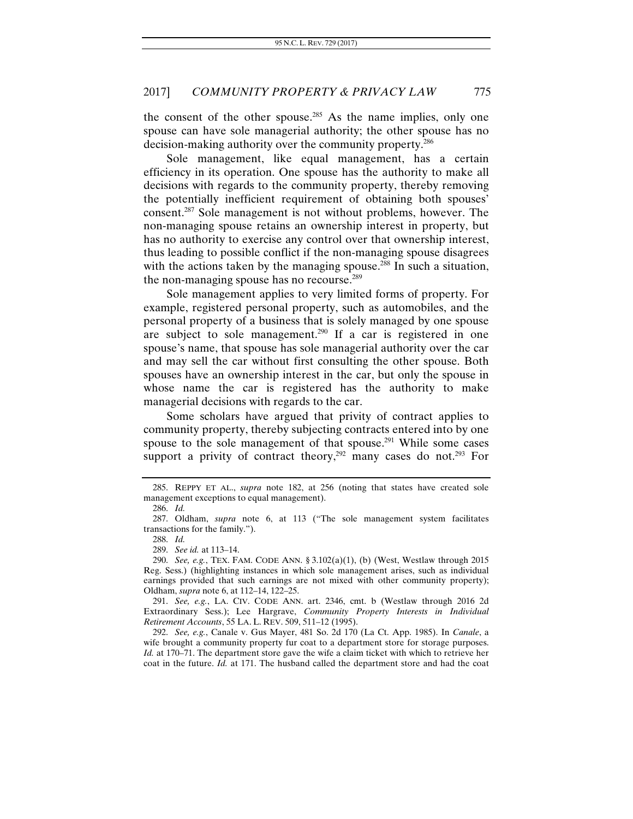the consent of the other spouse.<sup>285</sup> As the name implies, only one spouse can have sole managerial authority; the other spouse has no decision-making authority over the community property.286

Sole management, like equal management, has a certain efficiency in its operation. One spouse has the authority to make all decisions with regards to the community property, thereby removing the potentially inefficient requirement of obtaining both spouses' consent.287 Sole management is not without problems, however. The non-managing spouse retains an ownership interest in property, but has no authority to exercise any control over that ownership interest, thus leading to possible conflict if the non-managing spouse disagrees with the actions taken by the managing spouse.<sup>288</sup> In such a situation, the non-managing spouse has no recourse.<sup>289</sup>

Sole management applies to very limited forms of property. For example, registered personal property, such as automobiles, and the personal property of a business that is solely managed by one spouse are subject to sole management.290 If a car is registered in one spouse's name, that spouse has sole managerial authority over the car and may sell the car without first consulting the other spouse. Both spouses have an ownership interest in the car, but only the spouse in whose name the car is registered has the authority to make managerial decisions with regards to the car.

Some scholars have argued that privity of contract applies to community property, thereby subjecting contracts entered into by one spouse to the sole management of that spouse.<sup>291</sup> While some cases support a privity of contract theory,<sup>292</sup> many cases do not.<sup>293</sup> For

 <sup>285.</sup> REPPY ET AL., *supra* note 182, at 256 (noting that states have created sole management exceptions to equal management).

 <sup>286.</sup> *Id.*

 <sup>287.</sup> Oldham, *supra* note 6, at 113 ("The sole management system facilitates transactions for the family.").

<sup>288.</sup> *Id.*

 <sup>289.</sup> *See id.* at 113–14.

 <sup>290.</sup> *See, e.g.*, TEX. FAM. CODE ANN. § 3.102(a)(1), (b) (West, Westlaw through 2015 Reg. Sess.) (highlighting instances in which sole management arises, such as individual earnings provided that such earnings are not mixed with other community property); Oldham, *supra* note 6, at 112–14, 122–25.

<sup>291.</sup> *See, e.g.*, LA. CIV. CODE ANN. art. 2346, cmt. b (Westlaw through 2016 2d Extraordinary Sess.); Lee Hargrave, *Community Property Interests in Individual Retirement Accounts*, 55 LA. L. REV. 509, 511–12 (1995).

 <sup>292.</sup> *See, e.g.*, Canale v. Gus Mayer, 481 So. 2d 170 (La Ct. App. 1985). In *Canale*, a wife brought a community property fur coat to a department store for storage purposes. *Id.* at 170–71. The department store gave the wife a claim ticket with which to retrieve her coat in the future. *Id.* at 171. The husband called the department store and had the coat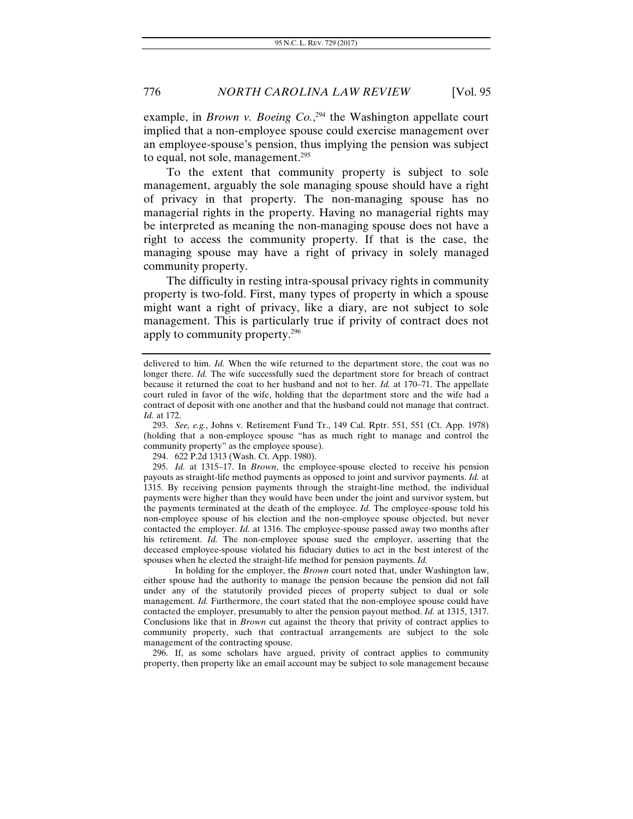example, in *Brown v. Boeing Co.*,<sup>294</sup> the Washington appellate court implied that a non-employee spouse could exercise management over an employee-spouse's pension, thus implying the pension was subject to equal, not sole, management.<sup>295</sup>

To the extent that community property is subject to sole management, arguably the sole managing spouse should have a right of privacy in that property. The non-managing spouse has no managerial rights in the property. Having no managerial rights may be interpreted as meaning the non-managing spouse does not have a right to access the community property. If that is the case, the managing spouse may have a right of privacy in solely managed community property.

The difficulty in resting intra-spousal privacy rights in community property is two-fold. First, many types of property in which a spouse might want a right of privacy, like a diary, are not subject to sole management. This is particularly true if privity of contract does not apply to community property.296

293. *See, e.g.*, Johns v. Retirement Fund Tr., 149 Cal. Rptr. 551, 551 (Ct. App. 1978) (holding that a non-employee spouse "has as much right to manage and control the community property" as the employee spouse).

294. 622 P.2d 1313 (Wash. Ct. App. 1980).

 295. *Id.* at 1315–17. In *Brown*, the employee-spouse elected to receive his pension payouts as straight-life method payments as opposed to joint and survivor payments. *Id.* at 1315. By receiving pension payments through the straight-line method, the individual payments were higher than they would have been under the joint and survivor system, but the payments terminated at the death of the employee. *Id.* The employee-spouse told his non-employee spouse of his election and the non-employee spouse objected, but never contacted the employer. *Id.* at 1316. The employee-spouse passed away two months after his retirement. *Id.* The non-employee spouse sued the employer, asserting that the deceased employee-spouse violated his fiduciary duties to act in the best interest of the spouses when he elected the straight-life method for pension payments. *Id.*

 In holding for the employer, the *Brown* court noted that, under Washington law, either spouse had the authority to manage the pension because the pension did not fall under any of the statutorily provided pieces of property subject to dual or sole management. *Id.* Furthermore, the court stated that the non-employee spouse could have contacted the employer, presumably to alter the pension payout method. *Id.* at 1315, 1317. Conclusions like that in *Brown* cut against the theory that privity of contract applies to community property, such that contractual arrangements are subject to the sole management of the contracting spouse.

 296. If, as some scholars have argued, privity of contract applies to community property, then property like an email account may be subject to sole management because

delivered to him. *Id.* When the wife returned to the department store, the coat was no longer there. *Id.* The wife successfully sued the department store for breach of contract because it returned the coat to her husband and not to her. *Id.* at 170–71. The appellate court ruled in favor of the wife, holding that the department store and the wife had a contract of deposit with one another and that the husband could not manage that contract. *Id.* at 172.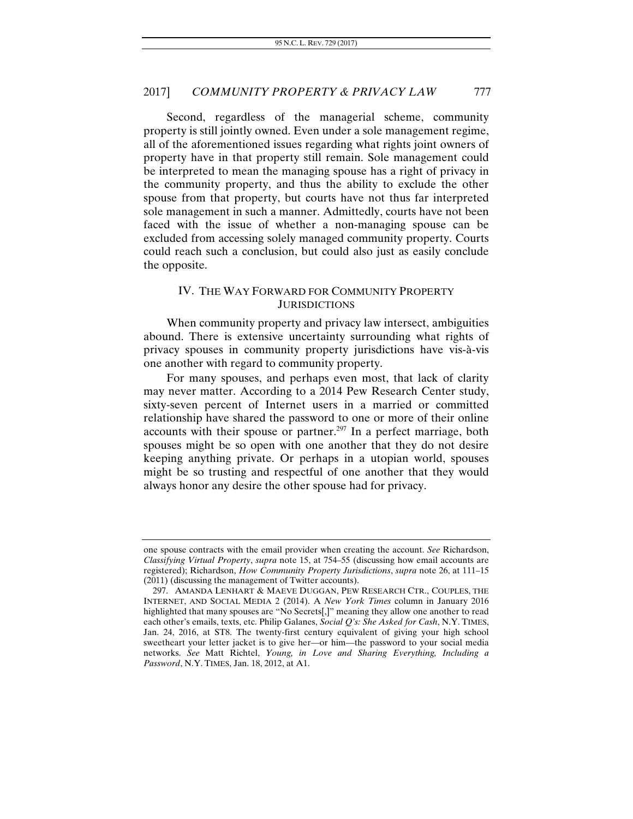Second, regardless of the managerial scheme, community property is still jointly owned. Even under a sole management regime, all of the aforementioned issues regarding what rights joint owners of property have in that property still remain. Sole management could be interpreted to mean the managing spouse has a right of privacy in the community property, and thus the ability to exclude the other spouse from that property, but courts have not thus far interpreted sole management in such a manner. Admittedly, courts have not been faced with the issue of whether a non-managing spouse can be excluded from accessing solely managed community property. Courts could reach such a conclusion, but could also just as easily conclude the opposite.

## IV. THE WAY FORWARD FOR COMMUNITY PROPERTY **JURISDICTIONS**

When community property and privacy law intersect, ambiguities abound. There is extensive uncertainty surrounding what rights of privacy spouses in community property jurisdictions have vis-à-vis one another with regard to community property.

For many spouses, and perhaps even most, that lack of clarity may never matter. According to a 2014 Pew Research Center study, sixty-seven percent of Internet users in a married or committed relationship have shared the password to one or more of their online accounts with their spouse or partner.<sup>297</sup> In a perfect marriage, both spouses might be so open with one another that they do not desire keeping anything private. Or perhaps in a utopian world, spouses might be so trusting and respectful of one another that they would always honor any desire the other spouse had for privacy.

one spouse contracts with the email provider when creating the account. *See* Richardson, *Classifying Virtual Property*, *supra* note 15, at 754–55 (discussing how email accounts are registered); Richardson, *How Community Property Jurisdictions*, *supra* note 26, at 111–15 (2011) (discussing the management of Twitter accounts).

 <sup>297.</sup> AMANDA LENHART & MAEVE DUGGAN, PEW RESEARCH CTR., COUPLES, THE INTERNET, AND SOCIAL MEDIA 2 (2014). A *New York Times* column in January 2016 highlighted that many spouses are "No Secrets[,]" meaning they allow one another to read each other's emails, texts, etc. Philip Galanes, *Social Q's: She Asked for Cash*, N.Y. TIMES, Jan. 24, 2016, at ST8. The twenty-first century equivalent of giving your high school sweetheart your letter jacket is to give her—or him—the password to your social media networks. *See* Matt Richtel, *Young, in Love and Sharing Everything, Including a Password*, N.Y. TIMES, Jan. 18, 2012, at A1.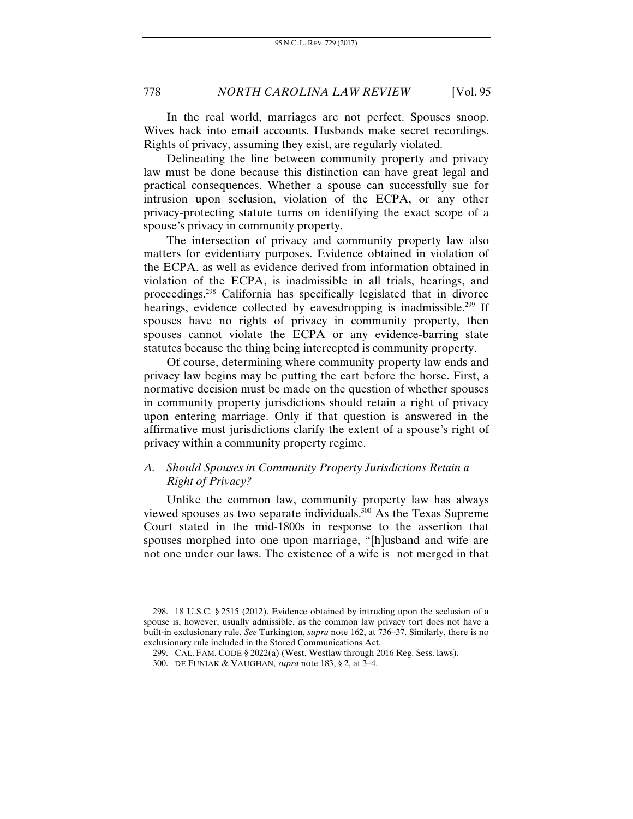In the real world, marriages are not perfect. Spouses snoop. Wives hack into email accounts. Husbands make secret recordings. Rights of privacy, assuming they exist, are regularly violated.

Delineating the line between community property and privacy law must be done because this distinction can have great legal and practical consequences. Whether a spouse can successfully sue for intrusion upon seclusion, violation of the ECPA, or any other privacy-protecting statute turns on identifying the exact scope of a spouse's privacy in community property.

The intersection of privacy and community property law also matters for evidentiary purposes. Evidence obtained in violation of the ECPA, as well as evidence derived from information obtained in violation of the ECPA, is inadmissible in all trials, hearings, and proceedings.298 California has specifically legislated that in divorce hearings, evidence collected by eavesdropping is inadmissible.<sup>299</sup> If spouses have no rights of privacy in community property, then spouses cannot violate the ECPA or any evidence-barring state statutes because the thing being intercepted is community property.

Of course, determining where community property law ends and privacy law begins may be putting the cart before the horse. First, a normative decision must be made on the question of whether spouses in community property jurisdictions should retain a right of privacy upon entering marriage. Only if that question is answered in the affirmative must jurisdictions clarify the extent of a spouse's right of privacy within a community property regime.

# *A. Should Spouses in Community Property Jurisdictions Retain a Right of Privacy?*

Unlike the common law, community property law has always viewed spouses as two separate individuals.300 As the Texas Supreme Court stated in the mid-1800s in response to the assertion that spouses morphed into one upon marriage, "[h]usband and wife are not one under our laws. The existence of a wife is not merged in that

 <sup>298. 18</sup> U.S.C. § 2515 (2012). Evidence obtained by intruding upon the seclusion of a spouse is, however, usually admissible, as the common law privacy tort does not have a built-in exclusionary rule. *See* Turkington, *supra* note 162, at 736–37. Similarly, there is no exclusionary rule included in the Stored Communications Act.

 <sup>299.</sup> CAL. FAM. CODE § 2022(a) (West, Westlaw through 2016 Reg. Sess. laws).

 <sup>300.</sup> DE FUNIAK & VAUGHAN, *supra* note 183, § 2, at 3–4.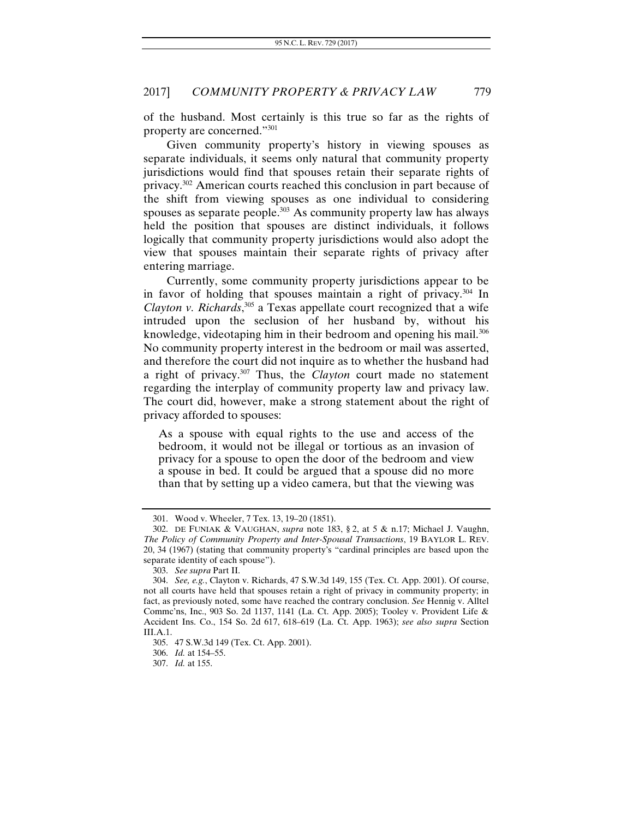of the husband. Most certainly is this true so far as the rights of property are concerned."301

Given community property's history in viewing spouses as separate individuals, it seems only natural that community property jurisdictions would find that spouses retain their separate rights of privacy.302 American courts reached this conclusion in part because of the shift from viewing spouses as one individual to considering spouses as separate people. $303$  As community property law has always held the position that spouses are distinct individuals, it follows logically that community property jurisdictions would also adopt the view that spouses maintain their separate rights of privacy after entering marriage.

Currently, some community property jurisdictions appear to be in favor of holding that spouses maintain a right of privacy.304 In *Clayton v. Richards*, 305 a Texas appellate court recognized that a wife intruded upon the seclusion of her husband by, without his knowledge, videotaping him in their bedroom and opening his mail.<sup>306</sup> No community property interest in the bedroom or mail was asserted, and therefore the court did not inquire as to whether the husband had a right of privacy.307 Thus, the *Clayton* court made no statement regarding the interplay of community property law and privacy law. The court did, however, make a strong statement about the right of privacy afforded to spouses:

As a spouse with equal rights to the use and access of the bedroom, it would not be illegal or tortious as an invasion of privacy for a spouse to open the door of the bedroom and view a spouse in bed. It could be argued that a spouse did no more than that by setting up a video camera, but that the viewing was

 <sup>301.</sup> Wood v. Wheeler, 7 Tex. 13, 19–20 (1851).

 <sup>302.</sup> DE FUNIAK & VAUGHAN, *supra* note 183, § 2, at 5 & n.17; Michael J. Vaughn, *The Policy of Community Property and Inter-Spousal Transactions*, 19 BAYLOR L. REV. 20, 34 (1967) (stating that community property's "cardinal principles are based upon the separate identity of each spouse").

<sup>303.</sup> *See supra* Part II.

<sup>304.</sup> *See, e.g.*, Clayton v. Richards, 47 S.W.3d 149, 155 (Tex. Ct. App. 2001). Of course, not all courts have held that spouses retain a right of privacy in community property; in fact, as previously noted, some have reached the contrary conclusion. *See* Hennig v. Alltel Commc'ns, Inc., 903 So. 2d 1137, 1141 (La. Ct. App. 2005); Tooley v. Provident Life & Accident Ins. Co., 154 So. 2d 617, 618–619 (La. Ct. App. 1963); *see also supra* Section III.A.1.

 <sup>305. 47</sup> S.W.3d 149 (Tex. Ct. App. 2001).

 <sup>306.</sup> *Id.* at 154–55.

 <sup>307.</sup> *Id.* at 155.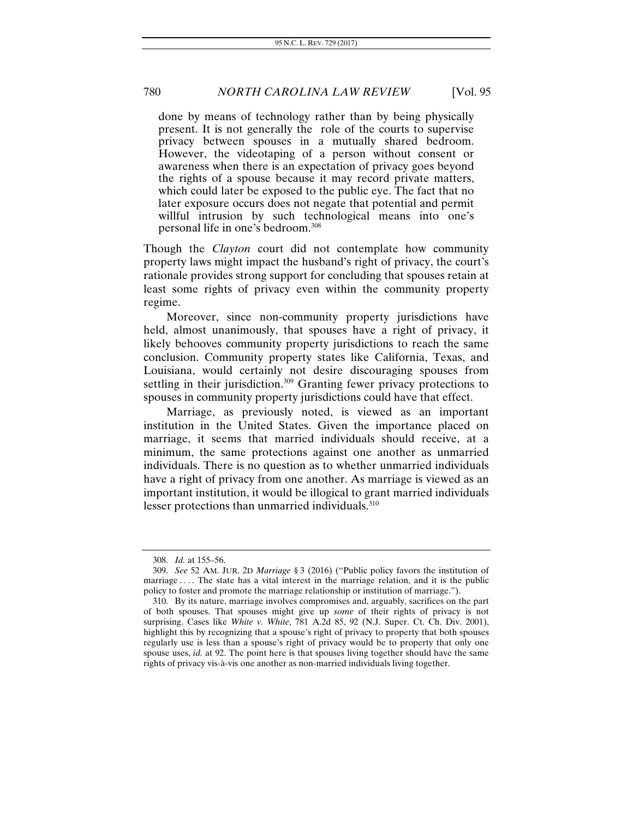done by means of technology rather than by being physically present. It is not generally the role of the courts to supervise privacy between spouses in a mutually shared bedroom. However, the videotaping of a person without consent or awareness when there is an expectation of privacy goes beyond the rights of a spouse because it may record private matters, which could later be exposed to the public eye. The fact that no later exposure occurs does not negate that potential and permit willful intrusion by such technological means into one's personal life in one's bedroom.308

Though the *Clayton* court did not contemplate how community property laws might impact the husband's right of privacy, the court's rationale provides strong support for concluding that spouses retain at least some rights of privacy even within the community property regime.

Moreover, since non-community property jurisdictions have held, almost unanimously, that spouses have a right of privacy, it likely behooves community property jurisdictions to reach the same conclusion. Community property states like California, Texas, and Louisiana, would certainly not desire discouraging spouses from settling in their jurisdiction.<sup>309</sup> Granting fewer privacy protections to spouses in community property jurisdictions could have that effect.

Marriage, as previously noted, is viewed as an important institution in the United States. Given the importance placed on marriage, it seems that married individuals should receive, at a minimum, the same protections against one another as unmarried individuals. There is no question as to whether unmarried individuals have a right of privacy from one another. As marriage is viewed as an important institution, it would be illogical to grant married individuals lesser protections than unmarried individuals.<sup>310</sup>

<sup>308.</sup> *Id.* at 155–56.

<sup>309.</sup> *See* 52 AM. JUR. 2D *Marriage* § 3 (2016) ("Public policy favors the institution of marriage .... The state has a vital interest in the marriage relation, and it is the public policy to foster and promote the marriage relationship or institution of marriage.").

 <sup>310.</sup> By its nature, marriage involves compromises and, arguably, sacrifices on the part of both spouses. That spouses might give up *some* of their rights of privacy is not surprising. Cases like *White v. White*, 781 A.2d 85, 92 (N.J. Super. Ct. Ch. Div. 2001), highlight this by recognizing that a spouse's right of privacy to property that both spouses regularly use is less than a spouse's right of privacy would be to property that only one spouse uses, *id.* at 92. The point here is that spouses living together should have the same rights of privacy vis-à-vis one another as non-married individuals living together.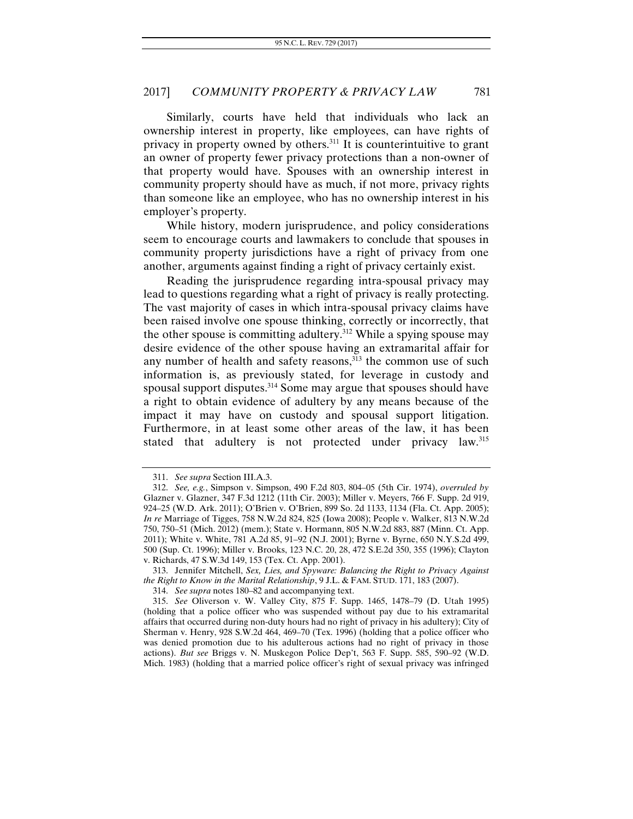Similarly, courts have held that individuals who lack an ownership interest in property, like employees, can have rights of privacy in property owned by others.311 It is counterintuitive to grant an owner of property fewer privacy protections than a non-owner of that property would have. Spouses with an ownership interest in community property should have as much, if not more, privacy rights than someone like an employee, who has no ownership interest in his employer's property.

While history, modern jurisprudence, and policy considerations seem to encourage courts and lawmakers to conclude that spouses in community property jurisdictions have a right of privacy from one another, arguments against finding a right of privacy certainly exist.

Reading the jurisprudence regarding intra-spousal privacy may lead to questions regarding what a right of privacy is really protecting. The vast majority of cases in which intra-spousal privacy claims have been raised involve one spouse thinking, correctly or incorrectly, that the other spouse is committing adultery.<sup>312</sup> While a spying spouse may desire evidence of the other spouse having an extramarital affair for any number of health and safety reasons, $\frac{313}{2}$  the common use of such information is, as previously stated, for leverage in custody and spousal support disputes.<sup>314</sup> Some may argue that spouses should have a right to obtain evidence of adultery by any means because of the impact it may have on custody and spousal support litigation. Furthermore, in at least some other areas of the law, it has been stated that adultery is not protected under privacy law.<sup>315</sup>

 313. Jennifer Mitchell, *Sex, Lies, and Spyware: Balancing the Right to Privacy Against the Right to Know in the Marital Relationship*, 9 J.L. & FAM. STUD. 171, 183 (2007).

<sup>311.</sup> *See supra* Section III.A.3.

 <sup>312.</sup> *See, e.g.*, Simpson v. Simpson, 490 F.2d 803, 804–05 (5th Cir. 1974), *overruled by*  Glazner v. Glazner, 347 F.3d 1212 (11th Cir. 2003); Miller v. Meyers, 766 F. Supp. 2d 919, 924–25 (W.D. Ark. 2011); O'Brien v. O'Brien, 899 So. 2d 1133, 1134 (Fla. Ct. App. 2005); *In re* Marriage of Tigges, 758 N.W.2d 824, 825 (Iowa 2008); People v. Walker, 813 N.W.2d 750, 750–51 (Mich. 2012) (mem.); State v. Hormann, 805 N.W.2d 883, 887 (Minn. Ct. App. 2011); White v. White, 781 A.2d 85, 91–92 (N.J. 2001); Byrne v. Byrne, 650 N.Y.S.2d 499, 500 (Sup. Ct. 1996); Miller v. Brooks, 123 N.C. 20, 28, 472 S.E.2d 350, 355 (1996); Clayton v. Richards, 47 S.W.3d 149, 153 (Tex. Ct. App. 2001).

<sup>314.</sup> *See supra* notes 180–82 and accompanying text.

<sup>315.</sup> *See* Oliverson v. W. Valley City, 875 F. Supp. 1465, 1478–79 (D. Utah 1995) (holding that a police officer who was suspended without pay due to his extramarital affairs that occurred during non-duty hours had no right of privacy in his adultery); City of Sherman v. Henry, 928 S.W.2d 464, 469–70 (Tex. 1996) (holding that a police officer who was denied promotion due to his adulterous actions had no right of privacy in those actions). *But see* Briggs v. N. Muskegon Police Dep't, 563 F. Supp. 585, 590–92 (W.D. Mich. 1983) (holding that a married police officer's right of sexual privacy was infringed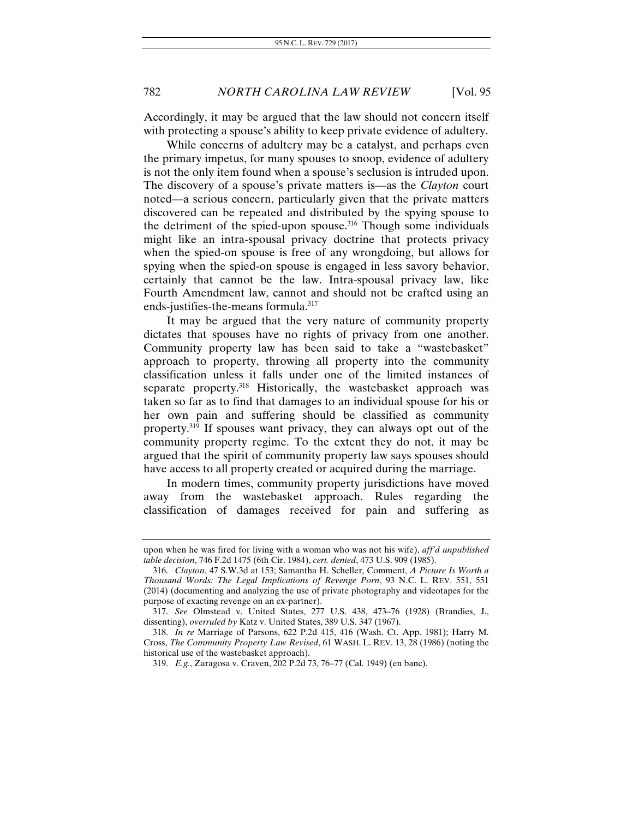Accordingly, it may be argued that the law should not concern itself with protecting a spouse's ability to keep private evidence of adultery.

While concerns of adultery may be a catalyst, and perhaps even the primary impetus, for many spouses to snoop, evidence of adultery is not the only item found when a spouse's seclusion is intruded upon. The discovery of a spouse's private matters is—as the *Clayton* court noted—a serious concern, particularly given that the private matters discovered can be repeated and distributed by the spying spouse to the detriment of the spied-upon spouse.<sup>316</sup> Though some individuals might like an intra-spousal privacy doctrine that protects privacy when the spied-on spouse is free of any wrongdoing, but allows for spying when the spied-on spouse is engaged in less savory behavior, certainly that cannot be the law. Intra-spousal privacy law, like Fourth Amendment law, cannot and should not be crafted using an ends-justifies-the-means formula.<sup>317</sup>

It may be argued that the very nature of community property dictates that spouses have no rights of privacy from one another. Community property law has been said to take a "wastebasket" approach to property, throwing all property into the community classification unless it falls under one of the limited instances of separate property.<sup>318</sup> Historically, the wastebasket approach was taken so far as to find that damages to an individual spouse for his or her own pain and suffering should be classified as community property.319 If spouses want privacy, they can always opt out of the community property regime. To the extent they do not, it may be argued that the spirit of community property law says spouses should have access to all property created or acquired during the marriage.

In modern times, community property jurisdictions have moved away from the wastebasket approach. Rules regarding the classification of damages received for pain and suffering as

upon when he was fired for living with a woman who was not his wife), *aff'd unpublished table decision*, 746 F.2d 1475 (6th Cir. 1984), *cert. denied*, 473 U.S. 909 (1985).

 <sup>316.</sup> *Clayton*, 47 S.W.3d at 153; Samantha H. Scheller, Comment, *A Picture Is Worth a Thousand Words: The Legal Implications of Revenge Porn*, 93 N.C. L. REV. 551, 551 (2014) (documenting and analyzing the use of private photography and videotapes for the purpose of exacting revenge on an ex-partner).

<sup>317.</sup> *See* Olmstead v. United States, 277 U.S. 438, 473–76 (1928) (Brandies, J., dissenting), *overruled by* Katz v. United States, 389 U.S. 347 (1967).

<sup>318.</sup> *In re* Marriage of Parsons, 622 P.2d 415, 416 (Wash. Ct. App. 1981); Harry M. Cross, *The Community Property Law Revised*, 61 WASH. L. REV. 13, 28 (1986) (noting the historical use of the wastebasket approach).

<sup>319.</sup> *E.g.*, Zaragosa v. Craven, 202 P.2d 73, 76–77 (Cal. 1949) (en banc).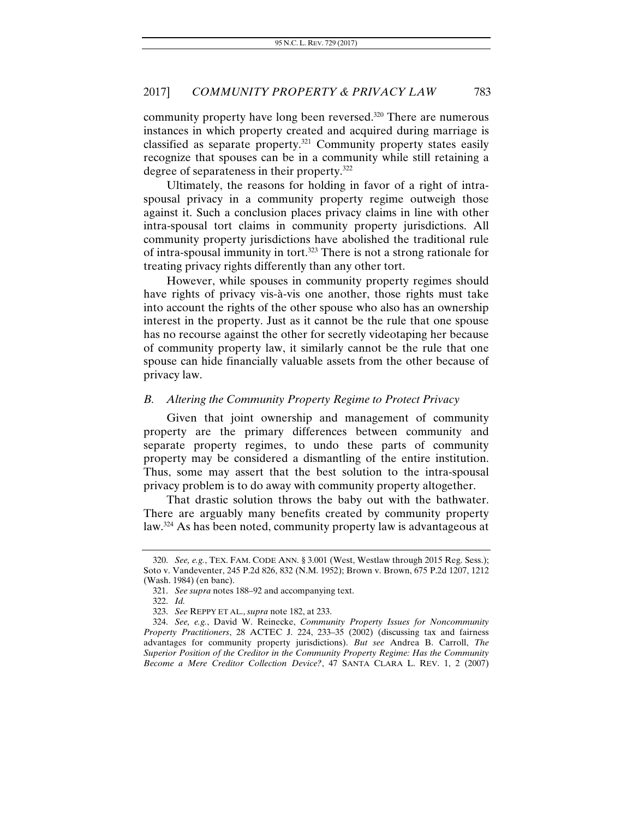community property have long been reversed.320 There are numerous instances in which property created and acquired during marriage is classified as separate property.321 Community property states easily recognize that spouses can be in a community while still retaining a degree of separateness in their property.322

Ultimately, the reasons for holding in favor of a right of intraspousal privacy in a community property regime outweigh those against it. Such a conclusion places privacy claims in line with other intra-spousal tort claims in community property jurisdictions. All community property jurisdictions have abolished the traditional rule of intra-spousal immunity in tort.323 There is not a strong rationale for treating privacy rights differently than any other tort.

However, while spouses in community property regimes should have rights of privacy vis-à-vis one another, those rights must take into account the rights of the other spouse who also has an ownership interest in the property. Just as it cannot be the rule that one spouse has no recourse against the other for secretly videotaping her because of community property law, it similarly cannot be the rule that one spouse can hide financially valuable assets from the other because of privacy law.

## *B. Altering the Community Property Regime to Protect Privacy*

Given that joint ownership and management of community property are the primary differences between community and separate property regimes, to undo these parts of community property may be considered a dismantling of the entire institution. Thus, some may assert that the best solution to the intra-spousal privacy problem is to do away with community property altogether.

That drastic solution throws the baby out with the bathwater. There are arguably many benefits created by community property law.<sup>324</sup> As has been noted, community property law is advantageous at

<sup>320.</sup> *See, e.g.*, TEX. FAM. CODE ANN. § 3.001 (West, Westlaw through 2015 Reg. Sess.); Soto v. Vandeventer, 245 P.2d 826, 832 (N.M. 1952); Brown v. Brown, 675 P.2d 1207, 1212 (Wash. 1984) (en banc).

<sup>321.</sup> *See supra* notes 188–92 and accompanying text.

<sup>322.</sup> *Id.*

<sup>323.</sup> *See* REPPY ET AL., *supra* note 182, at 233.

<sup>324.</sup> *See, e.g.*, David W. Reinecke, *Community Property Issues for Noncommunity Property Practitioners*, 28 ACTEC J. 224, 233–35 (2002) (discussing tax and fairness advantages for community property jurisdictions). *But see* Andrea B. Carroll, *The Superior Position of the Creditor in the Community Property Regime: Has the Community Become a Mere Creditor Collection Device?*, 47 SANTA CLARA L. REV. 1, 2 (2007)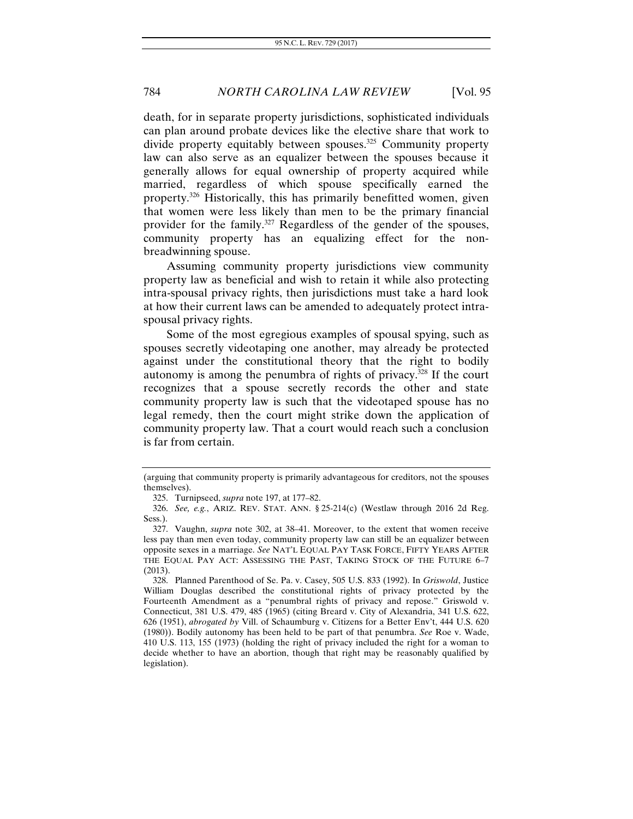death, for in separate property jurisdictions, sophisticated individuals can plan around probate devices like the elective share that work to divide property equitably between spouses.<sup>325</sup> Community property law can also serve as an equalizer between the spouses because it generally allows for equal ownership of property acquired while married, regardless of which spouse specifically earned the property.326 Historically, this has primarily benefitted women, given that women were less likely than men to be the primary financial provider for the family.327 Regardless of the gender of the spouses, community property has an equalizing effect for the nonbreadwinning spouse.

Assuming community property jurisdictions view community property law as beneficial and wish to retain it while also protecting intra-spousal privacy rights, then jurisdictions must take a hard look at how their current laws can be amended to adequately protect intraspousal privacy rights.

Some of the most egregious examples of spousal spying, such as spouses secretly videotaping one another, may already be protected against under the constitutional theory that the right to bodily autonomy is among the penumbra of rights of privacy.328 If the court recognizes that a spouse secretly records the other and state community property law is such that the videotaped spouse has no legal remedy, then the court might strike down the application of community property law. That a court would reach such a conclusion is far from certain.

<sup>(</sup>arguing that community property is primarily advantageous for creditors, not the spouses themselves).

 <sup>325.</sup> Turnipseed, *supra* note 197, at 177–82.

 <sup>326.</sup> *See, e.g.*, ARIZ. REV. STAT. ANN. § 25-214(c) (Westlaw through 2016 2d Reg. Sess.).

 <sup>327.</sup> Vaughn, *supra* note 302, at 38–41. Moreover, to the extent that women receive less pay than men even today, community property law can still be an equalizer between opposite sexes in a marriage. *See* NAT'L EQUAL PAY TASK FORCE, FIFTY YEARS AFTER THE EQUAL PAY ACT: ASSESSING THE PAST, TAKING STOCK OF THE FUTURE 6–7 (2013).

 <sup>328.</sup> Planned Parenthood of Se. Pa. v. Casey, 505 U.S. 833 (1992). In *Griswold*, Justice William Douglas described the constitutional rights of privacy protected by the Fourteenth Amendment as a "penumbral rights of privacy and repose." Griswold v. Connecticut, 381 U.S. 479, 485 (1965) (citing Breard v. City of Alexandria, 341 U.S. 622, 626 (1951), *abrogated by* Vill. of Schaumburg v. Citizens for a Better Env't, 444 U.S. 620 (1980)). Bodily autonomy has been held to be part of that penumbra. *See* Roe v. Wade, 410 U.S. 113, 155 (1973) (holding the right of privacy included the right for a woman to decide whether to have an abortion, though that right may be reasonably qualified by legislation).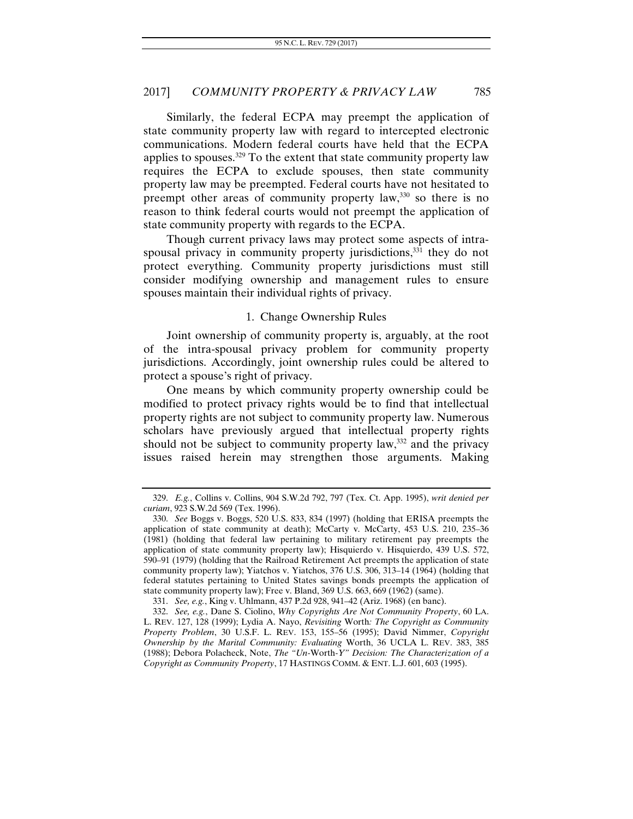Similarly, the federal ECPA may preempt the application of state community property law with regard to intercepted electronic communications. Modern federal courts have held that the ECPA applies to spouses.329 To the extent that state community property law requires the ECPA to exclude spouses, then state community property law may be preempted. Federal courts have not hesitated to preempt other areas of community property law, $330$  so there is no reason to think federal courts would not preempt the application of state community property with regards to the ECPA.

Though current privacy laws may protect some aspects of intraspousal privacy in community property jurisdictions,<sup>331</sup> they do not protect everything. Community property jurisdictions must still consider modifying ownership and management rules to ensure spouses maintain their individual rights of privacy.

## 1. Change Ownership Rules

Joint ownership of community property is, arguably, at the root of the intra-spousal privacy problem for community property jurisdictions. Accordingly, joint ownership rules could be altered to protect a spouse's right of privacy.

One means by which community property ownership could be modified to protect privacy rights would be to find that intellectual property rights are not subject to community property law. Numerous scholars have previously argued that intellectual property rights should not be subject to community property law,  $332$  and the privacy issues raised herein may strengthen those arguments. Making

331. *See, e.g.*, King v. Uhlmann, 437 P.2d 928, 941–42 (Ariz. 1968) (en banc).

<sup>329.</sup> *E.g.*, Collins v. Collins, 904 S.W.2d 792, 797 (Tex. Ct. App. 1995), *writ denied per curiam*, 923 S.W.2d 569 (Tex. 1996).

<sup>330.</sup> *See* Boggs v. Boggs, 520 U.S. 833, 834 (1997) (holding that ERISA preempts the application of state community at death); McCarty v. McCarty, 453 U.S. 210, 235–36 (1981) (holding that federal law pertaining to military retirement pay preempts the application of state community property law); Hisquierdo v. Hisquierdo, 439 U.S. 572, 590–91 (1979) (holding that the Railroad Retirement Act preempts the application of state community property law); Yiatchos v. Yiatchos, 376 U.S. 306, 313–14 (1964) (holding that federal statutes pertaining to United States savings bonds preempts the application of state community property law); Free v. Bland, 369 U.S. 663, 669 (1962) (same).

<sup>332.</sup> *See, e.g.*, Dane S. Ciolino, *Why Copyrights Are Not Community Property*, 60 LA. L. REV. 127, 128 (1999); Lydia A. Nayo, *Revisiting* Worth*: The Copyright as Community Property Problem*, 30 U.S.F. L. REV. 153, 155–56 (1995); David Nimmer, *Copyright Ownership by the Marital Community: Evaluating* Worth, 36 UCLA L. REV. 383, 385 (1988); Debora Polacheck, Note, *The "Un-*Worth*-Y" Decision: The Characterization of a Copyright as Community Property*, 17 HASTINGS COMM. & ENT. L.J. 601, 603 (1995).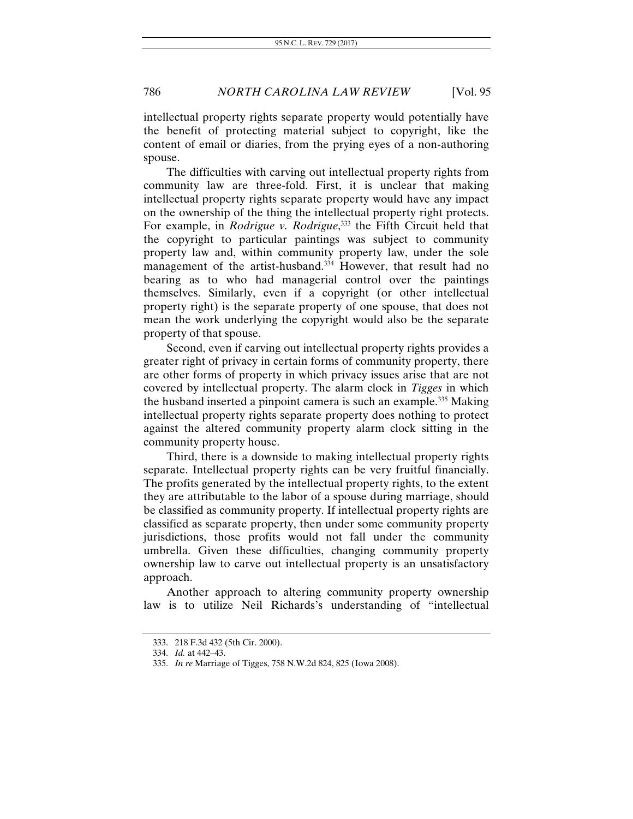intellectual property rights separate property would potentially have the benefit of protecting material subject to copyright, like the content of email or diaries, from the prying eyes of a non-authoring spouse.

The difficulties with carving out intellectual property rights from community law are three-fold. First, it is unclear that making intellectual property rights separate property would have any impact on the ownership of the thing the intellectual property right protects. For example, in *Rodrigue v. Rodrigue*, 333 the Fifth Circuit held that the copyright to particular paintings was subject to community property law and, within community property law, under the sole management of the artist-husband.<sup>334</sup> However, that result had no bearing as to who had managerial control over the paintings themselves. Similarly, even if a copyright (or other intellectual property right) is the separate property of one spouse, that does not mean the work underlying the copyright would also be the separate property of that spouse.

Second, even if carving out intellectual property rights provides a greater right of privacy in certain forms of community property, there are other forms of property in which privacy issues arise that are not covered by intellectual property. The alarm clock in *Tigges* in which the husband inserted a pinpoint camera is such an example.335 Making intellectual property rights separate property does nothing to protect against the altered community property alarm clock sitting in the community property house.

Third, there is a downside to making intellectual property rights separate. Intellectual property rights can be very fruitful financially. The profits generated by the intellectual property rights, to the extent they are attributable to the labor of a spouse during marriage, should be classified as community property. If intellectual property rights are classified as separate property, then under some community property jurisdictions, those profits would not fall under the community umbrella. Given these difficulties, changing community property ownership law to carve out intellectual property is an unsatisfactory approach.

Another approach to altering community property ownership law is to utilize Neil Richards's understanding of "intellectual

 <sup>333. 218</sup> F.3d 432 (5th Cir. 2000).

 <sup>334.</sup> *Id.* at 442–43.

<sup>335.</sup> *In re* Marriage of Tigges, 758 N.W.2d 824, 825 (Iowa 2008).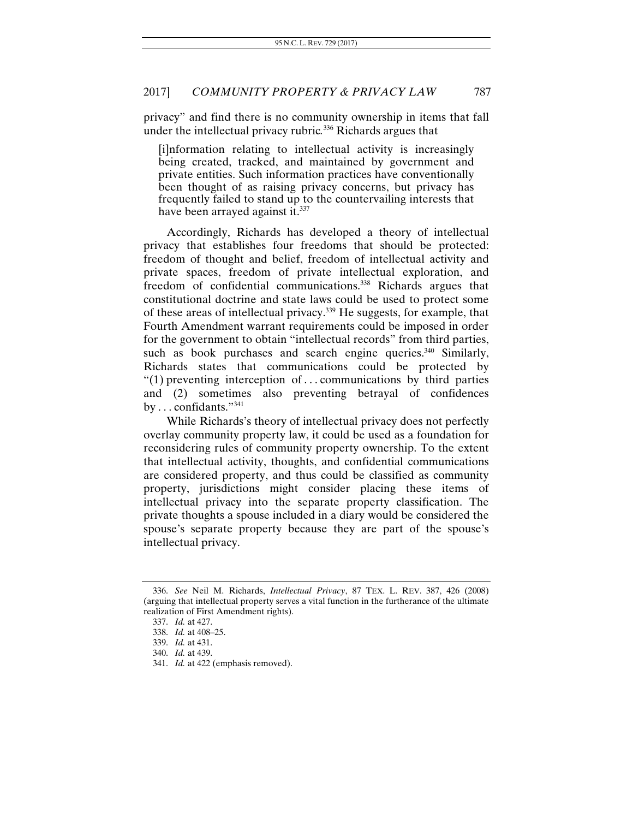privacy" and find there is no community ownership in items that fall under the intellectual privacy rubric*.* 336 Richards argues that

[i]nformation relating to intellectual activity is increasingly being created, tracked, and maintained by government and private entities. Such information practices have conventionally been thought of as raising privacy concerns, but privacy has frequently failed to stand up to the countervailing interests that have been arrayed against it.<sup>337</sup>

Accordingly, Richards has developed a theory of intellectual privacy that establishes four freedoms that should be protected: freedom of thought and belief, freedom of intellectual activity and private spaces, freedom of private intellectual exploration, and freedom of confidential communications.338 Richards argues that constitutional doctrine and state laws could be used to protect some of these areas of intellectual privacy.339 He suggests, for example, that Fourth Amendment warrant requirements could be imposed in order for the government to obtain "intellectual records" from third parties, such as book purchases and search engine queries.<sup>340</sup> Similarly, Richards states that communications could be protected by "(1) preventing interception of  $\dots$  communications by third parties and (2) sometimes also preventing betrayal of confidences by . . . confidants."341

While Richards's theory of intellectual privacy does not perfectly overlay community property law, it could be used as a foundation for reconsidering rules of community property ownership. To the extent that intellectual activity, thoughts, and confidential communications are considered property, and thus could be classified as community property, jurisdictions might consider placing these items of intellectual privacy into the separate property classification. The private thoughts a spouse included in a diary would be considered the spouse's separate property because they are part of the spouse's intellectual privacy.

<sup>336.</sup> *See* Neil M. Richards, *Intellectual Privacy*, 87 TEX. L. REV. 387, 426 (2008) (arguing that intellectual property serves a vital function in the furtherance of the ultimate realization of First Amendment rights).

<sup>337.</sup> *Id.* at 427.

<sup>338.</sup> *Id.* at 408–25.

<sup>339.</sup> *Id.* at 431.

<sup>340.</sup> *Id.* at 439.

<sup>341.</sup> *Id.* at 422 (emphasis removed).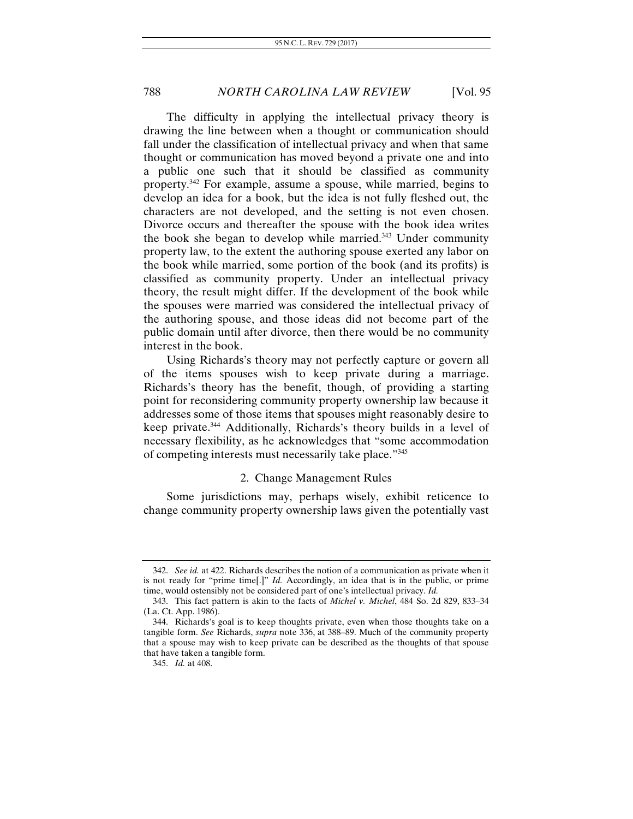The difficulty in applying the intellectual privacy theory is drawing the line between when a thought or communication should fall under the classification of intellectual privacy and when that same thought or communication has moved beyond a private one and into a public one such that it should be classified as community property.342 For example, assume a spouse, while married, begins to develop an idea for a book, but the idea is not fully fleshed out, the characters are not developed, and the setting is not even chosen. Divorce occurs and thereafter the spouse with the book idea writes the book she began to develop while married.343 Under community property law, to the extent the authoring spouse exerted any labor on the book while married, some portion of the book (and its profits) is classified as community property. Under an intellectual privacy theory, the result might differ. If the development of the book while the spouses were married was considered the intellectual privacy of the authoring spouse, and those ideas did not become part of the public domain until after divorce, then there would be no community interest in the book.

Using Richards's theory may not perfectly capture or govern all of the items spouses wish to keep private during a marriage. Richards's theory has the benefit, though, of providing a starting point for reconsidering community property ownership law because it addresses some of those items that spouses might reasonably desire to keep private.344 Additionally, Richards's theory builds in a level of necessary flexibility, as he acknowledges that "some accommodation of competing interests must necessarily take place."345

# 2. Change Management Rules

Some jurisdictions may, perhaps wisely, exhibit reticence to change community property ownership laws given the potentially vast

<sup>342.</sup> *See id.* at 422. Richards describes the notion of a communication as private when it is not ready for "prime time[.]" *Id.* Accordingly, an idea that is in the public, or prime time, would ostensibly not be considered part of one's intellectual privacy. *Id.*

 <sup>343.</sup> This fact pattern is akin to the facts of *Michel v. Michel*, 484 So. 2d 829, 833–34 (La. Ct. App. 1986).

 <sup>344.</sup> Richards's goal is to keep thoughts private, even when those thoughts take on a tangible form. *See* Richards, *supra* note 336, at 388–89. Much of the community property that a spouse may wish to keep private can be described as the thoughts of that spouse that have taken a tangible form.

<sup>345.</sup> *Id.* at 408.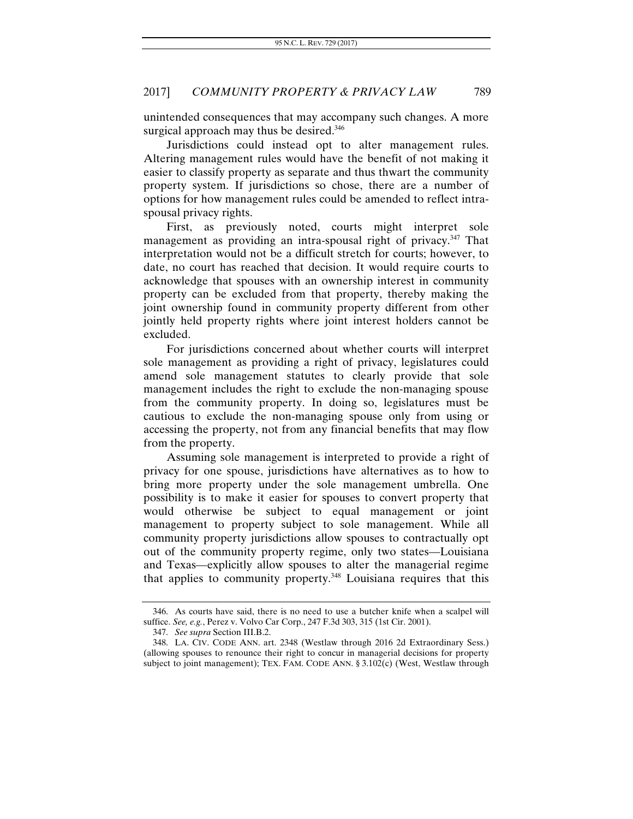unintended consequences that may accompany such changes. A more surgical approach may thus be desired.<sup>346</sup>

Jurisdictions could instead opt to alter management rules. Altering management rules would have the benefit of not making it easier to classify property as separate and thus thwart the community property system. If jurisdictions so chose, there are a number of options for how management rules could be amended to reflect intraspousal privacy rights.

First, as previously noted, courts might interpret sole management as providing an intra-spousal right of privacy.<sup>347</sup> That interpretation would not be a difficult stretch for courts; however, to date, no court has reached that decision. It would require courts to acknowledge that spouses with an ownership interest in community property can be excluded from that property, thereby making the joint ownership found in community property different from other jointly held property rights where joint interest holders cannot be excluded.

For jurisdictions concerned about whether courts will interpret sole management as providing a right of privacy, legislatures could amend sole management statutes to clearly provide that sole management includes the right to exclude the non-managing spouse from the community property. In doing so, legislatures must be cautious to exclude the non-managing spouse only from using or accessing the property, not from any financial benefits that may flow from the property.

Assuming sole management is interpreted to provide a right of privacy for one spouse, jurisdictions have alternatives as to how to bring more property under the sole management umbrella. One possibility is to make it easier for spouses to convert property that would otherwise be subject to equal management or joint management to property subject to sole management. While all community property jurisdictions allow spouses to contractually opt out of the community property regime, only two states—Louisiana and Texas—explicitly allow spouses to alter the managerial regime that applies to community property.348 Louisiana requires that this

 <sup>346.</sup> As courts have said, there is no need to use a butcher knife when a scalpel will suffice. *See, e.g.*, Perez v. Volvo Car Corp., 247 F.3d 303, 315 (1st Cir. 2001).

<sup>347.</sup> *See supra* Section III.B.2.

 <sup>348.</sup> LA. CIV. CODE ANN. art. 2348 (Westlaw through 2016 2d Extraordinary Sess.) (allowing spouses to renounce their right to concur in managerial decisions for property subject to joint management); TEX. FAM. CODE ANN. § 3.102(c) (West, Westlaw through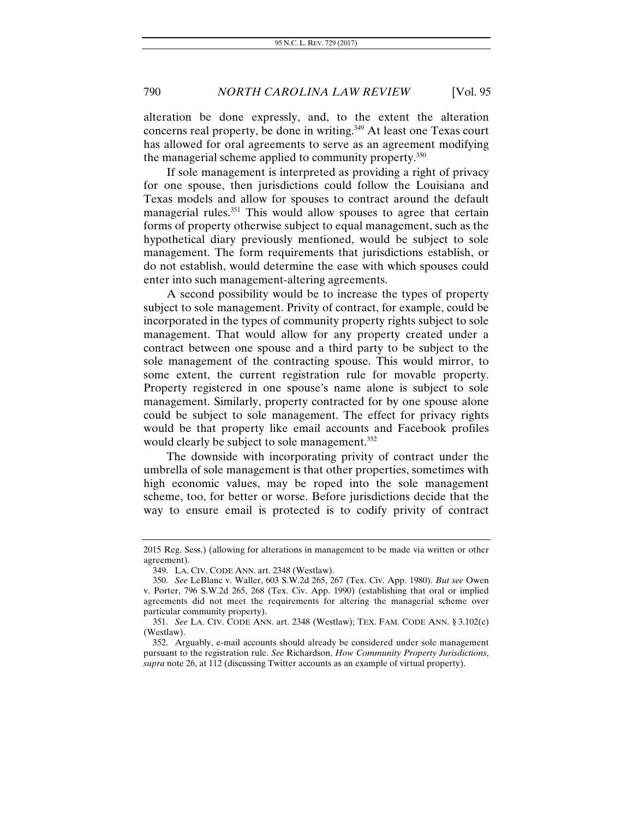alteration be done expressly, and, to the extent the alteration concerns real property, be done in writing.<sup>349</sup> At least one Texas court has allowed for oral agreements to serve as an agreement modifying the managerial scheme applied to community property.350

If sole management is interpreted as providing a right of privacy for one spouse, then jurisdictions could follow the Louisiana and Texas models and allow for spouses to contract around the default managerial rules.<sup>351</sup> This would allow spouses to agree that certain forms of property otherwise subject to equal management, such as the hypothetical diary previously mentioned, would be subject to sole management. The form requirements that jurisdictions establish, or do not establish, would determine the ease with which spouses could enter into such management-altering agreements.

A second possibility would be to increase the types of property subject to sole management. Privity of contract, for example, could be incorporated in the types of community property rights subject to sole management. That would allow for any property created under a contract between one spouse and a third party to be subject to the sole management of the contracting spouse. This would mirror, to some extent, the current registration rule for movable property. Property registered in one spouse's name alone is subject to sole management. Similarly, property contracted for by one spouse alone could be subject to sole management. The effect for privacy rights would be that property like email accounts and Facebook profiles would clearly be subject to sole management.<sup>352</sup>

The downside with incorporating privity of contract under the umbrella of sole management is that other properties, sometimes with high economic values, may be roped into the sole management scheme, too, for better or worse. Before jurisdictions decide that the way to ensure email is protected is to codify privity of contract

<sup>2015</sup> Reg. Sess.) (allowing for alterations in management to be made via written or other agreement).

 <sup>349.</sup> LA. CIV. CODE ANN. art. 2348 (Westlaw).

<sup>350.</sup> *See* LeBlanc v. Waller, 603 S.W.2d 265, 267 (Tex. Civ. App. 1980). *But see* Owen v. Porter, 796 S.W.2d 265, 268 (Tex. Civ. App. 1990) (establishing that oral or implied agreements did not meet the requirements for altering the managerial scheme over particular community property).

<sup>351.</sup> *See* LA. CIV. CODE ANN. art. 2348 (Westlaw); TEX. FAM. CODE ANN. § 3.102(c) (Westlaw).

 <sup>352.</sup> Arguably, e-mail accounts should already be considered under sole management pursuant to the registration rule. *See* Richardson, *How Community Property Jurisdictions*, *supra* note 26, at 112 (discussing Twitter accounts as an example of virtual property).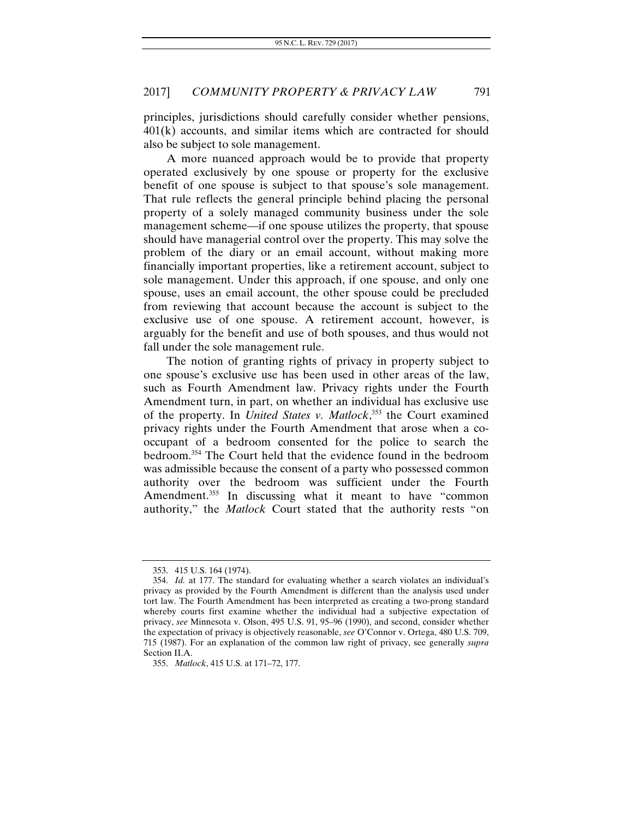principles, jurisdictions should carefully consider whether pensions, 401(k) accounts, and similar items which are contracted for should also be subject to sole management.

A more nuanced approach would be to provide that property operated exclusively by one spouse or property for the exclusive benefit of one spouse is subject to that spouse's sole management. That rule reflects the general principle behind placing the personal property of a solely managed community business under the sole management scheme—if one spouse utilizes the property, that spouse should have managerial control over the property. This may solve the problem of the diary or an email account, without making more financially important properties, like a retirement account, subject to sole management. Under this approach, if one spouse, and only one spouse, uses an email account, the other spouse could be precluded from reviewing that account because the account is subject to the exclusive use of one spouse. A retirement account, however, is arguably for the benefit and use of both spouses, and thus would not fall under the sole management rule.

The notion of granting rights of privacy in property subject to one spouse's exclusive use has been used in other areas of the law, such as Fourth Amendment law. Privacy rights under the Fourth Amendment turn, in part, on whether an individual has exclusive use of the property. In *United States v. Matlock*, 353 the Court examined privacy rights under the Fourth Amendment that arose when a cooccupant of a bedroom consented for the police to search the bedroom.354 The Court held that the evidence found in the bedroom was admissible because the consent of a party who possessed common authority over the bedroom was sufficient under the Fourth Amendment.<sup>355</sup> In discussing what it meant to have "common authority," the *Matlock* Court stated that the authority rests "on

 <sup>353. 415</sup> U.S. 164 (1974).

 <sup>354.</sup> *Id.* at 177. The standard for evaluating whether a search violates an individual's privacy as provided by the Fourth Amendment is different than the analysis used under tort law. The Fourth Amendment has been interpreted as creating a two-prong standard whereby courts first examine whether the individual had a subjective expectation of privacy, *see* Minnesota v. Olson, 495 U.S. 91, 95–96 (1990), and second, consider whether the expectation of privacy is objectively reasonable, *see* O'Connor v. Ortega, 480 U.S. 709, 715 (1987). For an explanation of the common law right of privacy, see generally *supra*  Section II.A.

<sup>355.</sup> *Matlock*, 415 U.S. at 171–72, 177.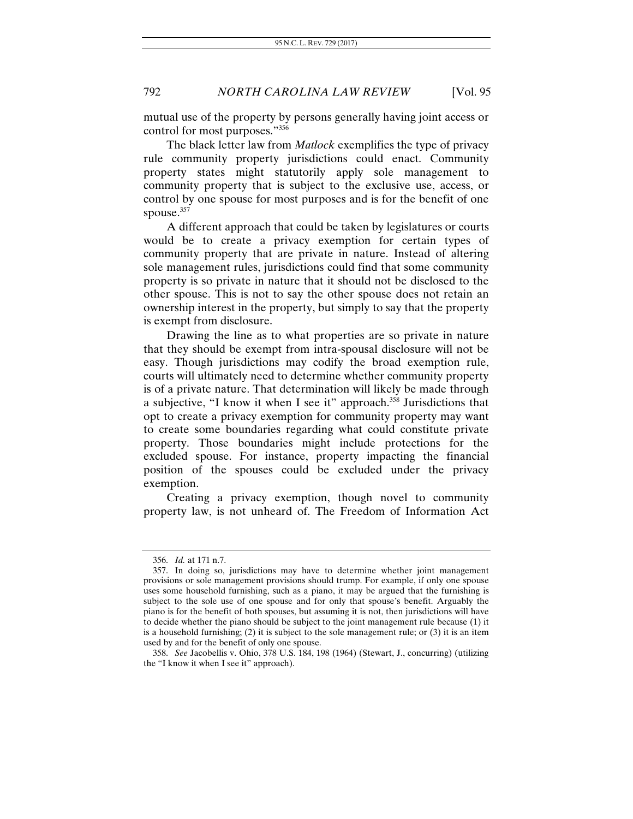mutual use of the property by persons generally having joint access or control for most purposes."356

The black letter law from *Matlock* exemplifies the type of privacy rule community property jurisdictions could enact. Community property states might statutorily apply sole management to community property that is subject to the exclusive use, access, or control by one spouse for most purposes and is for the benefit of one spouse.<sup>357</sup>

A different approach that could be taken by legislatures or courts would be to create a privacy exemption for certain types of community property that are private in nature. Instead of altering sole management rules, jurisdictions could find that some community property is so private in nature that it should not be disclosed to the other spouse. This is not to say the other spouse does not retain an ownership interest in the property, but simply to say that the property is exempt from disclosure.

Drawing the line as to what properties are so private in nature that they should be exempt from intra-spousal disclosure will not be easy. Though jurisdictions may codify the broad exemption rule, courts will ultimately need to determine whether community property is of a private nature. That determination will likely be made through a subjective, "I know it when I see it" approach.358 Jurisdictions that opt to create a privacy exemption for community property may want to create some boundaries regarding what could constitute private property. Those boundaries might include protections for the excluded spouse. For instance, property impacting the financial position of the spouses could be excluded under the privacy exemption.

Creating a privacy exemption, though novel to community property law, is not unheard of. The Freedom of Information Act

<sup>356.</sup> *Id.* at 171 n.7.

 <sup>357.</sup> In doing so, jurisdictions may have to determine whether joint management provisions or sole management provisions should trump. For example, if only one spouse uses some household furnishing, such as a piano, it may be argued that the furnishing is subject to the sole use of one spouse and for only that spouse's benefit. Arguably the piano is for the benefit of both spouses, but assuming it is not, then jurisdictions will have to decide whether the piano should be subject to the joint management rule because (1) it is a household furnishing; (2) it is subject to the sole management rule; or (3) it is an item used by and for the benefit of only one spouse.

<sup>358.</sup> *See* Jacobellis v. Ohio, 378 U.S. 184, 198 (1964) (Stewart, J., concurring) (utilizing the "I know it when I see it" approach).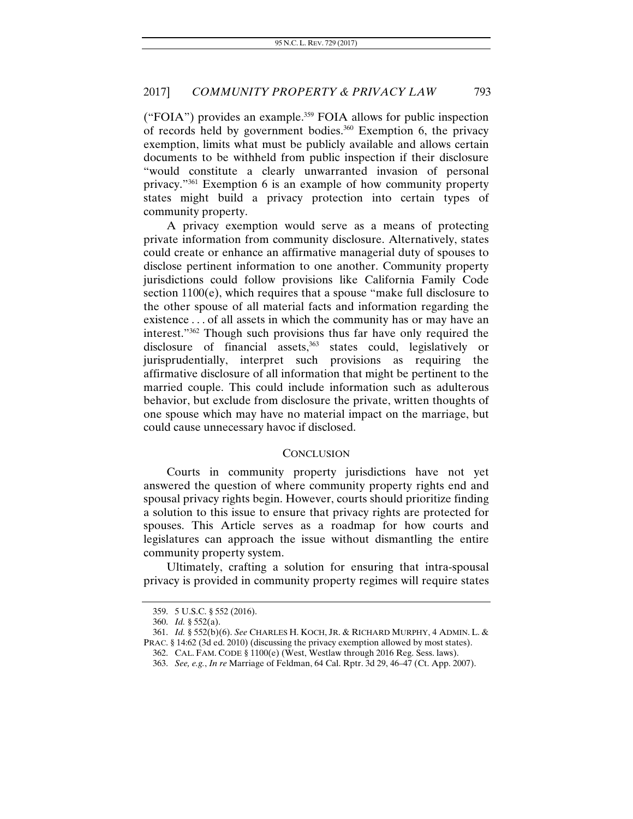("FOIA") provides an example.359 FOIA allows for public inspection of records held by government bodies. $360$  Exemption 6, the privacy exemption, limits what must be publicly available and allows certain documents to be withheld from public inspection if their disclosure "would constitute a clearly unwarranted invasion of personal privacy."361 Exemption 6 is an example of how community property states might build a privacy protection into certain types of community property.

A privacy exemption would serve as a means of protecting private information from community disclosure. Alternatively, states could create or enhance an affirmative managerial duty of spouses to disclose pertinent information to one another. Community property jurisdictions could follow provisions like California Family Code section 1100(e), which requires that a spouse "make full disclosure to the other spouse of all material facts and information regarding the existence . . . of all assets in which the community has or may have an interest."362 Though such provisions thus far have only required the disclosure of financial assets,<sup>363</sup> states could, legislatively or jurisprudentially, interpret such provisions as requiring the affirmative disclosure of all information that might be pertinent to the married couple. This could include information such as adulterous behavior, but exclude from disclosure the private, written thoughts of one spouse which may have no material impact on the marriage, but could cause unnecessary havoc if disclosed.

#### **CONCLUSION**

Courts in community property jurisdictions have not yet answered the question of where community property rights end and spousal privacy rights begin. However, courts should prioritize finding a solution to this issue to ensure that privacy rights are protected for spouses. This Article serves as a roadmap for how courts and legislatures can approach the issue without dismantling the entire community property system.

Ultimately, crafting a solution for ensuring that intra-spousal privacy is provided in community property regimes will require states

 <sup>359. 5</sup> U.S.C. § 552 (2016).

<sup>360.</sup> *Id.* § 552(a).

 <sup>361.</sup> *Id.* § 552(b)(6). *See* CHARLES H. KOCH, JR. & RICHARD MURPHY, 4 ADMIN. L. & PRAC. § 14:62 (3d ed. 2010) (discussing the privacy exemption allowed by most states).

<sup>362.</sup> CAL. FAM. CODE § 1100(e) (West, Westlaw through 2016 Reg. Sess. laws).

<sup>363.</sup> *See, e.g.*, *In re* Marriage of Feldman, 64 Cal. Rptr. 3d 29, 46–47 (Ct. App. 2007).